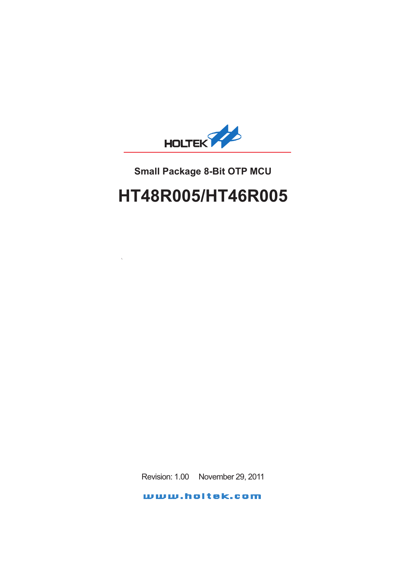

# **Small Package 8-Bit OTP MCU**

# **HT48R005/HT46R005**

Revision: 1.00 November 29, 2011

www.holtek.com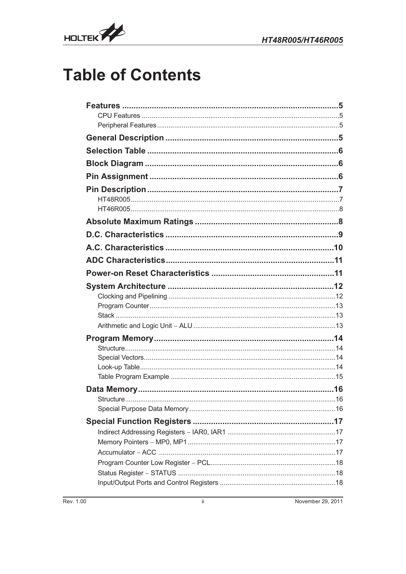

# **Table of Contents**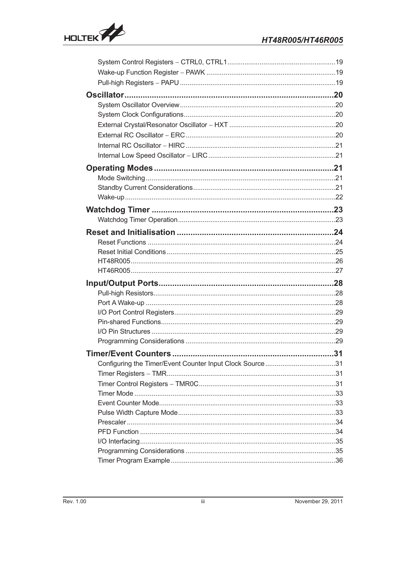

| Configuring the Timer/Event Counter Input Clock Source31 |  |
|----------------------------------------------------------|--|
|                                                          |  |
|                                                          |  |
|                                                          |  |
|                                                          |  |
|                                                          |  |
|                                                          |  |
|                                                          |  |
|                                                          |  |
|                                                          |  |
|                                                          |  |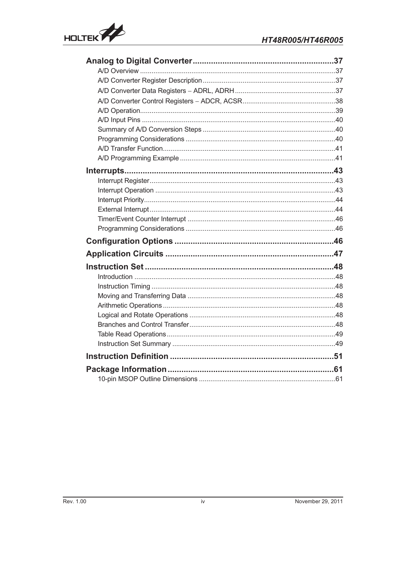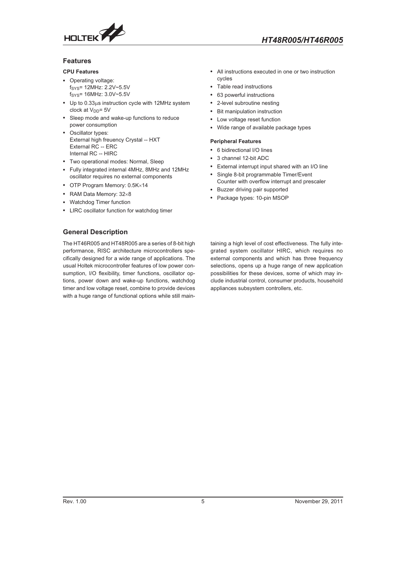<span id="page-4-0"></span>

#### **Features**

#### **CPU Features**

- Operating voltage: fSYS= 12MHz: 2.2V~5.5V  $f_{\text{SVS}}$ = 16MHz:  $3.0V$ ~ $5.5V$
- $\cdot$  Up to 0.33 $\mu$ s instruction cycle with 12MHz system clock at V<sub>DD</sub>= 5V
- Sleep mode and wake-up functions to reduce power consumption
- Oscillator types: External high freuency Crystal -- HXT External RC -- ERC Internal RC -- HIRC
- Two operational modes: Normal, Sleep
- Fully integrated internal 4MHz, 8MHz and 12MHz oscillator requires no external components
- $\bullet$  OTP Program Memory: 0.5K $\times$ 14
- RAM Data Memory:  $32\times8$
- Watchdog Timer function
- LIRC oscillator function for watchdog timer

#### **General Description**

The HT46R005 and HT48R005 are a series of 8-bit high performance, RISC architecture microcontrollers specifically designed for a wide range of applications. The usual Holtek microcontroller features of low power consumption, I/O flexibility, timer functions, oscillator options, power down and wake-up functions, watchdog timer and low voltage reset, combine to provide devices with a huge range of functional options while still main-

- All instructions executed in one or two instruction cycles
- Table read instructions
- 63 powerful instructions
- 2-level subroutine nesting
- Bit manipulation instruction
- Low voltage reset function
- Wide range of available package types

#### **Peripheral Features**

- 6 bidirectional I/O lines
- 3 channel 12-bit ADC
- External interrupt input shared with an I/O line
- Single 8-bit programmable Timer/Event
- Counter with overflow interrupt and prescaler • Buzzer driving pair supported
- Package types: 10-pin MSOP

taining a high level of cost effectiveness. The fully integrated system oscillator HIRC, which requires no external components and which has three frequency selections, opens up a huge range of new application possibilities for these devices, some of which may include industrial control, consumer products, household appliances subsystem controllers, etc.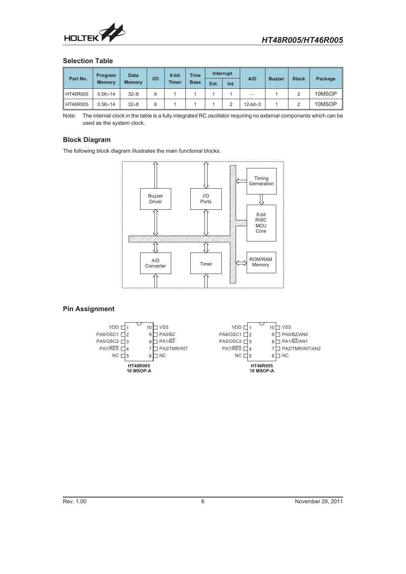<span id="page-5-0"></span>

#### **Selection Table**

|          | Program          | <b>Data</b>   |      | 8-bit        | <b>Time</b> | Interrupt |      |                      |               |              |         |  |  |  |  |  |  |  |  |  |  |  |  |  |  |  |  |  |  |  |  |  |  |  |  |  |  |  |  |
|----------|------------------|---------------|------|--------------|-------------|-----------|------|----------------------|---------------|--------------|---------|--|--|--|--|--|--|--|--|--|--|--|--|--|--|--|--|--|--|--|--|--|--|--|--|--|--|--|--|
| Part No. | <b>Memory</b>    | <b>Memory</b> | $II$ | <b>Timer</b> | <b>Base</b> | Ext.      | Int. | A/D                  | <b>Buzzer</b> | <b>Stack</b> | Package |  |  |  |  |  |  |  |  |  |  |  |  |  |  |  |  |  |  |  |  |  |  |  |  |  |  |  |  |
| HT48R005 | $0.5K \times 14$ | $32\times8$   | 6    |              |             |           |      |                      |               |              | 10MSOP  |  |  |  |  |  |  |  |  |  |  |  |  |  |  |  |  |  |  |  |  |  |  |  |  |  |  |  |  |
| HT46R005 | $0.5K \times 14$ | $32\times8$   | 6    |              |             |           |      | $12$ -bit $\times 3$ |               |              | 10MSOP  |  |  |  |  |  |  |  |  |  |  |  |  |  |  |  |  |  |  |  |  |  |  |  |  |  |  |  |  |

Note: The internal clock in the table is a fully integrated RC oscillator requiring no external components which can be used as the system clock.

#### **Block Diagram**

The following block diagram illustrates the main functional blocks.



#### **Pin Assignment**

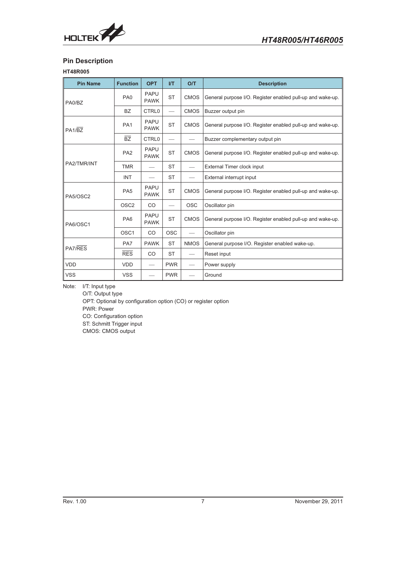<span id="page-6-0"></span>

# **Pin Description**

#### **HT48R005**

| <b>Pin Name</b> | <b>Function</b>  | <b>OPT</b>                 | I/T        | O/T         | <b>Description</b>                                         |
|-----------------|------------------|----------------------------|------------|-------------|------------------------------------------------------------|
| PA0/BZ          | PA <sub>0</sub>  | <b>PAPU</b><br><b>PAWK</b> | <b>ST</b>  | <b>CMOS</b> | General purpose I/O. Register enabled pull-up and wake-up. |
|                 | <b>BZ</b>        | <b>CTRL0</b>               |            | <b>CMOS</b> | Buzzer output pin                                          |
| PA1/BZ          | PA <sub>1</sub>  | <b>PAPU</b><br><b>PAWK</b> | <b>ST</b>  | <b>CMOS</b> | General purpose I/O. Register enabled pull-up and wake-up. |
|                 | <b>BZ</b>        | <b>CTRL0</b>               |            |             | Buzzer complementary output pin                            |
| PA <sub>2</sub> |                  | <b>PAPU</b><br><b>PAWK</b> | <b>ST</b>  | <b>CMOS</b> | General purpose I/O. Register enabled pull-up and wake-up. |
| PA2/TMR/INT     | <b>TMR</b>       |                            | <b>ST</b>  |             | External Timer clock input                                 |
|                 | <b>INT</b>       |                            | <b>ST</b>  |             | External interrupt input                                   |
| PA5/OSC2        | PA <sub>5</sub>  | <b>PAPU</b><br><b>PAWK</b> | <b>ST</b>  | <b>CMOS</b> | General purpose I/O. Register enabled pull-up and wake-up. |
|                 | OSC <sub>2</sub> | <b>CO</b>                  |            | <b>OSC</b>  | Oscillator pin                                             |
| PA6/OSC1        | PA6              | <b>PAPU</b><br><b>PAWK</b> | <b>ST</b>  | <b>CMOS</b> | General purpose I/O. Register enabled pull-up and wake-up. |
|                 | OSC <sub>1</sub> | <b>CO</b>                  | <b>OSC</b> |             | Oscillator pin                                             |
|                 | PA7              | <b>PAWK</b>                | <b>ST</b>  | <b>NMOS</b> | General purpose I/O. Register enabled wake-up.             |
| PA7/RES         | <b>RES</b>       | <b>CO</b>                  | <b>ST</b>  |             | Reset input                                                |
| <b>VDD</b>      | <b>VDD</b>       |                            | <b>PWR</b> |             | Power supply                                               |
| <b>VSS</b>      | <b>VSS</b>       |                            | <b>PWR</b> |             | Ground                                                     |

Note: I/T: Input type

O/T: Output type OPT: Optional by configuration option (CO) or register option PWR: Power CO: Configuration option ST: Schmitt Trigger input CMOS: CMOS output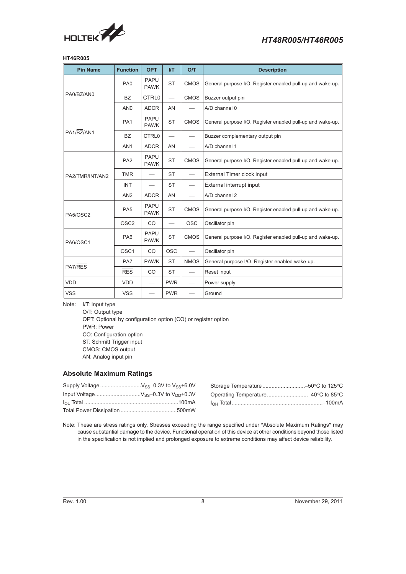<span id="page-7-0"></span>

#### **HT46R005**

| <b>Pin Name</b> | <b>Function</b>  | <b>OPT</b>                 | $\mathsf{I}/\mathsf{T}$  | O/T                      | <b>Description</b>                                         |
|-----------------|------------------|----------------------------|--------------------------|--------------------------|------------------------------------------------------------|
|                 | PA <sub>0</sub>  | <b>PAPU</b><br><b>PAWK</b> | <b>ST</b>                | <b>CMOS</b>              | General purpose I/O. Register enabled pull-up and wake-up. |
| PA0/BZ/AN0      | <b>BZ</b>        | CTRL <sub>0</sub>          |                          | <b>CMOS</b>              | Buzzer output pin                                          |
|                 | AN <sub>0</sub>  | <b>ADCR</b>                | AN                       |                          | A/D channel 0                                              |
|                 | PA <sub>1</sub>  | <b>PAPU</b><br><b>PAWK</b> | <b>ST</b>                | <b>CMOS</b>              | General purpose I/O. Register enabled pull-up and wake-up. |
| PA1/BZ/AN1      | $\overline{BZ}$  | <b>CTRL0</b>               |                          |                          | Buzzer complementary output pin                            |
|                 | AN <sub>1</sub>  | <b>ADCR</b>                | AN                       | $\overline{\phantom{0}}$ | A/D channel 1                                              |
|                 | PA <sub>2</sub>  | <b>PAPU</b><br><b>PAWK</b> | <b>ST</b>                | <b>CMOS</b>              | General purpose I/O. Register enabled pull-up and wake-up. |
| PA2/TMR/INT/AN2 | <b>TMR</b>       |                            | <b>ST</b>                |                          | External Timer clock input                                 |
|                 | <b>INT</b>       |                            | <b>ST</b>                |                          | External interrupt input                                   |
|                 | AN2              | <b>ADCR</b>                | AN                       |                          | A/D channel 2                                              |
| PA5/OSC2        | PA <sub>5</sub>  | <b>PAPU</b><br><b>PAWK</b> | <b>ST</b>                | <b>CMOS</b>              | General purpose I/O. Register enabled pull-up and wake-up. |
|                 | OSC <sub>2</sub> | CO                         | $\overline{\phantom{a}}$ | <b>OSC</b>               | Oscillator pin                                             |
| PA6/OSC1        | PA <sub>6</sub>  | PAPU<br><b>PAWK</b>        | <b>ST</b>                | <b>CMOS</b>              | General purpose I/O. Register enabled pull-up and wake-up. |
|                 | OSC <sub>1</sub> | CO                         | <b>OSC</b>               | $\qquad \qquad$          | Oscillator pin                                             |
| PA7/RES         | PA7              | <b>PAWK</b>                | <b>ST</b>                | <b>NMOS</b>              | General purpose I/O. Register enabled wake-up.             |
|                 | <b>RES</b>       | CO                         | <b>ST</b>                |                          | Reset input                                                |
| <b>VDD</b>      | <b>VDD</b>       |                            | <b>PWR</b>               | $\overline{\phantom{0}}$ | Power supply                                               |
| <b>VSS</b>      | <b>VSS</b>       | $\overline{\phantom{0}}$   | <b>PWR</b>               | $\overline{\phantom{0}}$ | Ground                                                     |

Note: I/T: Input type

O/T: Output type OPT: Optional by configuration option (CO) or register option PWR: Power CO: Configuration option ST: Schmitt Trigger input CMOS: CMOS output AN: Analog input pin

#### **Absolute Maximum Ratings**

| $0.3V$ to $V_{SS}$ +6.0V |  |
|--------------------------|--|
| $0.3V$ to $V_{DD}$ +0.3V |  |
| 100mA                    |  |

Note: These are stress ratings only. Stresses exceeding the range specified under "Absolute Maximum Ratings" may cause substantial damage to the device. Functional operation of this device at other conditions beyond those listed in the specification is not implied and prolonged exposure to extreme conditions may affect device reliability.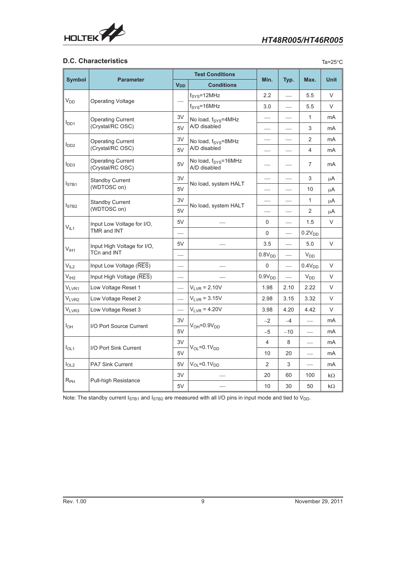<span id="page-8-0"></span>

### **D.C. Characteristics**

| . .<br>× | ۰, | ۰. |
|----------|----|----|
|          |    |    |

|                       |                                                                                                                                                    |                          | <b>Test Conditions</b>                           |                          |                          |                    | <b>Unit</b> |
|-----------------------|----------------------------------------------------------------------------------------------------------------------------------------------------|--------------------------|--------------------------------------------------|--------------------------|--------------------------|--------------------|-------------|
| <b>Symbol</b>         | <b>Parameter</b>                                                                                                                                   | <b>V<sub>DD</sub></b>    | <b>Conditions</b>                                | Min.                     | Typ.                     | Max.               |             |
|                       |                                                                                                                                                    |                          | $f_{\text{SYS}}=12\text{MHz}$                    | 2.2                      |                          | 5.5                | V           |
| <b>V<sub>DD</sub></b> | <b>Operating Voltage</b>                                                                                                                           |                          | $f_{\text{SYS}}=16\text{MHz}$                    | 3.0                      |                          | 5.5                | $\vee$      |
|                       | <b>Operating Current</b>                                                                                                                           | 3V                       | No load, f <sub>SYS</sub> =4MHz                  | $\overline{\phantom{0}}$ |                          | $\mathbf{1}$       | mA          |
| $I_{DD1}$             | (Crystal/RC OSC)                                                                                                                                   | 5V                       | A/D disabled                                     |                          |                          | 3                  | mA          |
|                       | <b>Operating Current</b>                                                                                                                           | 3V                       | No load, f <sub>SYS</sub> =8MHz                  |                          |                          | $\overline{2}$     | mA          |
| $I_{DD2}$             | (Crystal/RC OSC)<br><b>Operating Current</b><br>(Crystal/RC OSC)<br><b>Standby Current</b><br>(WDTOSC on)<br><b>Standby Current</b><br>(WDTOSC on) | 5V                       | A/D disabled                                     |                          |                          | 4                  | mA          |
| $I_{DD3}$             |                                                                                                                                                    | 5V                       | No load, f <sub>SYS</sub> =16MHz<br>A/D disabled |                          |                          | 7                  | mA          |
|                       |                                                                                                                                                    | 3V                       |                                                  |                          |                          | 3                  | μA          |
| I <sub>STB1</sub>     |                                                                                                                                                    | 5V                       | No load, system HALT                             | $\overline{\phantom{0}}$ | $\overline{\phantom{0}}$ | 10                 | μA          |
|                       |                                                                                                                                                    | 3V                       |                                                  |                          |                          | $\mathbf{1}$       | μA          |
| I <sub>STB2</sub>     |                                                                                                                                                    | 5V                       | No load, system HALT                             |                          |                          | 2                  | μA          |
|                       | Input Low Voltage for I/O,                                                                                                                         | 5V                       |                                                  | 0                        |                          | 1.5                | V           |
|                       | $V_{IL1}$<br>TMR and INT                                                                                                                           | $\overline{\phantom{0}}$ |                                                  | 0                        |                          | 0.2V <sub>DD</sub> |             |
|                       | Input High Voltage for I/O,                                                                                                                        | 5V                       |                                                  | 3.5                      |                          | 5.0                | V           |
| $V_{I H1}$            | TCn and INT                                                                                                                                        |                          |                                                  | 0.8V <sub>DD</sub>       | $\frac{1}{2}$            | $V_{DD}$           |             |
| V <sub>IL2</sub>      | Input Low Voltage (RES)                                                                                                                            |                          |                                                  | 0                        |                          | 0.4V <sub>DD</sub> | V           |
| V <sub>IH2</sub>      | Input High Voltage (RES)                                                                                                                           |                          |                                                  | 0.9V <sub>DD</sub>       |                          | $V_{DD}$           | $\vee$      |
| $V_{LVR1}$            | Low Voltage Reset 1                                                                                                                                |                          | $V_{LVR} = 2.10V$                                | 1.98                     | 2.10                     | 2.22               | V           |
| VLVR2                 | Low Voltage Reset 2                                                                                                                                | $\overline{\phantom{0}}$ | $V_{LVR} = 3.15V$                                | 2.98                     | 3.15                     | 3.32               | V           |
| V <sub>LVR3</sub>     | Low Voltage Reset 3                                                                                                                                |                          | $V_{LVR} = 4.20V$                                | 3.98                     | 4.20                     | 4.42               | V           |
|                       |                                                                                                                                                    | 3V                       | $V_{OH} = 0.9V_{DD}$                             | $-2$                     | $-4$                     |                    | mA          |
| $I_{OH}$              | I/O Port Source Current                                                                                                                            | 5V                       |                                                  | $-5$                     | $-10$                    |                    | mA          |
|                       |                                                                                                                                                    | 3V                       |                                                  | 4                        | 8                        |                    | mA          |
|                       | I <sub>OL1</sub><br>I/O Port Sink Current                                                                                                          |                          | $V_{OL} = 0.1V_{DD}$                             | 10                       | 20                       |                    | mA          |
| I <sub>OL2</sub>      | PA7 Sink Current                                                                                                                                   | 5V                       | $V_{OL} = 0.1V_{DD}$                             | $\overline{2}$           | 3                        |                    | mA          |
|                       |                                                                                                                                                    | 3V                       |                                                  | 20                       | 60                       | 100                | kΩ          |
| $R_{PH}$              | <b>Pull-high Resistance</b>                                                                                                                        | 5V                       |                                                  | 10                       | 30                       | 50                 | $k\Omega$   |

Note: The standby current  $I_{STB1}$  and  $I_{STB2}$  are measured with all I/O pins in input mode and tied to  $V_{DD}$ .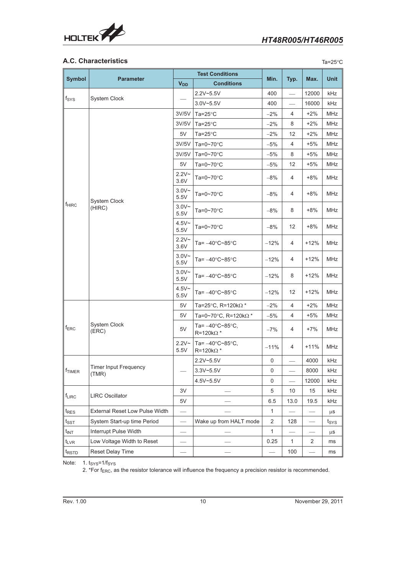

## **A.C. Characteristics**

| .,<br>٧<br>× |
|--------------|
|--------------|

| <b>Symbol</b>                        |                                       | <b>Test Conditions</b> |                                                            | Min.         |              |        | <b>Unit</b>      |
|--------------------------------------|---------------------------------------|------------------------|------------------------------------------------------------|--------------|--------------|--------|------------------|
|                                      | <b>Parameter</b>                      | <b>V<sub>DD</sub></b>  | <b>Conditions</b>                                          |              | Typ.         | Max.   |                  |
|                                      |                                       |                        | $2.2V - 5.5V$                                              | 400          |              | 12000  | kHz              |
| $f_{\rm{SYS}}$                       | System Clock                          |                        | $3.0V - 5.5V$                                              | 400          |              | 16000  | kHz              |
|                                      |                                       | 3V/5V                  | Ta= $25^{\circ}$ C                                         | -2%          | 4            | $+2%$  | <b>MHz</b>       |
|                                      |                                       | 3V/5V                  | Ta= $25^{\circ}$ C                                         | $-2%$        | 8            | $+2%$  | <b>MHz</b>       |
|                                      |                                       | 5V                     | Ta=25 $\mathrm{^{\circ}C}$                                 | $-2%$        | 12           | $+2%$  | MHz              |
|                                      |                                       | 3V/5V                  | Ta=0~70°C                                                  | $-5%$        | 4            | $+5%$  | <b>MHz</b>       |
|                                      |                                       | 3V/5V                  | Ta=0~70°C                                                  | $-5%$        | 8            | $+5%$  | <b>MHz</b>       |
|                                      |                                       | 5V                     | Ta=0~70°C                                                  | $-5%$        | 12           | $+5%$  | MHz              |
|                                      |                                       | $2.2V -$<br>3.6V       | Ta=0~70 $\degree$ C                                        | $-8%$        | 4            | $+8%$  | MHz              |
|                                      | System Clock                          | $3.0V -$<br>5.5V       | Ta=0~70 $\degree$ C                                        | $-8%$        | 4            | $+8%$  | MHz              |
| $f_{\sf HIRC}$                       | (HIRC)                                | $3.0V -$<br>5.5V       | Ta=0~70 $\degree$ C                                        | $-8%$        | 8            | $+8%$  | <b>MHz</b>       |
|                                      |                                       | $4.5V -$<br>5.5V       | Ta=0~70 $\degree$ C                                        | $-8%$        | 12           | $+8%$  | <b>MHz</b>       |
|                                      |                                       | $2.2V -$<br>3.6V       | Ta= $-40^{\circ}$ C~85 $^{\circ}$ C                        | $-12%$       | 4            | $+12%$ | <b>MHz</b>       |
|                                      |                                       | $3.0V -$<br>5.5V       | Ta= $-40^{\circ}$ C~85 $^{\circ}$ C                        | $-12%$       | 4            | $+12%$ | <b>MHz</b>       |
|                                      |                                       | $3.0V -$<br>5.5V       | Ta= -40°C~85°C                                             | $-12%$       | 8            | $+12%$ | <b>MHz</b>       |
|                                      |                                       | $4.5V -$<br>5.5V       | Ta= -40°C~85°C                                             | $-12%$       | 12           | +12%   | <b>MHz</b>       |
|                                      |                                       | 5V                     | Ta=25°C, R=120kΩ *                                         | $-2%$        | 4            | $+2%$  | MHz              |
|                                      |                                       | 5V                     | Ta=0~70°C, R=120kΩ *                                       | $-5%$        | 4            | $+5%$  | MHz              |
| $f_{ERC}$                            | System Clock<br>(ERC)                 | 5V                     | Ta= $-40^{\circ}$ C~85 $^{\circ}$ C,<br>$R = 120k\Omega$ * | $-7%$        | 4            | $+7%$  | MHz              |
|                                      |                                       | $2.2V -$<br>5.5V       | Ta= $-40^{\circ}$ C~85 $^{\circ}$ C,<br>$R = 120k\Omega$ * | $-11%$       | 4            | $+11%$ | MHz              |
|                                      |                                       |                        | 2.2V~5.5V                                                  | 0            |              | 4000   | kHz              |
| $\ $ f <sub>TIMER</sub>              | <b>Timer Input Frequency</b><br>(TMR) |                        | $3.3V - 5.5V$                                              | $\pmb{0}$    |              | 8000   | kHz              |
|                                      |                                       |                        | 4.5V~5.5V                                                  | 0            |              | 12000  | kHz              |
|                                      |                                       | 3V                     |                                                            | 5            | 10           | 15     | kHz              |
| <b>LIRC Oscillator</b><br>$f_{LIRC}$ | 5V                                    |                        | 6.5                                                        | 13.0         | 19.5         | kHz    |                  |
| t <sub>RES</sub>                     | External Reset Low Pulse Width        |                        |                                                            | $\mathbf{1}$ |              |        | μS               |
| $t_{\scriptstyle\textrm{SST}}$       | System Start-up time Period           |                        | Wake up from HALT mode                                     | 2            | 128          |        | t <sub>SYS</sub> |
| $t_{INT}$                            | Interrupt Pulse Width                 |                        |                                                            | $\mathbf{1}$ |              |        | μS               |
| t <sub>LVR</sub>                     | Low Voltage Width to Reset            |                        |                                                            | 0.25         | $\mathbf{1}$ | 2      | ms               |
| t <sub>RSTD</sub>                    | Reset Delay Time                      |                        |                                                            |              | 100          |        | ms               |

Note: 1. tsys=1/fsys

2. \*For f<sub>ERC</sub>, as the resistor tolerance will influence the frequency a precision resistor is recommended.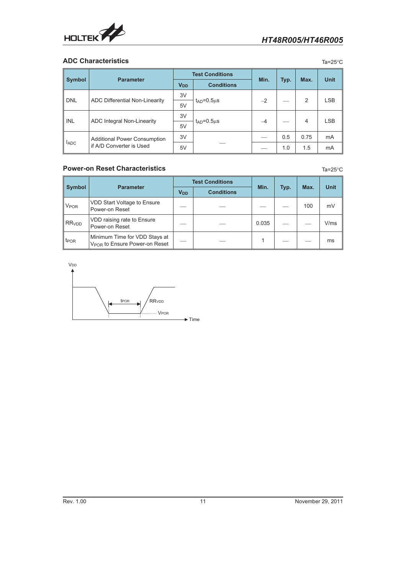<span id="page-10-0"></span>

#### **ADC Characteristics** Ta=25°C

|               |                                       |                       | <b>Test Conditions</b> |      | Typ. |      |             |
|---------------|---------------------------------------|-----------------------|------------------------|------|------|------|-------------|
| <b>Symbol</b> | <b>Parameter</b>                      | <b>V<sub>DD</sub></b> | <b>Conditions</b>      | Min. |      | Max. | <b>Unit</b> |
|               |                                       | 3V                    |                        | $-2$ |      | 2    | <b>LSB</b>  |
| <b>DNL</b>    | <b>ADC Differential Non-Linearity</b> | 5V                    | $t_{AD} = 0.5 \mu s$   |      |      |      |             |
|               |                                       | 3V                    | $t_{AD} = 0.5 \mu s$   | $-4$ |      | 4    | <b>LSB</b>  |
| INL           | ADC Integral Non-Linearity            | 5V                    |                        |      |      |      |             |
|               | <b>Additional Power Consumption</b>   | 3V                    |                        |      | 0.5  | 0.75 | mA          |
| $I_{ADC}$     | if A/D Converter is Used              | 5V                    |                        |      | 1.0  | 1.5  | mA          |

#### **Power-on Reset Characteristics** Ta=25°C

**Symbol Parameter Test Conditions** Min. **Typ.** Max. Unit **V<sub>DD</sub> Conditions** V<sub>POR</sub> VDD Start Voltage to Ensure VDD Start Voltage to Ensure  $\vert - \vert$  - -  $\vert - \vert$  -  $\vert$  - 100  $\vert$  mV  $RR<sub>VDD</sub>$  VDD raising rate to Ensure VDD raising rate to Ensure<br>Power-on Reset  $\vert - \vert - \vert$  -  $\vert 0.035 \vert - \vert - \vert$  V/ms  $t_{\text{POR}}$  Minimum Time for VDD Stays at William Time for VDD Stays at  $V_{POR}$  to Ensure Power-on Reset  $1 - 1 - 1 - 1 - 1$  ms



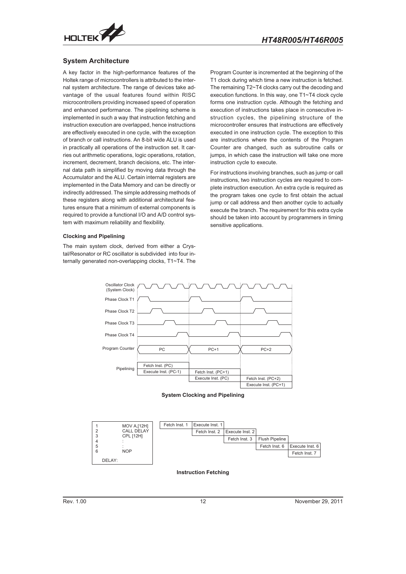<span id="page-11-0"></span>

#### **System Architecture**

A key factor in the high-performance features of the Holtek range of microcontrollers is attributed to the internal system architecture. The range of devices take advantage of the usual features found within RISC microcontrollers providing increased speed of operation and enhanced performance. The pipelining scheme is implemented in such a way that instruction fetching and instruction execution are overlapped, hence instructions are effectively executed in one cycle, with the exception of branch or call instructions. An 8-bit wide ALU is used in practically all operations of the instruction set. It carries out arithmetic operations, logic operations, rotation, increment, decrement, branch decisions, etc. The internal data path is simplified by moving data through the Accumulator and the ALU. Certain internal registers are implemented in the Data Memory and can be directly or indirectly addressed. The simple addressing methods of these registers along with additional architectural features ensure that a minimum of external components is required to provide a functional I/O and A/D control system with maximum reliability and flexibility.

#### **Clocking and Pipelining**

The main system clock, derived from either a Crystal/Resonator or RC oscillator is subdivided into four internally generated non-overlapping clocks, T1~T4. The

Program Counter is incremented at the beginning of the T1 clock during which time a new instruction is fetched. The remaining T2~T4 clocks carry out the decoding and execution functions. In this way, one T1~T4 clock cycle forms one instruction cycle. Although the fetching and execution of instructions takes place in consecutive instruction cycles, the pipelining structure of the microcontroller ensures that instructions are effectively executed in one instruction cycle. The exception to this are instructions where the contents of the Program Counter are changed, such as subroutine calls or jumps, in which case the instruction will take one more instruction cycle to execute.

For instructions involving branches, such as jump or call instructions, two instruction cycles are required to complete instruction execution. An extra cycle is required as the program takes one cycle to first obtain the actual jump or call address and then another cycle to actually execute the branch. The requirement for this extra cycle should be taken into account by programmers in timing sensitive applications.



**System Clocking and Pipelining**



#### **Instruction Fetching**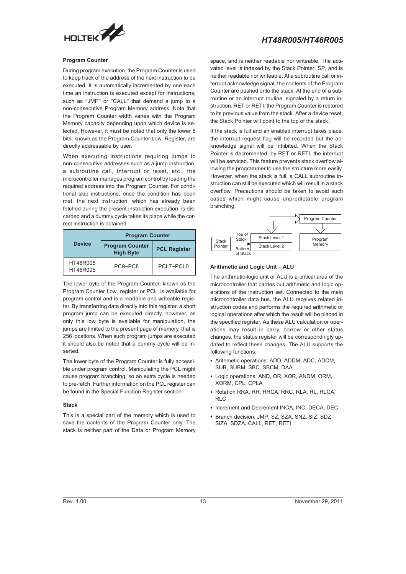

#### **Program Counter**

During program execution, the Program Counter is used to keep track of the address of the next instruction to be executed. It is automatically incremented by one each time an instruction is executed except for instructions, such as "JMP" or "CALL" that demand a jump to a non-consecutive Program Memory address. Note that the Program Counter width varies with the Program Memory capacity depending upon which device is selected. However, it must be noted that only the lower 8 bits, known as the Program Counter Low Register, are directly addressable by user.

When executing instructions requiring jumps to non-consecutive addresses such as a jump instruction, a subroutine call, interrupt or reset, etc., the microcontroller manages program control by loading the required address into the Program Counter. For conditional skip instructions, once the condition has been met, the next instruction, which has already been fetched during the present instruction execution, is discarded and a dummy cycle takes its place while the correct instruction is obtained.

|                      | <b>Program Counter</b>                     |                     |  |  |  |
|----------------------|--------------------------------------------|---------------------|--|--|--|
| <b>Device</b>        | <b>Program Counter</b><br><b>High Byte</b> | <b>PCL Register</b> |  |  |  |
| HT48R005<br>HT46R005 | $PC9-PC8$                                  | PCL7~PCL0           |  |  |  |

The lower byte of the Program Counter, known as the Program Counter Low register or PCL, is available for program control and is a readable and writeable register. By transferring data directly into this register, a short program jump can be executed directly, however, as only this low byte is available for manipulation, the jumps are limited to the present page of memory, that is 256 locations. When such program jumps are executed it should also be noted that a dummy cycle will be inserted.

The lower byte of the Program Counter is fully accessible under program control. Manipulating the PCL might cause program branching, so an extra cycle is needed to pre-fetch. Further information on the PCL register can be found in the Special Function Register section.

#### **Stack**

This is a special part of the memory which is used to save the contents of the Program Counter only. The stack is neither part of the Data or Program Memory

space, and is neither readable nor writeable. The activated level is indexed by the Stack Pointer, SP, and is neither readable nor writeable. At a subroutine call or interrupt acknowledge signal, the contents of the Program Counter are pushed onto the stack. At the end of a subroutine or an interrupt routine, signaled by a return instruction, RET or RETI, the Program Counter is restored to its previous value from the stack. After a device reset, the Stack Pointer will point to the top of the stack.

If the stack is full and an enabled interrupt takes place, the interrupt request flag will be recorded but the acknowledge signal will be inhibited. When the Stack Pointer is decremented, by RET or RETI, the interrupt will be serviced. This feature prevents stack overflow allowing the programmer to use the structure more easily. However, when the stack is full, a CALL subroutine instruction can still be executed which will result in a stack overflow. Precautions should be taken to avoid such cases which might cause unpredictable program branching.



The arithmetic-logic unit or ALU is a critical area of the microcontroller that carries out arithmetic and logic operations of the instruction set. Connected to the main microcontroller data bus, the ALU receives related instruction codes and performs the required arithmetic or logical operations after which the result will be placed in the specified register. As these ALU calculation or operations may result in carry, borrow or other status changes, the status register will be correspondingly updated to reflect these changes. The ALU supports the following functions:

- Arithmetic operations: ADD, ADDM, ADC, ADCM, SUB, SUBM, SBC, SBCM, DAA
- Logic operations: AND, OR, XOR, ANDM, ORM, XORM, CPL, CPLA
- Rotation RRA, RR, RRCA, RRC, RLA, RL, RLCA, RLC
- Increment and Decrement INCA, INC, DECA, DEC
- Branch decision, JMP, SZ, SZA, SNZ, SIZ, SDZ, SIZA, SDZA, CALL, RET, RETI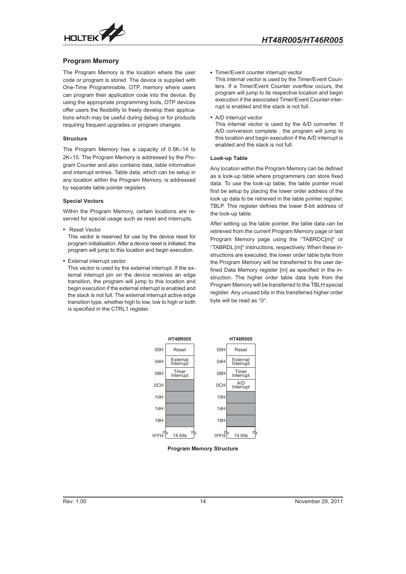<span id="page-13-0"></span>

#### **Program Memory**

The Program Memory is the location where the user code or program is stored. The device is supplied with One-Time Programmable, OTP, memory where users can program their application code into the device. By using the appropriate programming tools, OTP devices offer users the flexibility to freely develop their applications which may be useful during debug or for products requiring frequent upgrades or program changes.

#### **Structure**

The Program Memory has a capacity of  $0.5K \times 14$  to  $2K \times 15$ . The Program Memory is addressed by the Program Counter and also contains data, table information and interrupt entries. Table data, which can be setup in any location within the Program Memory, is addressed by separate table pointer registers.

#### **Special Vectors**

Within the Program Memory, certain locations are reserved for special usage such as reset and interrupts.

Reset Vector

This vector is reserved for use by the device reset for program initialisation. After a device reset is initiated, the program will jump to this location and begin execution.

External interrupt vector

This vector is used by the external interrupt. If the external interrupt pin on the device receives an edge transition, the program will jump to this location and begin execution if the external interrupt is enabled and the stack is not full. The external interrupt active edge transition type, whether high to low, low to high or both is specified in the CTRL1 register.

Timer/Event counter interrupt vector

This internal vector is used by the Timer/Event Counters. If a Timer/Event Counter overflow occurs, the program will jump to its respective location and begin execution if the associated Timer/Event Counter interrupt is enabled and the stack is not full.

A/D interrupt vector

This internal vector is used by the A/D converter. If A/D conversion complete , the program will jump to this location and begin execution if the A/D interrupt is enabled and the stack is not full.

#### **Look-up Table**

Any location within the Program Memory can be defined as a look-up table where programmers can store fixed data. To use the look-up table, the table pointer must first be setup by placing the lower order address of the look up data to be retrieved in the table pointer register. TBLP. This register defines the lower 8-bit address of the look-up table.

After setting up the table pointer, the table data can be retrieved from the current Program Memory page or last Program Memory page using the "TABRDC[m]" or "TABRDL [m]" instructions, respectively. When these instructions are executed, the lower order table byte from the Program Memory will be transferred to the user defined Data Memory register [m] as specified in the instruction. The higher order table data byte from the Program Memory will be transferred to the TBLH special register. Any unused bits in this transferred higher order byte will be read as "0".



**Program Memory Structure**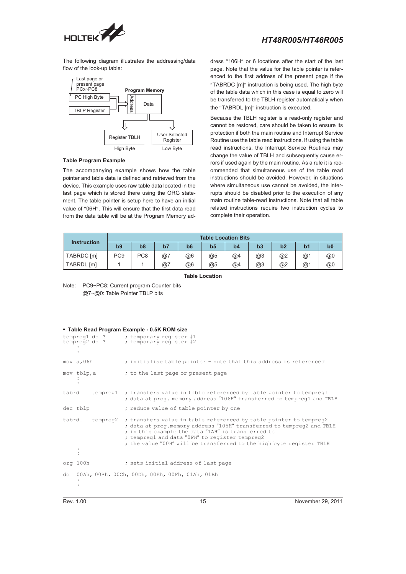

The following diagram illustrates the addressing/data flow of the look-up table:



#### **Table Program Example**

The accompanying example shows how the table pointer and table data is defined and retrieved from the device. This example uses raw table data located in the last page which is stored there using the ORG statement. The table pointer is setup here to have an initial value of "06H". This will ensure that the first data read from the data table will be at the Program Memory address "106H" or 6 locations after the start of the last page. Note that the value for the table pointer is referenced to the first address of the present page if the "TABRDC [m]" instruction is being used. The high byte of the table data which in this case is equal to zero will be transferred to the TBLH register automatically when the "TABRDL [m]" instruction is executed.

Because the TBLH register is a read-only register and cannot be restored, care should be taken to ensure its protection if both the main routine and Interrupt Service Routine use the table read instructions. If using the table read instructions, the Interrupt Service Routines may change the value of TBLH and subsequently cause errors if used again by the main routine. As a rule it is recommended that simultaneous use of the table read instructions should be avoided. However, in situations where simultaneous use cannot be avoided, the interrupts should be disabled prior to the execution of any main routine table-read instructions. Note that all table related instructions require two instruction cycles to complete their operation.

|                    | <b>Table Location Bits</b> |                 |    |                |    |    |    |    |                  |                |  |
|--------------------|----------------------------|-----------------|----|----------------|----|----|----|----|------------------|----------------|--|
| <b>Instruction</b> | b9                         | b <sub>8</sub>  | b7 | b <sub>6</sub> | b5 | b4 | b3 | b2 |                  | b <sub>0</sub> |  |
| TABRDC [m]         | PC <sub>9</sub>            | PC <sub>8</sub> | @7 | @6             | @5 | @4 | @3 | @2 | $@$ <sup>1</sup> | @0             |  |
| TABRDL [m]         |                            |                 | @7 | @6             | @5 | @4 | @3 | @2 | $@$ <sup>1</sup> | @0             |  |

**Table Location**

Note: PC9~PC8: Current program Counter bits @7~@0: Table Pointer TBLP bits

#### **Table Read Program Example - 0.5K ROM size**

|        |            | tempreg1 db ? ; temporary register #1<br>tempreg2 db ? ; temporary register #2                                                                                                                                                                                                                                                       |
|--------|------------|--------------------------------------------------------------------------------------------------------------------------------------------------------------------------------------------------------------------------------------------------------------------------------------------------------------------------------------|
|        | mov a,06h  | ; initialise table pointer - note that this address is referenced                                                                                                                                                                                                                                                                    |
|        | mov tblp,a | ; to the last page or present page                                                                                                                                                                                                                                                                                                   |
| tabrdl |            | tempregl ; transfers value in table referenced by table pointer to tempregl<br>; data at prog. memory address "106H" transferred to tempreg1 and TBLH                                                                                                                                                                                |
|        | dec tblp   | ; reduce value of table pointer by one                                                                                                                                                                                                                                                                                               |
|        | tabrdl     | tempreg2 ; transfers value in table referenced by table pointer to tempreg2<br>; data at prog.memory address "105H" transferred to tempreg2 and TBLH<br>; in this example the data "1AH" is transferred to<br>; tempregl and data "OFH" to register tempreg2<br>; the value "00H" will be transferred to the high byte register TBLH |
|        | org 100h   | ; sets initial address of last page                                                                                                                                                                                                                                                                                                  |
| dc     |            | 00Ah, 00Bh, 00Ch, 00Dh, 00Eh, 00Fh, 01Ah, 01Bh                                                                                                                                                                                                                                                                                       |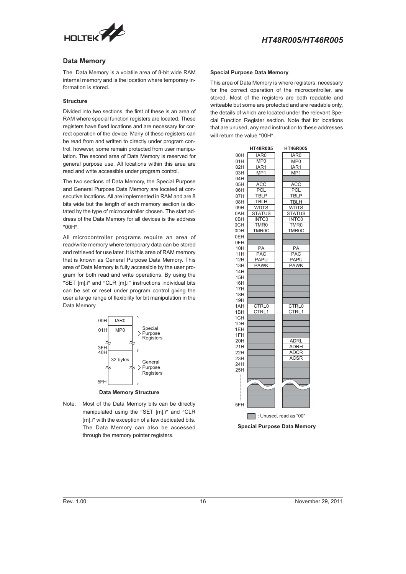

#### **Data Memory**

The Data Memory is a volatile area of 8-bit wide RAM internal memory and is the location where temporary information is stored.

#### **Structure**

Divided into two sections, the first of these is an area of RAM where special function registers are located. These registers have fixed locations and are necessary for correct operation of the device. Many of these registers can be read from and written to directly under program control, however, some remain protected from user manipulation. The second area of Data Memory is reserved for general purpose use. All locations within this area are read and write accessible under program control.

The two sections of Data Memory, the Special Purpose and General Purpose Data Memory are located at consecutive locations. All are implemented in RAM and are 8 bits wide but the length of each memory section is dictated by the type of microcontroller chosen. The start address of the Data Memory for all devices is the address  $"00H"$ .

All microcontroller programs require an area of read/write memory where temporary data can be stored and retrieved for use later. It is this area of RAM memory that is known as General Purpose Data Memory. This area of Data Memory is fully accessible by the user program for both read and write operations. By using the "SET [m].i" and "CLR [m].i" instructions individual bits can be set or reset under program control giving the user a large range of flexibility for bit manipulation in the Data Memory.



**Data Memory Structure**

Note: Most of the Data Memory bits can be directly manipulated using the "SET [m].i" and "CLR [m].i" with the exception of a few dedicated bits. The Data Memory can also be accessed through the memory pointer registers.

#### **Special Purpose Data Memory**

This area of Data Memory is where registers, necessary for the correct operation of the microcontroller, are stored. Most of the registers are both readable and writeable but some are protected and are readable only, the details of which are located under the relevant Special Function Register section. Note that for locations that are unused, any read instruction to these addresses will return the value "00H".

|     | <b>HT48R005</b>    | <b>HT46R005</b>                                 |
|-----|--------------------|-------------------------------------------------|
| 00H | IAR0               | IAR0                                            |
| 01H | MP <sub>0</sub>    | MP <sub>0</sub>                                 |
| 02H | IAR1               | IAR1                                            |
| 03H | MP1                | MP <sub>1</sub>                                 |
| 04H |                    |                                                 |
| 05H | ACC                | <b>ACC</b>                                      |
| 06H | PCL                | PCL                                             |
| 07H | <b>TBLP</b>        | <b>TBLP</b>                                     |
| 08H | <b>TBLH</b>        | <b>TBLH</b>                                     |
| 09H | WDTS               | WDTS                                            |
| 0AH | <b>STATUS</b>      | <b>STATUS</b>                                   |
| 0BH | <b>INTCO</b>       | <b>INTCO</b>                                    |
| 0CH | TMR0               | TMR0                                            |
| 0DH | TMR <sub>0</sub> C | TMR <sub>0</sub> C                              |
| 0EH |                    |                                                 |
| 0FH |                    |                                                 |
| 10H | PA                 | PA                                              |
| 11H | <b>PAC</b>         | <b>PAC</b>                                      |
| 12H | <b>PAPU</b>        | <b>PAPU</b>                                     |
| 13H | <b>PAWK</b>        | <b>PAWK</b>                                     |
| 14H |                    |                                                 |
| 15H |                    |                                                 |
| 16H |                    |                                                 |
| 17H |                    |                                                 |
| 18H |                    |                                                 |
| 19H |                    |                                                 |
| 1AH | <b>TRL0</b><br>C   | CTRL0                                           |
| 1BH | CTRL <sub>1</sub>  | CTRL1                                           |
| 1CH |                    |                                                 |
| 1DH |                    |                                                 |
| 1EH |                    |                                                 |
| 1FH |                    |                                                 |
| 20H |                    | ADRL                                            |
| 21H |                    | ADRH                                            |
| 22H |                    | <b>ADCR</b>                                     |
| 23H |                    | <b>ACSR</b>                                     |
| 24H |                    |                                                 |
| 25H |                    |                                                 |
|     |                    |                                                 |
|     |                    |                                                 |
|     |                    |                                                 |
|     |                    |                                                 |
|     |                    |                                                 |
| 5FH |                    |                                                 |
|     |                    | $\overline{\phantom{a}}$ : Unused, read as "00" |

**Special Purpose Data Memory**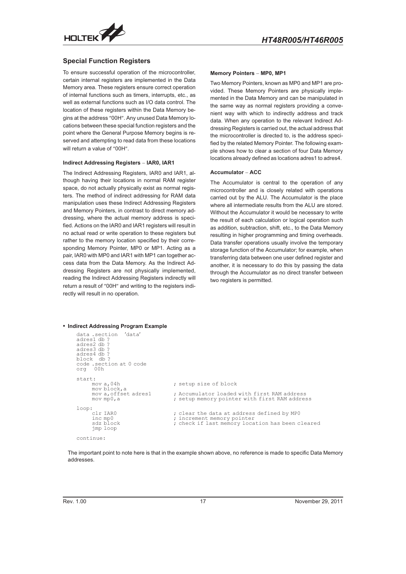<span id="page-16-0"></span>

#### **Special Function Registers**

To ensure successful operation of the microcontroller, certain internal registers are implemented in the Data Memory area. These registers ensure correct operation of internal functions such as timers, interrupts, etc., as well as external functions such as I/O data control. The location of these registers within the Data Memory begins at the address "00H". Any unused Data Memory locations between these special function registers and the point where the General Purpose Memory begins is reserved and attempting to read data from these locations<br>will return a value of "00H".<br>**Indirect Addressing Registers – IAR0, IAR1** will return a value of "00H".

#### **Indirect Addressing Registers - IAR0, IAR1**

The Indirect Addressing Registers, IAR0 and IAR1, although having their locations in normal RAM register space, do not actually physically exist as normal registers. The method of indirect addressing for RAM data manipulation uses these Indirect Addressing Registers and Memory Pointers, in contrast to direct memory addressing, where the actual memory address is specified. Actions on the IAR0 and IAR1 registers will result in no actual read or write operation to these registers but rather to the memory location specified by their corresponding Memory Pointer, MP0 or MP1. Acting as a pair, IAR0 with MP0 and IAR1 with MP1 can together access data from the Data Memory. As the Indirect Addressing Registers are not physically implemented, reading the Indirect Addressing Registers indirectly will return a result of "00H" and writing to the registers indirectly will result in no operation.

# **Memory Pointers - MP0, MP1**

Two Memory Pointers, known as MP0 and MP1 are provided. These Memory Pointers are physically implemented in the Data Memory and can be manipulated in the same way as normal registers providing a convenient way with which to indirectly address and track data. When any operation to the relevant Indirect Addressing Registers is carried out, the actual address that the microcontroller is directed to, is the address specified by the related Memory Pointer. The following example shows how to clear a section of four Data Memory locations already defined as locations adres1 to adres4. **hed by the relate<br>ple shows how<br><b>locations alread**<br>**Accumulator** –

#### **Accumulator - ACC**

The Accumulator is central to the operation of any microcontroller and is closely related with operations carried out by the ALU. The Accumulator is the place where all intermediate results from the ALU are stored. Without the Accumulator it would be necessary to write the result of each calculation or logical operation such as addition, subtraction, shift, etc., to the Data Memory resulting in higher programming and timing overheads. Data transfer operations usually involve the temporary storage function of the Accumulator; for example, when transferring data between one user defined register and another, it is necessary to do this by passing the data through the Accumulator as no direct transfer between two registers is permitted.

#### **Indirect Addressing Program Example**

| 'data'<br>data.section<br>adres1 db ?<br>adres2 db?<br>adres3 db ?<br>adres4 db?<br>block db?<br>code .section at 0 code<br>org 00h |                                                                                                                              |
|-------------------------------------------------------------------------------------------------------------------------------------|------------------------------------------------------------------------------------------------------------------------------|
| start:<br>mov $a,04h$                                                                                                               | ; setup size of block                                                                                                        |
| mov block, a<br>mov a, offset adres1<br>movmp0, a                                                                                   | : Accumulator loaded with first RAM address<br>; setup memory pointer with first RAM address                                 |
| loop:<br>clr TARO<br>inc mp0<br>sdz block<br>jmp loop                                                                               | ; clear the data at address defined by MPO<br>; increment memory pointer<br>; check if last memory location has been cleared |
| continue:                                                                                                                           |                                                                                                                              |

The important point to note here is that in the example shown above, no reference is made to specific Data Memory addresses.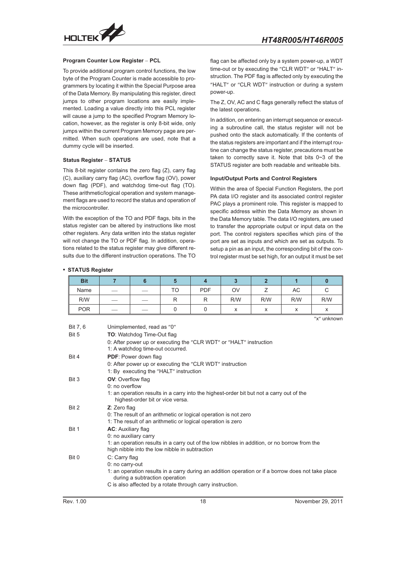

#### **Program Counter Low Register - PCL**

To provide additional program control functions, the low byte of the Program Counter is made accessible to programmers by locating it within the Special Purpose area of the Data Memory. By manipulating this register, direct jumps to other program locations are easily implemented. Loading a value directly into this PCL register will cause a jump to the specified Program Memory location, however, as the register is only 8-bit wide, only jumps within the current Program Memory page are permitted. When such operations are used, note that a dummy cycle will be inserted. In the current Program of the Status Register – **STATUS** 

This 8-bit register contains the zero flag (Z), carry flag (C), auxiliary carry flag (AC), overflow flag (OV), power down flag (PDF), and watchdog time-out flag (TO). These arithmetic/logical operation and system management flags are used to record the status and operation of the microcontroller.

With the exception of the TO and PDF flags, bits in the status register can be altered by instructions like most other registers. Any data written into the status register will not change the TO or PDF flag. In addition, operations related to the status register may give different results due to the different instruction operations. The TO flag can be affected only by a system power-up, a WDT time-out or by executing the "CLR WDT" or "HALT" instruction. The PDF flag is affected only by executing the "HALT" or "CLR WDT" instruction or during a system power-up.

The Z, OV, AC and C flags generally reflect the status of the latest operations.

In addition, on entering an interrupt sequence or executing a subroutine call, the status register will not be pushed onto the stack automatically. If the contents of the status registers are important and if the interrupt routine can change the status register, precautions must be taken to correctly save it. Note that bits 0~3 of the STATUS register are both readable and writeable bits.

#### **Input/Output Ports and Control Registers**

Within the area of Special Function Registers, the port PA data I/O register and its associated control register PAC plays a prominent role. This register is mapped to specific address within the Data Memory as shown in the Data Memory table. The data I/O registers, are used to transfer the appropriate output or input data on the port. The control registers specifies which pins of the port are set as inputs and which are set as outputs. To setup a pin as an input, the corresponding bit of the control register must be set high, for an output it must be set

#### **STATUS Register**

| <b>Bit</b> |                          |    |    |            |     |                        |                                       |                   |
|------------|--------------------------|----|----|------------|-----|------------------------|---------------------------------------|-------------------|
| Name       |                          |    | TO | <b>PDF</b> | OV  |                        | AC                                    | ◡                 |
| R/W        | $\overline{\phantom{a}}$ | __ | n  |            | R/W | R/W                    | R/W                                   | R/W               |
| <b>POR</b> | $-$                      |    |    |            |     | $\checkmark$<br>$\sim$ | $\overline{\phantom{a}}$<br>$\lambda$ | $\checkmark$<br>ᄉ |

"x" unknown

| Rev. 1.00 | 18                                                                                                                                                                      | November 29, 2011 |
|-----------|-------------------------------------------------------------------------------------------------------------------------------------------------------------------------|-------------------|
|           | C is also affected by a rotate through carry instruction.                                                                                                               |                   |
|           | 1: an operation results in a carry during an addition operation or if a borrow does not take place<br>during a subtraction operation                                    |                   |
| Bit 0     | C: Carry flag<br>0: no carry-out                                                                                                                                        |                   |
|           | 0: no auxiliary carry<br>1: an operation results in a carry out of the low nibbles in addition, or no borrow from the<br>high nibble into the low nibble in subtraction |                   |
| Bit 1     | AC: Auxiliary flag                                                                                                                                                      |                   |
| Bit 2     | Z: Zero flag<br>0: The result of an arithmetic or logical operation is not zero<br>1: The result of an arithmetic or logical operation is zero                          |                   |
|           | 1: an operation results in a carry into the highest-order bit but not a carry out of the<br>highest-order bit or vice versa.                                            |                   |
| Bit 3     | <b>OV:</b> Overflow flag<br>$0:$ no overflow                                                                                                                            |                   |
|           | 1: By executing the "HALT" instruction                                                                                                                                  |                   |
|           | 0: After power up or executing the "CLR WDT" instruction                                                                                                                |                   |
| Bit 4     | <b>PDF: Power down flag</b>                                                                                                                                             |                   |
|           | 0: After power up or executing the "CLR WDT" or "HALT" instruction<br>1: A watchdog time-out occurred.                                                                  |                   |
| Bit 5     | <b>TO:</b> Watchdog Time-Out flag                                                                                                                                       |                   |
| Bit 7, 6  | Unimplemented, read as "0"                                                                                                                                              |                   |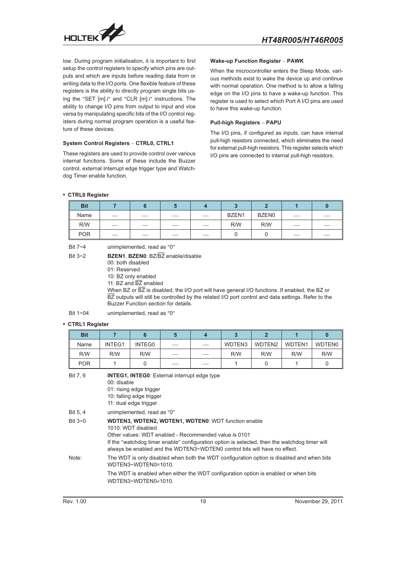

low. During program initialisation, it is important to first setup the control registers to specify which pins are outputs and which are inputs before reading data from or writing data to the I/O ports. One flexible feature of these registers is the ability to directly program single bits using the "SET [m].i" and "CLR [m].i" instructions. The ability to change I/O pins from output to input and vice versa by manipulating specific bits of the I/O control regversa by mampulating specific bits of the i/O control reg-<br>isters during normal program operation is a useful fea-<br>ture of these devices.<br>System Control Registers – CTRL0, CTRL1 ture of these devices.

#### **System Control Registers - CTRL0, CTRL1**

These registers are used to provide control over various internal functions. Some of these include the Buzzer control, external Interrupt edge trigger type and Watchdog Timer enable function.

# **Wake-up Function Register - PAWK**

When the microcontroller enters the Sleep Mode, various methods exist to wake the device up and continue with normal operation. One method is to allow a falling edge on the I/O pins to have a wake-up function. This edge on the I/O pins to have a wake-up function. This<br>register is used to select which Port A I/O pins are used<br>to have this wake-up function.<br>**Pull-high Registers – PAPU** to have this wake-up function.

#### **Pull-high Registers - PAPU**

The I/O pins, if configured as inputs, can have internal pull-high resistors connected, which eliminates the need for external pull-high resistors. This register selects which I/O pins are connected to internal pull-high resistors.

#### **CTRL0 Register**

| <b>Bit</b> |                          |     |  |       |              |     |    |
|------------|--------------------------|-----|--|-------|--------------|-----|----|
| Name       | $\overline{\phantom{a}}$ |     |  | BZEN1 | <b>BZEN0</b> | ___ | __ |
| R/W        | ___                      | ___ |  | R/W   | R/W          | __  |    |
| <b>POR</b> |                          |     |  |       |              | __  |    |

| Bit 7~4   | unimplemented, read as "0"                                                                                                                                                                                                       |
|-----------|----------------------------------------------------------------------------------------------------------------------------------------------------------------------------------------------------------------------------------|
| Bit $3-2$ | <b>BZEN1, BZEN0: BZ/BZ</b> enable/disable<br>00: both disabled<br>01: Reserved<br>10: BZ only enabled<br>11: BZ and BZ enabled<br>When BZ or BZ is disabled, the I/O port will have general I/O functions. If enabled, the BZ or |
|           | BZ outputs will still be controlled by the related I/O port control and data settings. Refer to the<br>Buzzer Function section for details.                                                                                      |

Bit  $1 - 04$  unimplemented, read as  $"0"$ 

#### **CTRL1 Register**

| <b>Bit</b>      | $\overline{7}$                                                                                                                                                                                                                                                                                                          | 6                          | 5 | $\overline{\mathbf{4}}$ | 3      | $\overline{2}$ | 1      | $\bf{0}$      |  |  |
|-----------------|-------------------------------------------------------------------------------------------------------------------------------------------------------------------------------------------------------------------------------------------------------------------------------------------------------------------------|----------------------------|---|-------------------------|--------|----------------|--------|---------------|--|--|
| Name            | INTEG1                                                                                                                                                                                                                                                                                                                  | INTEG0                     |   |                         | WDTEN3 | WDTEN2         | WDTEN1 | <b>WDTEN0</b> |  |  |
| R/W             | R/W                                                                                                                                                                                                                                                                                                                     | R/W                        |   |                         | R/W    | R/W            | R/W    | R/W           |  |  |
| <b>POR</b>      |                                                                                                                                                                                                                                                                                                                         | 0                          |   |                         | 1      | 0              | 1      | $\Omega$      |  |  |
| Bit 7, 6        | <b>INTEG1, INTEG0:</b> External interrupt edge type<br>$00:$ disable<br>01: rising edge trigger<br>10: falling edge trigger<br>11: dual edge trigger                                                                                                                                                                    |                            |   |                         |        |                |        |               |  |  |
| <b>Bit 5, 4</b> |                                                                                                                                                                                                                                                                                                                         | unimplemented, read as "0" |   |                         |        |                |        |               |  |  |
| Bit $3\neg$ 0   | <b>WDTEN3, WDTEN2, WDTEN1, WDTEN0: WDT function enable</b><br>1010: WDT disabled<br>Other values: WDT enabled - Recommended value is 0101<br>If the "watchdog timer enable" configuration option is selected, then the watchdog timer will<br>always be enabled and the WDTEN3~WDTEN0 control bits will have no effect. |                            |   |                         |        |                |        |               |  |  |
| Note:           | The WDT is only disabled when both the WDT configuration option is disabled and when bits<br>WDTEN3~WDTEN0=1010                                                                                                                                                                                                         |                            |   |                         |        |                |        |               |  |  |
|                 | The WDT is enabled when either the WDT configuration option is enabled or when bits<br>WDTEN3~WDTEN0 $\neq$ 1010.                                                                                                                                                                                                       |                            |   |                         |        |                |        |               |  |  |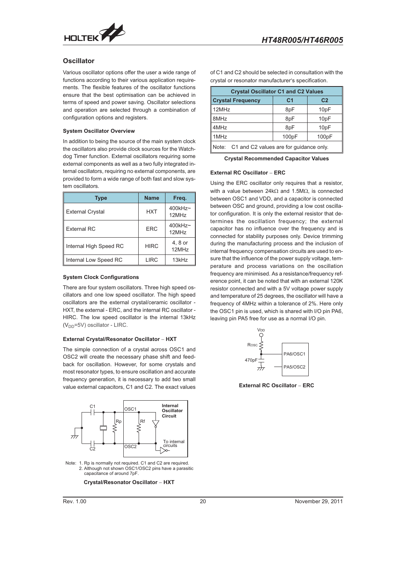<span id="page-19-0"></span>

#### **Oscillator**

Various oscillator options offer the user a wide range of functions according to their various application requirements. The flexible features of the oscillator functions ensure that the best optimisation can be achieved in terms of speed and power saving. Oscillator selections and operation are selected through a combination of configuration options and registers.

#### **System Oscillator Overview**

In addition to being the source of the main system clock the oscillators also provide clock sources for the Watchdog Timer function. External oscillators requiring some external components as well as a two fully integrated internal oscillators, requiring no external components, are provided to form a wide range of both fast and slow system oscillators.

| <b>Type</b>             | <b>Name</b> | Freq.               |
|-------------------------|-------------|---------------------|
| <b>External Crystal</b> | <b>HXT</b>  | $400$ kHz~<br>12MHz |
| <b>External RC</b>      | ERC         | $400kHz$ ~<br>12MHz |
| Internal High Speed RC  | <b>HIRC</b> | 4, 8 or<br>12MHz    |
| Internal Low Speed RC   | LIRC        | 13kHz               |

#### **System Clock Configurations**

There are four system oscillators. Three high speed oscillators and one low speed oscillator. The high speed oscillators are the external crystal/ceramic oscillator - HXT, the external - ERC, and the internal RC oscillator - HIRC. The low speed oscillator is the internal 13kHz<br>
(V<sub>DD</sub>=5V) oscillator - LIRC.<br> **External Crystal/Resonator Oscillator - HXT**  $(V<sub>DD</sub>=5V)$  oscillator - LIRC.

#### **External Crystal/Resonator Oscillator - HXT**

The simple connection of a crystal across OSC1 and OSC2 will create the necessary phase shift and feedback for oscillation. However, for some crystals and most resonator types, to ensure oscillation and accurate frequency generation, it is necessary to add two small value external capacitors, C1 and C2. The exact values



Note: 1. Rp is normally not required. C1 and C2 are required 2. Although not shown OSC1/OSC2 pins have a parasiti capacitance of around 7pF Rp is normally not required. C1 and C2<br>Although not shown OSC1/OSC2 pins<br>capacitance of around 7pF.<br>**Crystal/Resonator Oscillator** –

**Crystal/Resonator Oscillator - HXT** 

of C1 and C2 should be selected in consultation with the crystal or resonator manufacturer s specification.

| <b>Crystal Oscillator C1 and C2 Values</b>    |                |                   |  |  |  |  |  |
|-----------------------------------------------|----------------|-------------------|--|--|--|--|--|
| <b>Crystal Frequency</b>                      | C <sub>1</sub> | C <sub>2</sub>    |  |  |  |  |  |
| 12MHz                                         | 8pF            | 10 <sub>pF</sub>  |  |  |  |  |  |
| 8MHz                                          | 8pF            | 10 <sub>pF</sub>  |  |  |  |  |  |
| 4MHz                                          | 8pF            | 10 <sub>p</sub> F |  |  |  |  |  |
| 1MHz                                          | 100pF          | 100pF             |  |  |  |  |  |
| Note: C1 and C2 values are for guidance only. |                |                   |  |  |  |  |  |
| <b>Crystal Recommended Capacitor Values</b>   |                |                   |  |  |  |  |  |
| <b>External RC Oscillator - ERC</b>           |                |                   |  |  |  |  |  |

**Crystal Recommended Capacitor Values**

Using the ERC oscillator only requires that a resistor, with a value between 24k $\Omega$  and 1.5M $\Omega$ , is connected between OSC1 and VDD, and a capacitor is connected between OSC and ground, providing a low cost oscillator configuration. It is only the external resistor that determines the oscillation frequency; the external capacitor has no influence over the frequency and is connected for stability purposes only. Device trimming during the manufacturing process and the inclusion of internal frequency compensation circuits are used to ensure that the influence of the power supply voltage, temperature and process variations on the oscillation frequency are minimised. As a resistance/frequency reference point, it can be noted that with an external 120K resistor connected and with a 5V voltage power supply and temperature of 25 degrees, the oscillator will have a frequency of 4MHz within a tolerance of 2%. Here only the OSC1 pin is used, which is shared with I/O pin PA6, leaving pin PA5 free for use as a normal I/O pin.

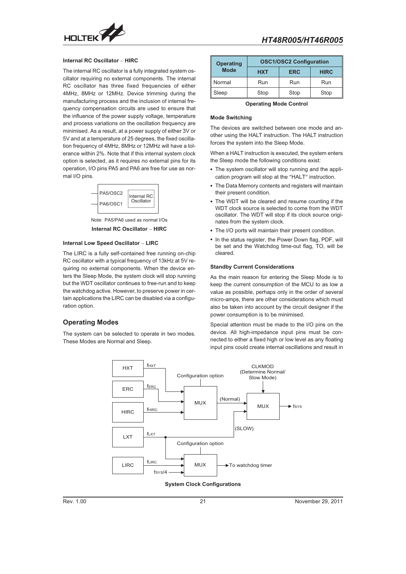<span id="page-20-0"></span>

#### **Internal RC Oscillator - HIRC**

The internal RC oscillator is a fully integrated system oscillator requiring no external components. The internal RC oscillator has three fixed frequencies of either 4MHz, 8MHz or 12MHz. Device trimming during the manufacturing process and the inclusion of internal frequency compensation circuits are used to ensure that the influence of the power supply voltage, temperature and process variations on the oscillation frequency are minimised. As a result, at a power supply of either 3V or 5V and at a temperature of 25 degrees, the fixed oscillation frequency of 4MHz, 8MHz or 12MHz will have a tolerance within 2%. Note that if this internal system clock option is selected, as it requires no external pins for its operation, I/O pins PA5 and PA6 are free for use as normal I/O pins.



**Internal RC Oscillator – HI<br>Internal Low Speed Oscillator – LIRC<br>Internal Low Speed Oscillator – LIRC** Note: PA5/PA6 used as normal I/Os

The LIRC is a fully self-contained free running on-chip RC oscillator with a typical frequency of 13kHz at 5V requiring no external components. When the device enters the Sleep Mode, the system clock will stop running but the WDT oscillator continues to free-run and to keep the watchdog active. However, to preserve power in certain applications the LIRC can be disabled via a configuration option.

#### **Operating Modes**

The system can be selected to operate in two modes. These Modes are Normal and Sleep.



| <b>Operating</b> | <b>OSC1/OSC2 Configuration</b> |      |             |  |  |  |
|------------------|--------------------------------|------|-------------|--|--|--|
| <b>Mode</b>      | <b>HXT</b><br><b>ERC</b>       |      | <b>HIRC</b> |  |  |  |
| Normal           | Run                            | Run  | Run         |  |  |  |
| Sleep            | Stop                           | Stop | Stop        |  |  |  |

**Operating Mode Control**

#### **Mode Switching**

The devices are switched between one mode and another using the HALT instruction. The HALT instruction forces the system into the Sleep Mode.

When a HALT instruction is executed, the system enters the Sleep mode the following conditions exist:

- The system oscillator will stop running and the application program will stop at the "HALT" instruction.
- The Data Memory contents and registers will maintain their present condition.
- The WDT will be cleared and resume counting if the WDT clock source is selected to come from the WDT oscillator. The WDT will stop if its clock source originates from the system clock.
- The I/O ports will maintain their present condition.
- In the status register, the Power Down flag, PDF, will be set and the Watchdog time-out flag, TO, will be cleared.

#### **Standby Current Considerations**

As the main reason for entering the Sleep Mode is to keep the current consumption of the MCU to as low a value as possible, perhaps only in the order of several micro-amps, there are other considerations which must also be taken into account by the circuit designer if the power consumption is to be minimised.

Special attention must be made to the I/O pins on the device. All high-impedance input pins must be connected to either a fixed high or low level as any floating input pins could create internal oscillations and result in



#### **System Clock Configurations**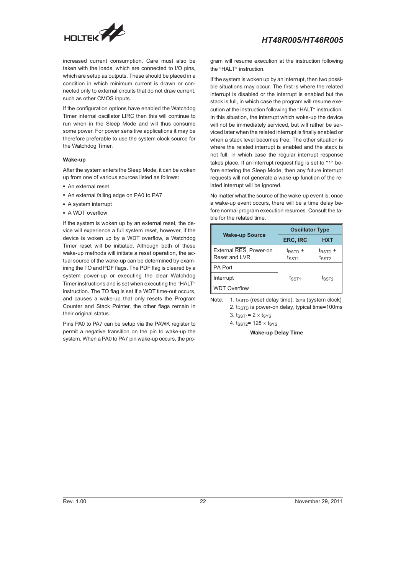

increased current consumption. Care must also be taken with the loads, which are connected to I/O pins, which are setup as outputs. These should be placed in a condition in which minimum current is drawn or connected only to external circuits that do not draw current, such as other CMOS inputs.

If the configuration options have enabled the Watchdog Timer internal oscillator LIRC then this will continue to run when in the Sleep Mode and will thus consume some power. For power sensitive applications it may be therefore preferable to use the system clock source for the Watchdog Timer.

#### **Wake-up**

After the system enters the Sleep Mode, it can be woken up from one of various sources listed as follows:

- An external reset
- An external falling edge on PA0 to PA7
- A system interrupt
- A WDT overflow

If the system is woken up by an external reset, the device will experience a full system reset, however, if the device is woken up by a WDT overflow, a Watchdog Timer reset will be initiated. Although both of these wake-up methods will initiate a reset operation, the actual source of the wake-up can be determined by examining the TO and PDF flags. The PDF flag is cleared by a system power-up or executing the clear Watchdog Timer instructions and is set when executing the "HALT" instruction. The TO flag is set if a WDT time-out occurs, and causes a wake-up that only resets the Program Counter and Stack Pointer, the other flags remain in their original status.

Pins PA0 to PA7 can be setup via the PAWK register to permit a negative transition on the pin to wake-up the system. When a PA0 to PA7 pin wake-up occurs, the program will resume execution at the instruction following the "HALT" instruction.

If the system is woken up by an interrupt, then two possible situations may occur. The first is where the related interrupt is disabled or the interrupt is enabled but the stack is full, in which case the program will resume execution at the instruction following the "HALT" instruction. In this situation, the interrupt which woke-up the device will not be immediately serviced, but will rather be serviced later when the related interrupt is finally enabled or when a stack level becomes free. The other situation is where the related interrupt is enabled and the stack is not full, in which case the regular interrupt response takes place. If an interrupt request flag is set to "1" before entering the Sleep Mode, then any future interrupt requests will not generate a wake-up function of the related interrupt will be ignored.

No matter what the source of the wake-up event is, once a wake-up event occurs, there will be a time delay before normal program execution resumes. Consult the table for the related time.

|                                         | <b>Oscillator Type</b>            |                              |  |  |
|-----------------------------------------|-----------------------------------|------------------------------|--|--|
| <b>Wake-up Source</b>                   | <b>ERC, IRC</b>                   | <b>HXT</b>                   |  |  |
| External RES, Power-on<br>Reset and LVR | $t_{\text{RSTD}} +$<br>$t_{SST1}$ | $t_{\text{RSTD}} +$<br>tsste |  |  |
| <b>PA Port</b>                          |                                   |                              |  |  |
| Interrupt                               | $t_{\text{SST1}}$                 | tsste                        |  |  |
| <b>WDT Overflow</b>                     |                                   |                              |  |  |

Note: 1.  $t_{RSTD}$  (reset delay time),  $t_{SYS}$  (system clock) 2.  $t_{RSTD}$  is power-on delay, typical time=100ms 3.  $t_{SST1} = 2 \times t_{SYS}$ 

4.  $t<sub>SST2</sub>= 128 \times t<sub>SYS</sub>$ 

**Wake-up Delay Time**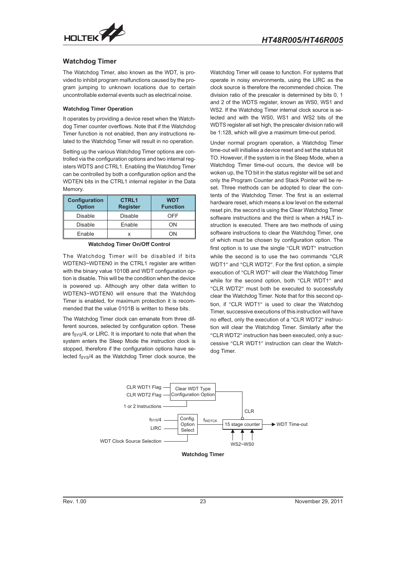<span id="page-22-0"></span>

#### **Watchdog Timer**

The Watchdog Timer, also known as the WDT, is provided to inhibit program malfunctions caused by the program jumping to unknown locations due to certain uncontrollable external events such as electrical noise.

#### **Watchdog Timer Operation**

It operates by providing a device reset when the Watchdog Timer counter overflows. Note that if the Watchdog Timer function is not enabled, then any instructions related to the Watchdog Timer will result in no operation.

Setting up the various Watchdog Timer options are controlled via the configuration options and two internal registers WDTS and CTRL1. Enabling the Watchdog Timer can be controlled by both a configuration option and the WDTEN bits in the CTRL1 internal register in the Data Memory.

| Configuration<br><b>Option</b> | <b>CTRL1</b><br><b>Register</b> | <b>WDT</b><br><b>Function</b> |  |
|--------------------------------|---------------------------------|-------------------------------|--|
| <b>Disable</b>                 | Disable                         | OFF                           |  |
| Disable                        | Enable                          | ON                            |  |
| Enable                         |                                 | ΩN                            |  |

**Watchdog Timer On/Off Control**

The Watchdog Timer will be disabled if bits WDTEN3~WDTEN0 in the CTRL1 register are written with the binary value 1010B and WDT configuration option is disable. This will be the condition when the device is powered up. Although any other data written to WDTEN3~WDTEN0 will ensure that the Watchdog Timer is enabled, for maximum protection it is recommended that the value 0101B is written to these bits.

The Watchdog Timer clock can emanate from three different sources, selected by configuration option. These are  $f_{\text{SYS}}/4$ , or LIRC. It is important to note that when the system enters the Sleep Mode the instruction clock is stopped, therefore if the configuration options have selected  $f_{SVS}/4$  as the Watchdog Timer clock source, the

Watchdog Timer will cease to function. For systems that operate in noisy environments, using the LIRC as the clock source is therefore the recommended choice. The division ratio of the prescaler is determined by bits 0, 1 and 2 of the WDTS register, known as WS0, WS1 and WS2. If the Watchdog Timer internal clock source is selected and with the WS0, WS1 and WS2 bits of the WDTS register all set high, the prescaler division ratio will be 1:128, which will give a maximum time-out period.

Under normal program operation, a Watchdog Timer time-out will initialise a device reset and set the status bit TO. However, if the system is in the Sleep Mode, when a Watchdog Timer time-out occurs, the device will be woken up, the TO bit in the status register will be set and only the Program Counter and Stack Pointer will be reset. Three methods can be adopted to clear the contents of the Watchdog Timer. The first is an external hardware reset, which means a low level on the external reset pin, the second is using the Clear Watchdog Timer software instructions and the third is when a HALT instruction is executed. There are two methods of using software instructions to clear the Watchdog Timer, one of which must be chosen by configuration option. The first option is to use the single "CLR WDT" instruction while the second is to use the two commands "CLR WDT1" and "CLR WDT2". For the first option, a simple execution of "CLR WDT" will clear the Watchdog Timer while for the second option, both "CLR WDT1" and "CLR WDT2" must both be executed to successfully clear the Watchdog Timer. Note that for this second option, if "CLR WDT1" is used to clear the Watchdog Timer, successive executions of this instruction will have no effect, only the execution of a "CLR WDT2" instruction will clear the Watchdog Timer. Similarly after the "CLR WDT2" instruction has been executed, only a successive "CLR WDT1" instruction can clear the Watchdog Timer.

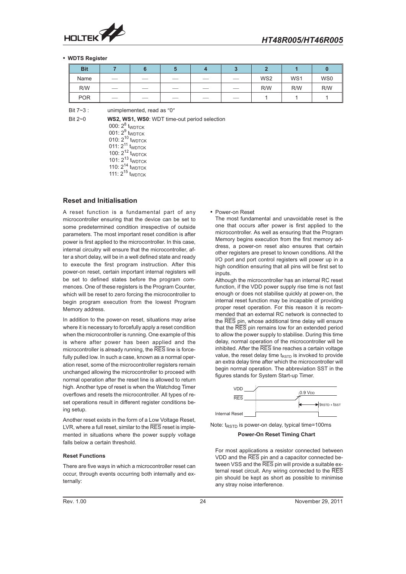<span id="page-23-0"></span>

#### **WDTS Register**

| <b>Bit</b> |                                 |     |    |     |    |                 |     |                 |
|------------|---------------------------------|-----|----|-----|----|-----------------|-----|-----------------|
| Name       | $\hspace{0.1mm}-\hspace{0.1mm}$ | __  | __ | __  |    | WS <sub>2</sub> | WS1 | WS <sub>0</sub> |
| R/W        | __                              | ___ |    | __  |    | R/W             | R/W | R/W             |
| <b>POR</b> | __                              | __  |    | ___ | __ |                 |     |                 |

Bit  $7-3$  : unimplemented, read as  $"0"$ 

Bit 2~0 **WS2, WS1, WS0**: WDT time-out period selection 000:  $2^8$  t<sub>WDTCK</sub> 001:  $2^9$ <sub>L</sub> t<sub>WDTCK</sub> 010:  $2^{10}_{11}$  t<sub>WDTCK</sub>  $011: 2^{11}$  t<sub>WDTCK</sub> 100:  $2^{12}$  two TCK 101:  $2^{13}$  twp TCK 110:  $2^{14}$  two rck

111: 2<sup>15</sup> t<sub>WDTCK</sub>

#### **Reset and Initialisation**

A reset function is a fundamental part of any microcontroller ensuring that the device can be set to some predetermined condition irrespective of outside parameters. The most important reset condition is after power is first applied to the microcontroller. In this case, internal circuitry will ensure that the microcontroller, after a short delay, will be in a well defined state and ready to execute the first program instruction. After this power-on reset, certain important internal registers will be set to defined states before the program commences. One of these registers is the Program Counter, which will be reset to zero forcing the microcontroller to begin program execution from the lowest Program Memory address.

In addition to the power-on reset, situations may arise where it is necessary to forcefully apply a reset condition when the microcontroller is running. One example of this is where after power has been applied and the microcontroller is already running, the RES line is forcefully pulled low. In such a case, known as a normal operation reset, some of the microcontroller registers remain unchanged allowing the microcontroller to proceed with normal operation after the reset line is allowed to return high. Another type of reset is when the Watchdog Timer overflows and resets the microcontroller. All types of reset operations result in different register conditions being setup.

Another reset exists in the form of a Low Voltage Reset, LVR, where a full reset, similar to the RES reset is implemented in situations where the power supply voltage falls below a certain threshold.

#### **Reset Functions**

There are five ways in which a microcontroller reset can occur, through events occurring both internally and externally:

Power-on Reset

The most fundamental and unavoidable reset is the one that occurs after power is first applied to the microcontroller. As well as ensuring that the Program Memory begins execution from the first memory address, a power-on reset also ensures that certain other registers are preset to known conditions. All the I/O port and port control registers will power up in a high condition ensuring that all pins will be first set to inputs.

Although the microcontroller has an internal RC reset function, if the VDD power supply rise time is not fast enough or does not stabilise quickly at power-on, the internal reset function may be incapable of providing proper reset operation. For this reason it is recommended that an external RC network is connected to the RES pin, whose additional time delay will ensure that the RES pin remains low for an extended period to allow the power supply to stabilise. During this time delay, normal operation of the microcontroller will be inhibited. After the RES line reaches a certain voltage value, the reset delay time  $t_{RSTD}$  is invoked to provide an extra delay time after which the microcontroller will begin normal operation. The abbreviation SST in the figures stands for System Start-up Timer.



Note:  $t_{RSTD}$  is power-on delay, typical time=100ms

#### **Power-On Reset Timing Chart**

For most applications a resistor connected between VDD and the RES pin and a capacitor connected between VSS and the RES pin will provide a suitable external reset circuit. Any wiring connected to the RES pin should be kept as short as possible to minimise any stray noise interference.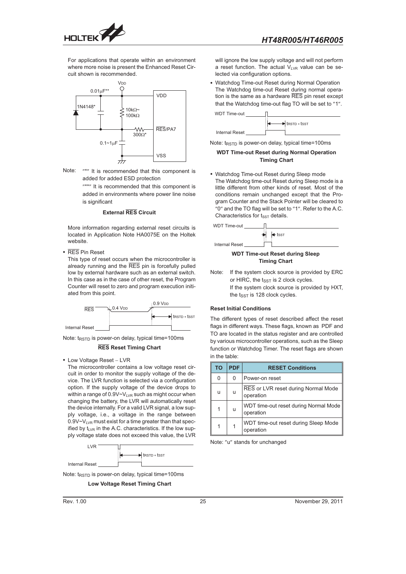

For applications that operate within an environment where more noise is present the Enhanced Reset Circuit shown is recommended.



Note: "\*" It is recommended that this component is added for added ESD protection

> "\*\*" It is recommended that this component is added in environments where power line noise is significant

#### **External RES Circuit**

More information regarding external reset circuits is located in Application Note HA0075E on the Holtek website.

RES Pin Reset

This type of reset occurs when the microcontroller is already running and the RES pin is forcefully pulled low by external hardware such as an external switch. In this case as in the case of other reset, the Program Counter will reset to zero and program execution initiated from this point.



Note:  $t_{RSTD}$  is power-on delay, typical time=100ms

#### **RES Reset Timing Chart**

• Low Voltage Reset - LVR

The microcontroller contains a low voltage reset circuit in order to monitor the supply voltage of the device. The LVR function is selected via a configuration option. If the supply voltage of the device drops to within a range of  $0.9V \sim V_{LVR}$  such as might occur when changing the battery, the LVR will automatically reset the device internally. For a valid LVR signal, a low supply voltage, i.e., a voltage in the range between  $0.9V$ <sup> $-V_{LVR}$ </sup> must exist for a time greater than that specified by  $t_{LVR}$  in the A.C. characteristics. If the low supply voltage state does not exceed this value, the LVR



Note:  $t_{RSTD}$  is power-on delay, typical time=100ms

**Low Voltage Reset Timing Chart**

will ignore the low supply voltage and will not perform a reset function. The actual  $V_{LVR}$  value can be selected via configuration options.

 Watchdog Time-out Reset during Normal Operation The Watchdog time-out Reset during normal operation is the same as a hardware RES pin reset except that the Watchdog time-out flag TO will be set to "1".



Note:  $t_{RSTD}$  is power-on delay, typical time=100ms

#### **WDT Time-out Reset during Normal Operation Timing Chart**

 Watchdog Time-out Reset during Sleep mode The Watchdog time-out Reset during Sleep mode is a little different from other kinds of reset. Most of the conditions remain unchanged except that the Program Counter and the Stack Pointer will be cleared to "0" and the TO flag will be set to "1". Refer to the A.C. Characteristics for  $t_{SST}$  details.



#### **WDT Time-out Reset during Sleep Timing Chart**

Note: If the system clock source is provided by ERC or HIRC, the  $t_{SST}$  is 2 clock cycles. If the system clock source is provided by HXT, the  $t_{SST}$  is 128 clock cycles.

#### **Reset Initial Conditions**

The different types of reset described affect the reset flags in different ways. These flags, known as PDF and TO are located in the status register and are controlled by various microcontroller operations, such as the Sleep function or Watchdog Timer. The reset flags are shown in the table:

| TO | <b>PDF</b> | <b>RESET Conditions</b>                            |
|----|------------|----------------------------------------------------|
| 0  | 0          | Power-on reset                                     |
| u  | u          | RES or LVR reset during Normal Mode<br>operation   |
| 1  | u          | WDT time-out reset during Normal Mode<br>operation |
| 1  |            | WDT time-out reset during Sleep Mode<br>operation  |

Note: "u" stands for unchanged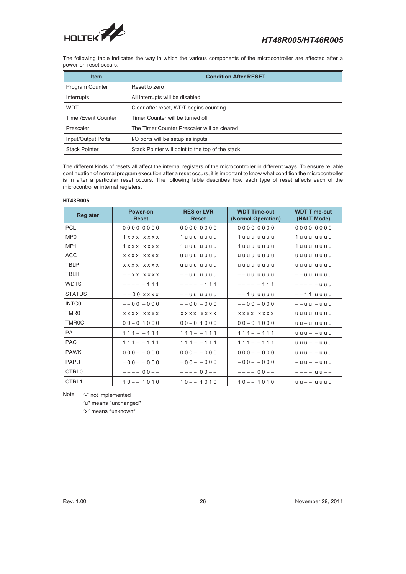

The following table indicates the way in which the various components of the microcontroller are affected after a power-on reset occurs.

| <b>Item</b>                | <b>Condition After RESET</b>                     |  |  |  |
|----------------------------|--------------------------------------------------|--|--|--|
| <b>Program Counter</b>     | Reset to zero                                    |  |  |  |
| Interrupts                 | All interrupts will be disabled                  |  |  |  |
| <b>WDT</b>                 | Clear after reset, WDT begins counting           |  |  |  |
| <b>Timer/Event Counter</b> | Timer Counter will be turned off                 |  |  |  |
| Prescaler                  | The Timer Counter Prescaler will be cleared      |  |  |  |
| Input/Output Ports         | I/O ports will be setup as inputs                |  |  |  |
| <b>Stack Pointer</b>       | Stack Pointer will point to the top of the stack |  |  |  |

The different kinds of resets all affect the internal registers of the microcontroller in different ways. To ensure reliable continuation of normal program execution after a reset occurs, it is important to know what condition the microcontroller is in after a particular reset occurs. The following table describes how each type of reset affects each of the microcontroller internal registers.

#### **HT48R005**

| <b>Register</b>   | Power-on<br><b>Reset</b> | <b>RES or LVR</b><br><b>Reset</b>              | <b>WDT Time-out</b><br>(Normal Operation) | <b>WDT Time-out</b><br>(HALT Mode) |
|-------------------|--------------------------|------------------------------------------------|-------------------------------------------|------------------------------------|
| <b>PCL</b>        | 00000000                 | 00000000                                       | 00000000                                  | 00000000                           |
| MP <sub>0</sub>   | 1xxx xxxx                | 1 u u u u u u u                                | 1 u u u u u u u                           | 1 u u u u u u u                    |
| MP <sub>1</sub>   | 1xxx xxxx                | 1 uuu uuuu                                     | 1 u u u u u u u                           | 1 u u u u u u u                    |
| <b>ACC</b>        | <b>XXXX XXXX</b>         | uuuu uuuu                                      | uuuu uuuu                                 | uuuu uuuu                          |
| <b>TBLP</b>       | <b>XXXX XXXX</b>         | uuuu uuuu                                      | uuuu uuuu                                 | uuuu uuuu                          |
| <b>TBLH</b>       | $--$ XX XXXX             | $-$ -uu uuuu                                   | $-$ -uu uuuu                              | $-$ -uu uuuu                       |
| <b>WDTS</b>       | $--- - 111$              | $----111$                                      | $--- 111$                                 |                                    |
| <b>STATUS</b>     | $--00$ x x x x           | $  \bf{u}$ $\bf{u}$ $\bf{u}$ $\bf{u}$ $\bf{u}$ | $-$ -1 $u$ uuuu                           | $--11$ uuuu                        |
| <b>INTCO</b>      | $-0.0 - 0.00$            | $-0.0 - 0.00$                                  | $--00 -000$                               | $-$ -uu-uuu                        |
| TMR <sub>0</sub>  | <b>XXXX XXXX</b>         | <b>XXXX XXXX</b>                               | XXXX XXXX                                 | uuuu uuuu                          |
| <b>TMR0C</b>      | $00 - 01000$             | $00 - 01000$                                   | $00 - 01000$                              | $u - u$ uuuu                       |
| <b>PA</b>         | $111 - - 111$            | $111 - - 111$                                  | $111 - -111$                              | $u u u - - u u u$                  |
| <b>PAC</b>        | $111 - - 111$            | $111 - -111$                                   | $111 - -111$                              | $UUU - - UUU$                      |
| <b>PAWK</b>       | $000 - 000$              | $000 - 000$                                    | $000 - 000$                               | $u u u - - u u u$                  |
| <b>PAPU</b>       | $-00 - -000$             | $-00 - -000$                                   | $-00 - -000$                              | $-$ uu $ -$ uuu                    |
| CTRL <sub>0</sub> | $--- 00---$              | $--- 00---$                                    | $--- 00---$                               | $---$ u u $---$                    |
| CTRL1             | $10 - - 1010$            | $10 - - 1010$                                  | $10 - - 1010$                             | $UU = -UUUU$                       |

Note: "-" not implemented

"u" means "unchanged"

"x" means "unknown"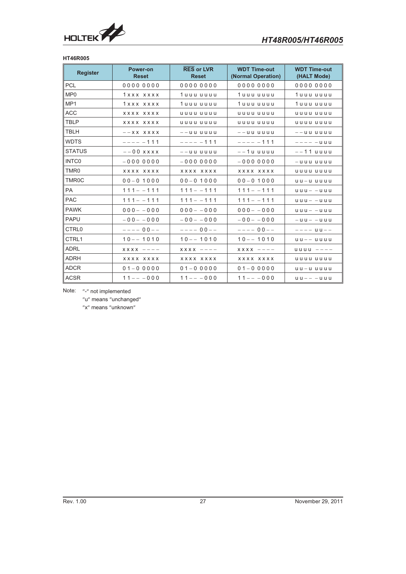

#### **HT46R005**

| <b>Register</b>   | Power-on<br><b>Reset</b> | <b>RES or LVR</b><br><b>Reset</b> | <b>WDT Time-out</b><br>(Normal Operation)                            | <b>WDT Time-out</b><br>(HALT Mode) |
|-------------------|--------------------------|-----------------------------------|----------------------------------------------------------------------|------------------------------------|
| <b>PCL</b>        | 00000000                 | 00000000                          | 00000000                                                             | 00000000                           |
| MP <sub>0</sub>   | 1xxx xxxx                | 1 u u u u u u u                   | 1 u u u u u u u                                                      | 1 uuu uuuu                         |
| MP <sub>1</sub>   | 1xxx xxxx                | 1 uuu uuuu                        | 1 u u u u u u u                                                      | 1 uuu uuuu                         |
| <b>ACC</b>        | XXXX XXXX                | uuuu uuuu                         | uuuu uuuu                                                            | uuuu uuuu                          |
| <b>TBLP</b>       | <b>XXXX XXXX</b>         | uuuu uuuu                         | uuuu uuuu                                                            | uuuu uuuu                          |
| <b>TBLH</b>       | $--$ X X X X X X         | $-$ -uu uuuu                      | $-$ -uu uuuu                                                         | $-$ -uu uuuu                       |
| <b>WDTS</b>       | $--- - 111$              | $--- - 111$                       | $--- - 111$                                                          | $--    u$ $u$ $u$                  |
| <b>STATUS</b>     | $--00$ x x x x           | $-$ -uu uuuu                      | $-$ -1 $u$ uuuu                                                      | $--11$ uuuu                        |
| <b>INTCO</b>      | $-0000000$               | $-0000000$                        | $-0000000$                                                           | $-$ uuu uuuu                       |
| TMR <sub>0</sub>  | xxxx xxxx                | XXXX XXXX                         | XXXX XXXX                                                            | uuuu uuuu                          |
| <b>TMR0C</b>      | $00 - 01000$             | $00 - 01000$                      | $00 - 01000$                                                         | $u - u$ uuuu                       |
| <b>PA</b>         | $111 - -111$             | $111 - -111$                      | $111 - -111$                                                         | $u u u - - u u u$                  |
| <b>PAC</b>        | $111 - -111$             | $111 - -111$                      | $111 - -111$                                                         | $u u u - - u u u$                  |
| <b>PAWK</b>       | $000 - -000$             | $000 - -000$                      | $000 - -000$                                                         | $u u u - - u u u$                  |
| <b>PAPU</b>       | $-00 - -000$             | $-00 - -000$                      | $-00 - -000$                                                         | $-$ uu $-$ -uuu                    |
| CTRL <sub>0</sub> | $--- 00---$              | $--- 00---$                       | $--- 00---$                                                          | $---$ u u $---$                    |
| CTRL1             | $10 - - 1010$            | $10 - - 1010$                     | $10 - - 1010$                                                        | $uu--uuuu$                         |
| <b>ADRL</b>       | $X$ X X X $-$ - - -      | $XXX$ $---$                       | $\begin{array}{ccc} \times \times \times \times & - & - \end{array}$ | $u$ uuu ----                       |
| <b>ADRH</b>       | XXXX XXXX                | XXXX XXXX                         | XXXX XXXX                                                            | uuuu uuuu                          |
| <b>ADCR</b>       | $01 - 00000$             | $01 - 00000$                      | $01 - 00000$                                                         | $u - u$ uuuu                       |
| <b>ACSR</b>       | $11 - - 000$             | $11 - - 000$                      | $11 - - 000$                                                         | $u u - - - u u u$                  |

Note: "-" not implemented

"u" means "unchanged"

"x" means "unknown"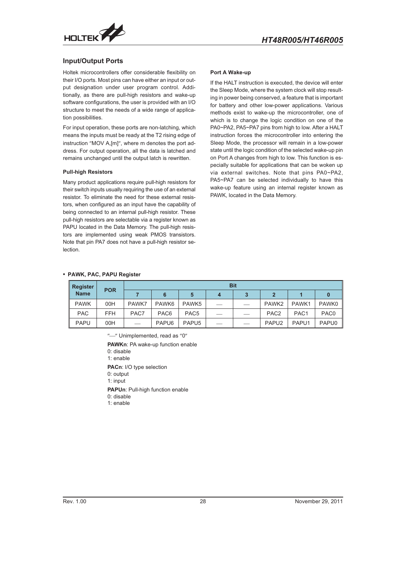<span id="page-27-0"></span>

#### **Input/Output Ports**

Holtek microcontrollers offer considerable flexibility on their I/O ports. Most pins can have either an input or output designation under user program control. Additionally, as there are pull-high resistors and wake-up software configurations, the user is provided with an I/O structure to meet the needs of a wide range of application possibilities.

For input operation, these ports are non-latching, which means the inputs must be ready at the T2 rising edge of instruction "MOV A,[m]", where m denotes the port address. For output operation, all the data is latched and remains unchanged until the output latch is rewritten.

#### **Pull-high Resistors**

Many product applications require pull-high resistors for their switch inputs usually requiring the use of an external resistor. To eliminate the need for these external resistors, when configured as an input have the capability of being connected to an internal pull-high resistor. These pull-high resistors are selectable via a register known as PAPU located in the Data Memory. The pull-high resistors are implemented using weak PMOS transistors. Note that pin PA7 does not have a pull-high resistor selection.

#### **Port A Wake-up**

If the HALT instruction is executed, the device will enter the Sleep Mode, where the system clock will stop resulting in power being conserved, a feature that is important for battery and other low-power applications. Various methods exist to wake-up the microcontroller, one of which is to change the logic condition on one of the PA0~PA2, PA5~PA7 pins from high to low. After a HALT instruction forces the microcontroller into entering the Sleep Mode, the processor will remain in a low-power state until the logic condition of the selected wake-up pin on Port A changes from high to low. This function is especially suitable for applications that can be woken up via external switches. Note that pins PA0~PA2, PA5~PA7 can be selected individually to have this wake-up feature using an internal register known as PAWK, located in the Data Memory.

#### **PAWK, PAC, PAPU Register**

| <b>Register</b> |            | <b>Bit</b>               |                   |                   |  |                          |                   |                  |                  |
|-----------------|------------|--------------------------|-------------------|-------------------|--|--------------------------|-------------------|------------------|------------------|
| <b>Name</b>     | <b>POR</b> |                          | 6                 | 5                 |  |                          | $\mathbf{2}$      |                  |                  |
| <b>PAWK</b>     | 00H        | PAWK7                    | PAWK <sub>6</sub> | PAWK <sub>5</sub> |  |                          | PAWK2             | PAWK1            | PAWK0            |
| <b>PAC</b>      | <b>FFH</b> | PAC7                     | PAC <sub>6</sub>  | PAC <sub>5</sub>  |  |                          | PAC <sub>2</sub>  | PAC <sub>1</sub> | PAC <sub>0</sub> |
| <b>PAPU</b>     | 00H        | $\overline{\phantom{0}}$ | PAPU <sub>6</sub> | PAPU <sub>5</sub> |  | $\overline{\phantom{a}}$ | PAPU <sub>2</sub> | PAPU1            | PAPU0            |

"-" Unimplemented, read as "0"

**PAWKn: PA wake-up function enable** 

0: disable

1: enable

**PACn**: I/O type selection

0: output

1: input

**PAPUn**: Pull-high function enable

0: disable

1: enable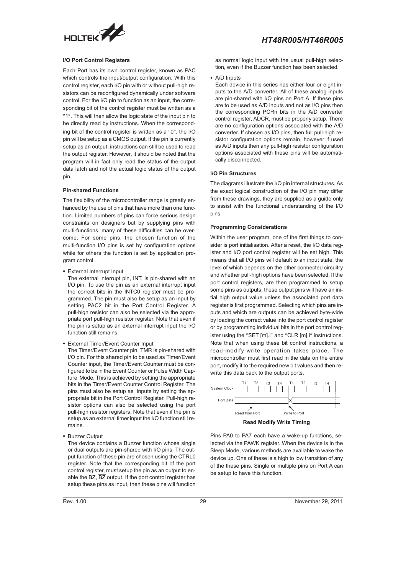

#### **I/O Port Control Registers**

Each Port has its own control register, known as PAC which controls the input/output configuration. With this control register, each I/O pin with or without pull-high resistors can be reconfigured dynamically under software control. For the I/O pin to function as an input, the corresponding bit of the control register must be written as a "1". This will then allow the logic state of the input pin to be directly read by instructions. When the corresponding bit of the control register is written as a  $"0"$ , the I/O pin will be setup as a CMOS output. If the pin is currently setup as an output, instructions can still be used to read the output register. However, it should be noted that the program will in fact only read the status of the output data latch and not the actual logic status of the output pin.

#### **Pin-shared Functions**

The flexibility of the microcontroller range is greatly enhanced by the use of pins that have more than one function. Limited numbers of pins can force serious design constraints on designers but by supplying pins with multi-functions, many of these difficulties can be overcome. For some pins, the chosen function of the multi-function I/O pins is set by configuration options while for others the function is set by application program control.

External Interrupt Input

The external interrupt pin, INT, is pin-shared with an I/O pin. To use the pin as an external interrupt input the correct bits in the INTC0 register must be programmed. The pin must also be setup as an input by setting PAC2 bit in the Port Control Register. A pull-high resistor can also be selected via the appropriate port pull-high resistor register. Note that even if the pin is setup as an external interrupt input the I/O function still remains.

External Timer/Event Counter Input

The Timer/Event Counter pin, TMR is pin-shared with I/O pin. For this shared pin to be used as Timer/Event Counter input, the Timer/Event Counter must be configured to be in the Event Counter or Pulse Width Capture Mode. This is achieved by setting the appropriate bits in the Timer/Event Counter Control Register. The pins must also be setup as inputs by setting the appropriate bit in the Port Control Register. Pull-high resistor options can also be selected using the port pull-high resistor registers. Note that even if the pin is setup as an external timer input the I/O function still remains.

Buzzer Output

The device contains a Buzzer function whose single or dual outputs are pin-shared with I/O pins. The output function of these pin are chosen using the CTRL0 register. Note that the corresponding bit of the port control register, must setup the pin as an output to enable the BZ,  $\overline{BZ}$  output. If the port control register has setup these pins as input, then these pins will function

as normal logic input with the usual pull-high selection, even if the Buzzer function has been selected.

#### A/D Inputs

Each device in this series has either four or eight inputs to the A/D converter. All of these analog inputs are pin-shared with I/O pins on Port A. If these pins are to be used as A/D inputs and not as I/O pins then the corresponding PCRn bits in the A/D converter control register, ADCR, must be properly setup. There are no configuration options associated with the A/D converter. If chosen as I/O pins, then full pull-high resistor configuration options remain, however if used as A/D inputs then any pull-high resistor configuration options associated with these pins will be automatically disconnected.

#### **I/O Pin Structures**

The diagrams illustrate the I/O pin internal structures. As the exact logical construction of the I/O pin may differ from these drawings, they are supplied as a guide only to assist with the functional understanding of the I/O pins.

#### **Programming Considerations**

Within the user program, one of the first things to consider is port initialisation. After a reset, the I/O data register and I/O port control register will be set high. This means that all I/O pins will default to an input state, the level of which depends on the other connected circuitry and whether pull-high options have been selected. If the port control registers, are then programmed to setup some pins as outputs, these output pins will have an initial high output value unless the associated port data register is first programmed. Selecting which pins are inputs and which are outputs can be achieved byte-wide by loading the correct value into the port control register or by programming individual bits in the port control register using the "SET [m].i" and "CLR [m].i" instructions. Note that when using these bit control instructions, a read-modify-write operation takes place. The microcontroller must first read in the data on the entire port, modify it to the required new bit values and then rewrite this data back to the output ports.



Pins PA0 to PA7 each have a wake-up functions, selected via the PAWK register. When the device is in the Sleep Mode, various methods are available to wake the device up. One of these is a high to low transition of any of the these pins. Single or multiple pins on Port A can be setup to have this function.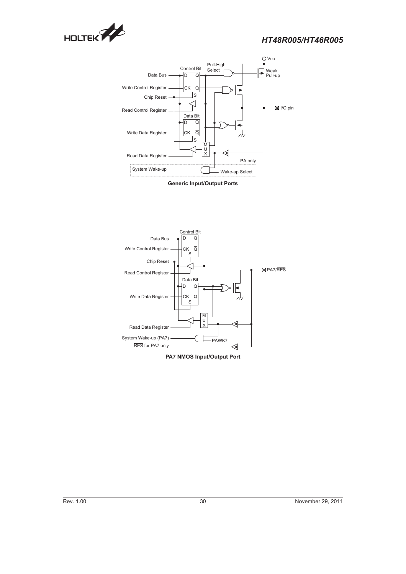



**Generic Input/Output Ports**



**PA7 NMOS Input/Output Port**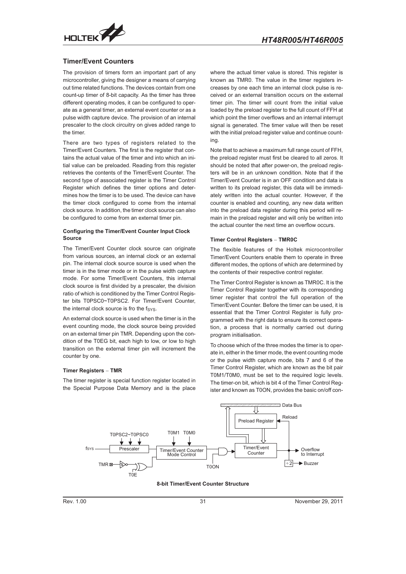<span id="page-30-0"></span>

#### **Timer/Event Counters**

The provision of timers form an important part of any microcontroller, giving the designer a means of carrying out time related functions. The devices contain from one count-up timer of 8-bit capacity. As the timer has three different operating modes, it can be configured to operate as a general timer, an external event counter or as a pulse width capture device. The provision of an internal prescaler to the clock circuitry on gives added range to the timer.

There are two types of registers related to the Timer/Event Counters. The first is the register that contains the actual value of the timer and into which an initial value can be preloaded. Reading from this register retrieves the contents of the Timer/Event Counter. The second type of associated register is the Timer Control Register which defines the timer options and determines how the timer is to be used. The device can have the timer clock configured to come from the internal clock source. In addition, the timer clock source can also be configured to come from an external timer pin.

#### **Configuring the Timer/Event Counter Input Clock Source**

The Timer/Event Counter clock source can originate from various sources, an internal clock or an external pin. The internal clock source source is used when the timer is in the timer mode or in the pulse width capture mode. For some Timer/Event Counters, this internal clock source is first divided by a prescaler, the division ratio of which is conditioned by the Timer Control Register bits T0PSC0~T0PSC2. For Timer/Event Counter, the internal clock source is fro the  $f_{SYS}$ .

An external clock source is used when the timer is in the event counting mode, the clock source being provided on an external timer pin TMR. Depending upon the condition of the T0EG bit, each high to low, or low to high transition on the external timer pin will increment the **Timer Registers** counter by one.

#### **Timer Registers - TMR**

The timer register is special function register located in the Special Purpose Data Memory and is the place

where the actual timer value is stored. This register is known as TMR0. The value in the timer registers increases by one each time an internal clock pulse is received or an external transition occurs on the external timer pin. The timer will count from the initial value loaded by the preload register to the full count of FFH at which point the timer overflows and an internal interrupt signal is generated. The timer value will then be reset with the initial preload register value and continue counting.

Note that to achieve a maximum full range count of FFH, the preload register must first be cleared to all zeros. It should be noted that after power-on, the preload registers will be in an unknown condition. Note that if the Timer/Event Counter is in an OFF condition and data is written to its preload register, this data will be immediately written into the actual counter. However, if the counter is enabled and counting, any new data written into the preload data register during this period will remio the preload data register during this period will re-<br>
main in the preload register and will only be written into<br>
the actual counter the next time an overflow occurs.<br> **Timer Control Registers – TMR0C** the actual counter the next time an overflow occurs.

#### **Timer Control Registers - TMR0C**

The flexible features of the Holtek microcontroller Timer/Event Counters enable them to operate in three different modes, the options of which are determined by the contents of their respective control register.

The Timer Control Register is known as TMR0C. It is the Timer Control Register together with its corresponding timer register that control the full operation of the Timer/Event Counter. Before the timer can be used, it is essential that the Timer Control Register is fully programmed with the right data to ensure its correct operation, a process that is normally carried out during program initialisation.

To choose which of the three modes the timer is to operate in, either in the timer mode, the event counting mode or the pulse width capture mode, bits 7 and 6 of the Timer Control Register, which are known as the bit pair T0M1/T0M0, must be set to the required logic levels. The timer-on bit, which is bit 4 of the Timer Control Register and known as T0ON, provides the basic on/off con-



**8-bit Timer/Event Counter Structure**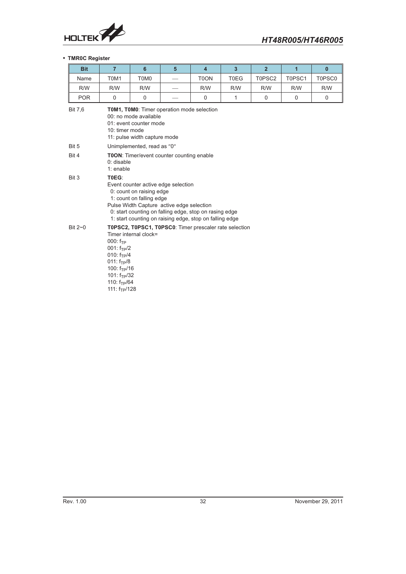

#### **TMR0C Register**

| <b>Bit</b>     | $\overline{7}$                                                                                                                                                                                                                                                         | $6\phantom{1}$                                   | 5 | $\overline{4}$    | $\overline{3}$ | $\overline{2}$ | $\overline{1}$ | $\mathbf{0}$ |  |
|----------------|------------------------------------------------------------------------------------------------------------------------------------------------------------------------------------------------------------------------------------------------------------------------|--------------------------------------------------|---|-------------------|----------------|----------------|----------------|--------------|--|
| Name           | T0M1                                                                                                                                                                                                                                                                   | T0M0                                             |   | T <sub>0</sub> ON | T0EG           | T0PSC2         | T0PSC1         | T0PSC0       |  |
| R/W            | R/W                                                                                                                                                                                                                                                                    | R/W                                              |   | R/W               | R/W            | R/W            | R/W            | R/W          |  |
| <b>POR</b>     | 0                                                                                                                                                                                                                                                                      | $\mathbf 0$                                      |   | $\mathbf 0$       | 1              | $\mathbf 0$    | $\mathbf 0$    | $\mathbf 0$  |  |
| <b>Bit 7.6</b> | TOM1, TOM0: Timer operation mode selection<br>00: no mode available<br>01: event counter mode<br>10: timer mode<br>11: pulse width capture mode                                                                                                                        |                                                  |   |                   |                |                |                |              |  |
| Bit 5          |                                                                                                                                                                                                                                                                        | Unimplemented, read as "0"                       |   |                   |                |                |                |              |  |
| Bit 4          | $0:$ disable<br>1: enable                                                                                                                                                                                                                                              | <b>T0ON:</b> Timer/event counter counting enable |   |                   |                |                |                |              |  |
| Bit 3          | T0EG:<br>Event counter active edge selection<br>0: count on raising edge<br>1: count on falling edge<br>Pulse Width Capture active edge selection<br>0: start counting on falling edge, stop on rasing edge<br>1: start counting on raising edge, stop on falling edge |                                                  |   |                   |                |                |                |              |  |
| Bit $2\neg$ 0  | T0PSC2, T0PSC1, T0PSC0: Timer prescaler rate selection<br>Timer internal clock=<br>$000: f_{TP}$<br>$001: f_{TP}/2$<br>010: $f_{TP}/4$<br>$011: f_{TP}/8$<br>100: $f_{TP}/16$<br>101: $f_{TP}/32$<br>110: $f_{TP}/64$<br>111: $f_{TP}/128$                             |                                                  |   |                   |                |                |                |              |  |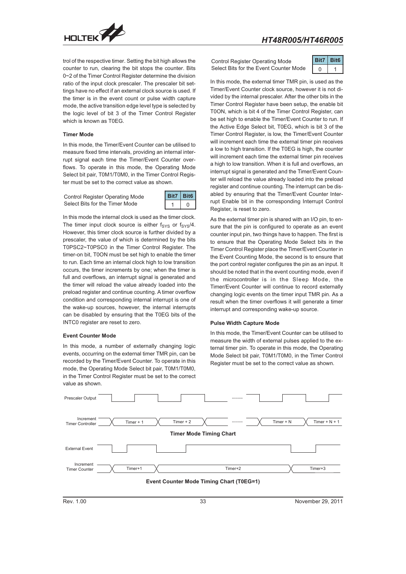

trol of the respective timer. Setting the bit high allows the counter to run, clearing the bit stops the counter. Bits 0~2 of the Timer Control Register determine the division ratio of the input clock prescaler. The prescaler bit settings have no effect if an external clock source is used. If the timer is in the event count or pulse width capture mode, the active transition edge level type is selected by the logic level of bit 3 of the Timer Control Register which is known as T0EG.

#### **Timer Mode**

In this mode, the Timer/Event Counter can be utilised to measure fixed time intervals, providing an internal interrupt signal each time the Timer/Event Counter overflows. To operate in this mode, the Operating Mode Select bit pair, T0M1/T0M0, in the Timer Control Register must be set to the correct value as shown.

Control Register Operating Mode Select Bits for the Timer Mode



In this mode the internal clock is used as the timer clock. The timer input clock source is either  $f_{\text{SYS}}$  or  $f_{\text{SYS}}/4$ . However, this timer clock source is further divided by a prescaler, the value of which is determined by the bits T0PSC2~T0PSC0 in the Timer Control Register. The timer-on bit, T0ON must be set high to enable the timer to run. Each time an internal clock high to low transition occurs, the timer increments by one; when the timer is full and overflows, an interrupt signal is generated and the timer will reload the value already loaded into the preload register and continue counting. A timer overflow condition and corresponding internal interrupt is one of the wake-up sources, however, the internal interrupts can be disabled by ensuring that the T0EG bits of the INTC0 register are reset to zero.

#### **Event Counter Mode**

In this mode, a number of externally changing logic events, occurring on the external timer TMR pin, can be recorded by the Timer/Event Counter. To operate in this mode, the Operating Mode Select bit pair, T0M1/T0M0, in the Timer Control Register must be set to the correct value as shown.

Control Register Operating Mode Select Bits for the Event Counter Mode



In this mode, the external timer TMR pin, is used as the Timer/Event Counter clock source, however it is not divided by the internal prescaler. After the other bits in the Timer Control Register have been setup, the enable bit T0ON, which is bit 4 of the Timer Control Register, can be set high to enable the Timer/Event Counter to run. If the Active Edge Select bit, T0EG, which is bit 3 of the Timer Control Register, is low, the Timer/Event Counter will increment each time the external timer pin receives a low to high transition. If the T0EG is high, the counter will increment each time the external timer pin receives a high to low transition. When it is full and overflows, an interrupt signal is generated and the Timer/Event Counter will reload the value already loaded into the preload register and continue counting. The interrupt can be disabled by ensuring that the Timer/Event Counter Interrupt Enable bit in the corresponding Interrupt Control Register, is reset to zero.

As the external timer pin is shared with an I/O pin, to ensure that the pin is configured to operate as an event counter input pin, two things have to happen. The first is to ensure that the Operating Mode Select bits in the Timer Control Register place the Timer/Event Counter in the Event Counting Mode, the second is to ensure that the port control register configures the pin as an input. It should be noted that in the event counting mode, even if the microcontroller is in the Sleep Mode, the Timer/Event Counter will continue to record externally changing logic events on the timer input TMR pin. As a result when the timer overflows it will generate a timer interrupt and corresponding wake-up source.

#### **Pulse Width Capture Mode**

In this mode, the Timer/Event Counter can be utilised to measure the width of external pulses applied to the external timer pin. To operate in this mode, the Operating Mode Select bit pair, T0M1/T0M0, in the Timer Control Register must be set to the correct value as shown.

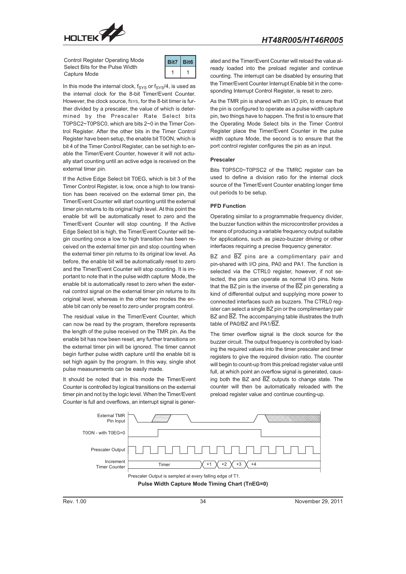

Control Register Operating Mode Select Bits for the Pulse Width Capture Mode



In this mode the internal clock,  $f_{SYS}$  or  $f_{SYS}/4$ , is used as the internal clock for the 8-bit Timer/Event Counter. However, the clock source, fsys, for the 8-bit timer is further divided by a prescaler, the value of which is determined by the Prescaler Rate Select bits T0PSC2~T0PSC0, which are bits 2~0 in the Timer Control Register. After the other bits in the Timer Control Register have been setup, the enable bit T0ON, which is bit 4 of the Timer Control Register, can be set high to enable the Timer/Event Counter, however it will not actually start counting until an active edge is received on the external timer pin.

If the Active Edge Select bit T0EG, which is bit 3 of the Timer Control Register, is low, once a high to low transition has been received on the external timer pin, the Timer/Event Counter will start counting until the external timer pin returns to its original high level. At this point the enable bit will be automatically reset to zero and the Timer/Event Counter will stop counting. If the Active Edge Select bit is high, the Timer/Event Counter will begin counting once a low to high transition has been received on the external timer pin and stop counting when the external timer pin returns to its original low level. As before, the enable bit will be automatically reset to zero and the Timer/Event Counter will stop counting. It is important to note that in the pulse width capture Mode, the enable bit is automatically reset to zero when the external control signal on the external timer pin returns to its original level, whereas in the other two modes the enable bit can only be reset to zero under program control.

The residual value in the Timer/Event Counter, which can now be read by the program, therefore represents the length of the pulse received on the TMR pin. As the enable bit has now been reset, any further transitions on the external timer pin will be ignored. The timer cannot begin further pulse width capture until the enable bit is set high again by the program. In this way, single shot pulse measurements can be easily made.

It should be noted that in this mode the Timer/Event Counter is controlled by logical transitions on the external timer pin and not by the logic level. When the Timer/Event Counter is full and overflows, an interrupt signal is gener-

ated and the Timer/Event Counter will reload the value already loaded into the preload register and continue counting. The interrupt can be disabled by ensuring that the Timer/Event Counter Interrupt Enable bit in the corresponding Interrupt Control Register, is reset to zero.

As the TMR pin is shared with an I/O pin, to ensure that the pin is configured to operate as a pulse width capture pin, two things have to happen. The first is to ensure that the Operating Mode Select bits in the Timer Control Register place the Timer/Event Counter in the pulse width capture Mode, the second is to ensure that the port control register configures the pin as an input.

#### **Prescaler**

Bits T0PSC0~T0PSC2 of the TMRC register can be used to define a division ratio for the internal clock source of the Timer/Event Counter enabling longer time out periods to be setup.

#### **PFD Function**

Operating similar to a programmable frequency divider, the buzzer function within the microcontroller provides a means of producing a variable frequency output suitable for applications, such as piezo-buzzer driving or other interfaces requiring a precise frequency generator.

BZ and  $\overline{BZ}$  pins are a complimentary pair and pin-shared with I/O pins, PA0 and PA1. The function is selected via the CTRL0 register, however, if not selected, the pins can operate as normal I/O pins. Note that the BZ pin is the inverse of the  $\overline{BZ}$  pin generating a kind of differential output and supplying more power to connected interfaces such as buzzers. The CTRL0 register can select a single BZ pin or the complimentary pair BZ and  $\overline{BZ}$ . The accompanying table illustrates the truth table of PA0/BZ and PA1/BZ.

The timer overflow signal is the clock source for the buzzer circuit. The output frequency is controlled by loading the required values into the timer prescaler and timer registers to give the required division ratio. The counter will begin to count-up from this preload register value until full, at which point an overflow signal is generated, causing both the BZ and  $\overline{BZ}$  outputs to change state. The counter will then be automatically reloaded with the preload register value and continue counting-up.

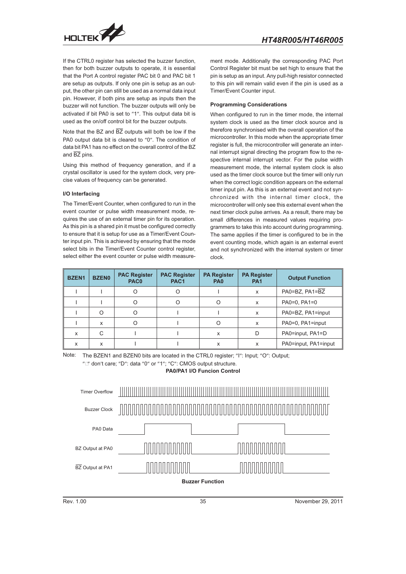

If the CTRL0 register has selected the buzzer function, then for both buzzer outputs to operate, it is essential that the Port A control register PAC bit 0 and PAC bit 1 are setup as outputs. If only one pin is setup as an output, the other pin can still be used as a normal data input pin. However, if both pins are setup as inputs then the buzzer will not function. The buzzer outputs will only be activated if bit PA0 is set to "1". This output data bit is used as the on/off control bit for the buzzer outputs.

Note that the BZ and  $\overline{BZ}$  outputs will both be low if the PA0 output data bit is cleared to "0". The condition of data bit PA1 has no effect on the overall control of the BZ and  $\overline{BZ}$  pins.

Using this method of frequency generation, and if a crystal oscillator is used for the system clock, very precise values of frequency can be generated.

#### **I/O Interfacing**

The Timer/Event Counter, when configured to run in the event counter or pulse width measurement mode, requires the use of an external timer pin for its operation. As this pin is a shared pin it must be configured correctly to ensure that it is setup for use as a Timer/Event Counter input pin. This is achieved by ensuring that the mode select bits in the Timer/Event Counter control register, select either the event counter or pulse width measure-

ment mode. Additionally the corresponding PAC Port Control Register bit must be set high to ensure that the pin is setup as an input. Any pull-high resistor connected to this pin will remain valid even if the pin is used as a Timer/Event Counter input.

#### **Programming Considerations**

When configured to run in the timer mode, the internal system clock is used as the timer clock source and is therefore synchronised with the overall operation of the microcontroller. In this mode when the appropriate timer register is full, the microcontroller will generate an internal interrupt signal directing the program flow to the respective internal interrupt vector. For the pulse width measurement mode, the internal system clock is also used as the timer clock source but the timer will only run when the correct logic condition appears on the external timer input pin. As this is an external event and not synchronized with the internal timer clock, the microcontroller will only see this external event when the next timer clock pulse arrives. As a result, there may be small differences in measured values requiring programmers to take this into account during programming. The same applies if the timer is configured to be in the event counting mode, which again is an external event and not synchronized with the internal system or timer clock.

| <b>BZEN1</b>              | <b>BZEN0</b> | <b>PAC Register</b><br>PAC <sub>0</sub> | <b>PAC Register</b><br>PAC <sub>1</sub> | <b>PA Register</b><br>PA <sub>0</sub> | <b>PA Register</b><br><b>PA1</b> | <b>Output Function</b> |
|---------------------------|--------------|-----------------------------------------|-----------------------------------------|---------------------------------------|----------------------------------|------------------------|
|                           |              | ∩                                       | O                                       |                                       | X                                | PA0=BZ, PA1=BZ         |
|                           |              |                                         | O                                       |                                       | X                                | $PA0=0, PA1=0$         |
|                           | O            |                                         |                                         |                                       | X                                | PA0=BZ, PA1=input      |
|                           | X            |                                         |                                         | $\Omega$                              | X                                | PA0=0, PA1=input       |
| $\boldsymbol{\mathsf{x}}$ | C            |                                         |                                         | x                                     | D                                | PA0=input, PA1=D       |
| X                         | X            |                                         |                                         | x                                     | x                                | PA0=input, PA1=input   |

Note: The BZEN1 and BZEN0 bits are located in the CTRL0 register; "I": Input; "O": Output;

" $\Box$ " don't care; "D": data "0" or "1"; "C": CMOS output structure. **PA0/PA1 I/O Funcion Control**

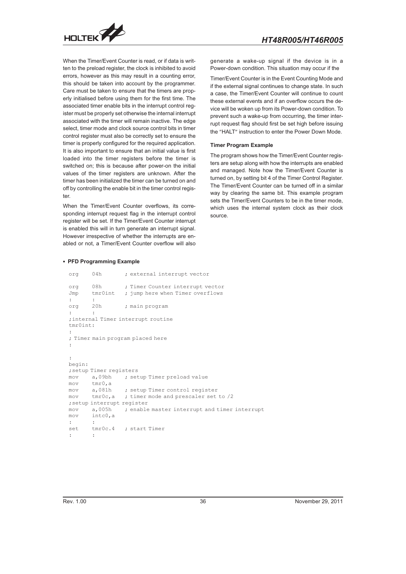

When the Timer/Event Counter is read, or if data is written to the preload register, the clock is inhibited to avoid errors, however as this may result in a counting error, this should be taken into account by the programmer. Care must be taken to ensure that the timers are properly initialised before using them for the first time. The associated timer enable bits in the interrupt control register must be properly set otherwise the internal interrupt associated with the timer will remain inactive. The edge select, timer mode and clock source control bits in timer control register must also be correctly set to ensure the timer is properly configured for the required application. It is also important to ensure that an initial value is first loaded into the timer registers before the timer is switched on; this is because after power-on the initial values of the timer registers are unknown. After the timer has been initialized the timer can be turned on and off by controlling the enable bit in the timer control register.

When the Timer/Event Counter overflows, its corresponding interrupt request flag in the interrupt control register will be set. If the Timer/Event Counter interrupt is enabled this will in turn generate an interrupt signal. However irrespective of whether the interrupts are enabled or not, a Timer/Event Counter overflow will also

generate a wake-up signal if the device is in a Power-down condition. This situation may occur if the

Timer/Event Counter is in the Event Counting Mode and if the external signal continues to change state. In such a case, the Timer/Event Counter will continue to count these external events and if an overflow occurs the device will be woken up from its Power-down condition. To prevent such a wake-up from occurring, the timer interrupt request flag should first be set high before issuing the "HALT" instruction to enter the Power Down Mode.

#### **Timer Program Example**

The program shows how the Timer/Event Counter registers are setup along with how the interrupts are enabled and managed. Note how the Timer/Event Counter is turned on, by setting bit 4 of the Timer Control Register. The Timer/Event Counter can be turned off in a similar way by clearing the same bit. This example program sets the Timer/Event Counters to be in the timer mode, which uses the internal system clock as their clock source.

#### **PFD Programming Example**

| org      | 04h                        | ; external interrupt vector                              |
|----------|----------------------------|----------------------------------------------------------|
|          | org 08h                    | ; Timer Counter interrupt vector                         |
|          | Jmp tmr0int                | ; jump here when Timer overflows                         |
|          |                            |                                                          |
|          | org 20h                    | ; main program                                           |
|          | $\ddot{\phantom{a}}$       |                                                          |
|          |                            | ; internal Timer interrupt routine                       |
| tmr0int: |                            |                                                          |
|          |                            |                                                          |
|          |                            | ; Timer main program placed here                         |
|          |                            |                                                          |
|          |                            |                                                          |
|          |                            |                                                          |
| begin:   |                            |                                                          |
|          | ; setup Timer registers    |                                                          |
|          |                            | mov a,09bh ; setup Timer preload value                   |
|          | mov tmr0, a                |                                                          |
|          |                            | mov a,081h ; setup Timer control register                |
|          |                            | $mov$ tmr0c, a ; timer mode and prescaler set to $/2$    |
|          | ; setup interrupt register |                                                          |
|          |                            | mov a,005h ; enable master interrupt and timer interrupt |
|          | $mov$ intc0,a              |                                                          |
|          |                            |                                                          |
|          |                            | set tmr0c.4 ; start Timer                                |
|          | ÷                          |                                                          |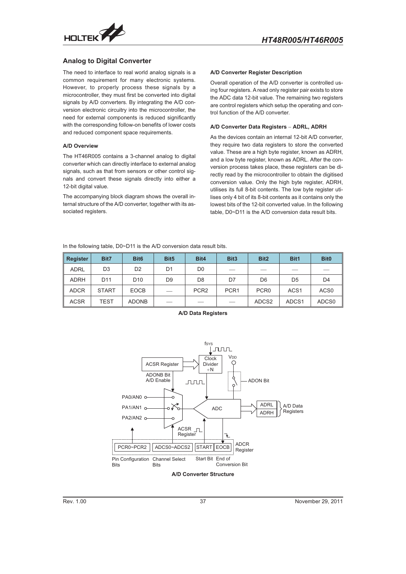<span id="page-36-0"></span>

#### **Analog to Digital Converter**

The need to interface to real world analog signals is a common requirement for many electronic systems. However, to properly process these signals by a microcontroller, they must first be converted into digital signals by A/D converters. By integrating the A/D conversion electronic circuitry into the microcontroller, the need for external components is reduced significantly with the corresponding follow-on benefits of lower costs and reduced component space requirements.

#### **A/D Overview**

The HT46R005 contains a 3-channel analog to digital converter which can directly interface to external analog signals, such as that from sensors or other control signals and convert these signals directly into either a 12-bit digital value.

The accompanying block diagram shows the overall internal structure of the A/D converter, together with its associated registers.

#### **A/D Converter Register Description**

Overall operation of the A/D converter is controlled using four registers. A read only register pair exists to store the ADC data 12-bit value. The remaining two registers are control registers which setup the operating and control function of the A/D converter. are control registers which setup the operating are control registers which setup the operating are trol function of the A/D converter.<br> **A/D Converter Data Registers – ADRL, ADRH** 

As the devices contain an internal 12-bit A/D converter, they require two data registers to store the converted value. These are a high byte register, known as ADRH, and a low byte register, known as ADRL. After the conversion process takes place, these registers can be directly read by the microcontroller to obtain the digitised conversion value. Only the high byte register, ADRH, utilises its full 8-bit contents. The low byte register utilises only 4 bit of its 8-bit contents as it contains only the lowest bits of the 12-bit converted value. In the following table, D0~D11 is the A/D conversion data result bits.

In the following table, D0~D11 is the A/D conversion data result bits.

| Register    | Bit7            | Bit <sub>6</sub> | Bit <sub>5</sub> | Bit4             | Bit <sub>3</sub> | Bit <sub>2</sub>  | Bit1              | <b>Bit0</b>      |
|-------------|-----------------|------------------|------------------|------------------|------------------|-------------------|-------------------|------------------|
| <b>ADRL</b> | D <sub>3</sub>  | D <sub>2</sub>   | D1               | D <sub>0</sub>   | ___              |                   |                   |                  |
| <b>ADRH</b> | D <sub>11</sub> | D <sub>10</sub>  | D <sub>9</sub>   | D <sub>8</sub>   | D7               | D <sub>6</sub>    | D <sub>5</sub>    | D4               |
| <b>ADCR</b> | <b>START</b>    | <b>EOCB</b>      | __               | PCR <sub>2</sub> | PCR <sub>1</sub> | PCR <sub>0</sub>  | ACS <sub>1</sub>  | ACS <sub>0</sub> |
| <b>ACSR</b> | TEST            | <b>ADONB</b>     |                  |                  |                  | ADCS <sub>2</sub> | ADCS <sub>1</sub> | ADCS0            |



**A/D Data Registers**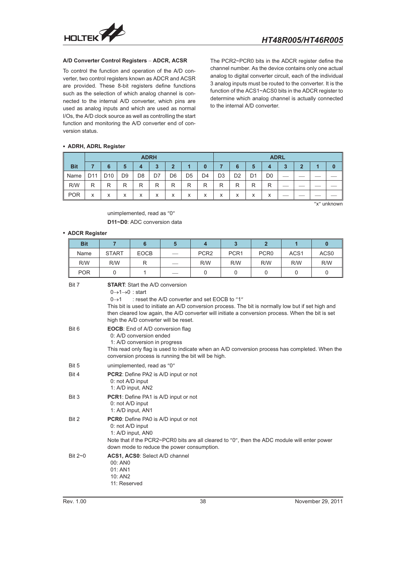

To control the function and operation of the A/D converter, two control registers known as ADCR and ACSR are provided. These 8-bit registers define functions such as the selection of which analog channel is connected to the internal A/D converter, which pins are used as analog inputs and which are used as normal I/Os, the A/D clock source as well as controlling the start function and monitoring the A/D converter end of conversion status.

The PCR2~PCR0 bits in the ADCR register define the channel number. As the device contains only one actual analog to digital converter circuit, each of the individual 3 analog inputs must be routed to the converter. It is the function of the ACS1~ACS0 bits in the ADCR register to determine which analog channel is actually connected to the internal A/D converter.

#### **ADRH, ADRL Register**

|            | <b>ADRH</b>     |                 |                |                |    |                |                | <b>ADRL</b>    |                |                |                |                |   |   |   |
|------------|-----------------|-----------------|----------------|----------------|----|----------------|----------------|----------------|----------------|----------------|----------------|----------------|---|---|---|
| <b>Bit</b> |                 | 6               | 5              | 4              | 3  | $\mathbf{2}$   |                | $\bf{0}$       |                | 6              | 5              | 4              | 3 | 2 | 0 |
| Name       | D <sub>11</sub> | D <sub>10</sub> | D <sub>9</sub> | D <sub>8</sub> | D7 | D <sub>6</sub> | D <sub>5</sub> | D <sub>4</sub> | D <sub>3</sub> | D <sub>2</sub> | D <sub>1</sub> | D <sub>0</sub> |   |   |   |
| R/W        | R               | R               | R              | R              | R  | R              | R              | R              | R              | R              | R              | R              |   |   |   |
| <b>POR</b> | x               | X               | X              | X              | x  | X              | X              | X              | X              | x              | X              | x              |   |   |   |

"x" unknown

#### unimplemented, read as "0" **D11~D0**: ADC conversion data

#### **ADCR Register**

| <b>Bit</b>    | $\overline{7}$                                                                                                                                                                                                                                                                                                                                                                                               | 6                          | 5                                           | $\overline{\mathbf{4}}$ | $\overline{3}$   | $\overline{2}$   | $\mathbf{1}$     | $\bf{0}$         |  |  |  |
|---------------|--------------------------------------------------------------------------------------------------------------------------------------------------------------------------------------------------------------------------------------------------------------------------------------------------------------------------------------------------------------------------------------------------------------|----------------------------|---------------------------------------------|-------------------------|------------------|------------------|------------------|------------------|--|--|--|
| Name          | <b>START</b>                                                                                                                                                                                                                                                                                                                                                                                                 | <b>EOCB</b>                |                                             | PCR <sub>2</sub>        | PCR <sub>1</sub> | PCR <sub>0</sub> | ACS <sub>1</sub> | ACS <sub>0</sub> |  |  |  |
| R/W           | R/W                                                                                                                                                                                                                                                                                                                                                                                                          | R                          |                                             | R/W                     | R/W              | R/W              | R/W              | R/W              |  |  |  |
| <b>POR</b>    | $\mathbf 0$                                                                                                                                                                                                                                                                                                                                                                                                  | 1                          |                                             | $\mathbf 0$             | $\mathbf 0$      | $\mathbf 0$      | $\mathbf 0$      | 0                |  |  |  |
| Bit 7         | <b>START:</b> Start the A/D conversion<br>$0 \rightarrow 1 \rightarrow 0$ : start<br>$0 \rightarrow 1$<br>: reset the A/D converter and set EOCB to "1"<br>This bit is used to initiate an A/D conversion process. The bit is normally low but if set high and<br>then cleared low again, the A/D converter will initiate a conversion process. When the bit is set<br>high the A/D converter will be reset. |                            |                                             |                         |                  |                  |                  |                  |  |  |  |
| Bit 6         | <b>EOCB:</b> End of A/D conversion flag<br>0: A/D conversion ended<br>1: A/D conversion in progress<br>This read only flag is used to indicate when an A/D conversion process has completed. When the<br>conversion process is running the bit will be high.                                                                                                                                                 |                            |                                             |                         |                  |                  |                  |                  |  |  |  |
| Bit 5         |                                                                                                                                                                                                                                                                                                                                                                                                              | unimplemented, read as "0" |                                             |                         |                  |                  |                  |                  |  |  |  |
| Bit 4         | 0: not A/D input                                                                                                                                                                                                                                                                                                                                                                                             | 1: A/D input, AN2          | <b>PCR2:</b> Define PA2 is A/D input or not |                         |                  |                  |                  |                  |  |  |  |
| Bit 3         | 0: not A/D input                                                                                                                                                                                                                                                                                                                                                                                             | 1: A/D input, AN1          | <b>PCR1:</b> Define PA1 is A/D input or not |                         |                  |                  |                  |                  |  |  |  |
| Bit 2         | <b>PCR0:</b> Define PA0 is A/D input or not<br>0: not A/D input<br>1: A/D input, AN0<br>Note that if the PCR2~PCR0 bits are all cleared to "0", then the ADC module will enter power<br>down mode to reduce the power consumption.                                                                                                                                                                           |                            |                                             |                         |                  |                  |                  |                  |  |  |  |
| Bit $2\neg$ 0 | 00: ANO<br>01: AN1<br>10: AN2<br>11: Reserved                                                                                                                                                                                                                                                                                                                                                                |                            | ACS1, ACS0: Select A/D channel              |                         |                  |                  |                  |                  |  |  |  |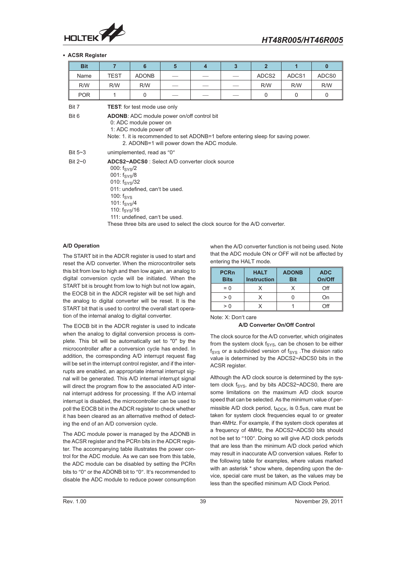

#### **ACSR Register**

| <b>Bit</b>     | $\overline{7}$                                                                                                                                     | 6                                                                                                                                                                                                                                                                                | $5\overline{5}$    | $\overline{\mathbf{4}}$ | 3 | $\overline{2}$ | $\overline{\mathbf{1}}$ | $\mathbf{0}$ |  |
|----------------|----------------------------------------------------------------------------------------------------------------------------------------------------|----------------------------------------------------------------------------------------------------------------------------------------------------------------------------------------------------------------------------------------------------------------------------------|--------------------|-------------------------|---|----------------|-------------------------|--------------|--|
| Name           | <b>TEST</b>                                                                                                                                        | <b>ADONB</b>                                                                                                                                                                                                                                                                     |                    |                         |   | ADCS2          | ADCS1                   | ADCS0        |  |
| R/W            | R/W                                                                                                                                                | R/W                                                                                                                                                                                                                                                                              |                    |                         |   | R/W            | R/W                     | R/W          |  |
| <b>POR</b>     | 1                                                                                                                                                  | $\Omega$                                                                                                                                                                                                                                                                         | $\Omega$<br>0<br>0 |                         |   |                |                         |              |  |
| Bit 7<br>Bit 6 |                                                                                                                                                    | <b>TEST:</b> for test mode use only<br><b>ADONB:</b> ADC module power on/off control bit<br>0: ADC module power on<br>1: ADC module power off<br>Note: 1. it is recommended to set ADONB=1 before entering sleep for saving power.<br>2. ADONB=1 will power down the ADC module. |                    |                         |   |                |                         |              |  |
| Bit $5-3$      |                                                                                                                                                    | unimplemented, read as "0"                                                                                                                                                                                                                                                       |                    |                         |   |                |                         |              |  |
| Bit $2\neg$ 0  | 000: $f_{\rm{SYS}}/2$<br>$001: f_{\rm{SYS}}/8$<br>010: $f_{\rm{SYS}}/32$<br>100: $f_{\rm{SYS}}$<br>101: $f_{\rm{SYS}}/4$<br>110: $f_{\rm{SYS}}/16$ | ADCS2~ADCS0: Select A/D converter clock source<br>011: undefined, can't be used.<br>111: undefined, can't be used.<br>These three bits are used to select the clock source for the A/D converter.                                                                                |                    |                         |   |                |                         |              |  |

#### **A/D Operation**

The START bit in the ADCR register is used to start and reset the A/D converter. When the microcontroller sets this bit from low to high and then low again, an analog to digital conversion cycle will be initiated. When the START bit is brought from low to high but not low again, the EOCB bit in the ADCR register will be set high and the analog to digital converter will be reset. It is the START bit that is used to control the overall start operation of the internal analog to digital converter.

The EOCB bit in the ADCR register is used to indicate when the analog to digital conversion process is complete. This bit will be automatically set to "0" by the microcontroller after a conversion cycle has ended. In addition, the corresponding A/D interrupt request flag will be set in the interrupt control register, and if the interrupts are enabled, an appropriate internal interrupt signal will be generated. This A/D internal interrupt signal will direct the program flow to the associated A/D internal interrupt address for processing. If the A/D internal interrupt is disabled, the microcontroller can be used to poll the EOCB bit in the ADCR register to check whether it has been cleared as an alternative method of detecting the end of an A/D conversion cycle.

The ADC module power is managed by the ADONB in the ACSR register and the PCRn bits in the ADCR register. The accompanying table illustrates the power control for the ADC module. As we can see from this table, the ADC module can be disabled by setting the PCRn bits to "0" or the ADONB bit to "0". It's recommended to disable the ADC module to reduce power consumption

when the A/D converter function is not being used. Note that the ADC module ON or OFF will not be affected by entering the HALT mode.

| <b>PCRn</b><br><b>Bits</b> | <b>HALT</b><br><b>Instruction</b> | <b>ADONB</b><br><b>Bit</b> | <b>ADC</b><br>On/Off |
|----------------------------|-----------------------------------|----------------------------|----------------------|
| $= 0$                      |                                   |                            | Off                  |
| > 0                        |                                   |                            | On                   |
| > 0                        |                                   |                            | ∩ff                  |

Note: X: Don t care

#### **A/D Converter On/Off Control**

The clock source for the A/D converter, which originates from the system clock  $f_{\text{SYS}}$ , can be chosen to be either  $f_{\text{SYS}}$  or a subdivided version of  $f_{\text{SYS}}$  . The division ratio value is determined by the ADCS2~ADCS0 bits in the ACSR register.

Although the A/D clock source is determined by the system clock f<sub>SYS</sub>, and by bits ADCS2~ADCS0, there are some limitations on the maximum A/D clock source speed that can be selected. As the minimum value of permissible A/D clock period,  $t_{ADCK}$ , is 0.5 $\mu$ s, care must be taken for system clock frequencies equal to or greater than 4MHz. For example, if the system clock operates at a frequency of 4MHz, the ADCS2~ADCS0 bits should not be set to "100". Doing so will give A/D clock periods that are less than the minimum A/D clock period which may result in inaccurate A/D conversion values. Refer to the following table for examples, where values marked with an asterisk \* show where, depending upon the device, special care must be taken, as the values may be less than the specified minimum A/D Clock Period.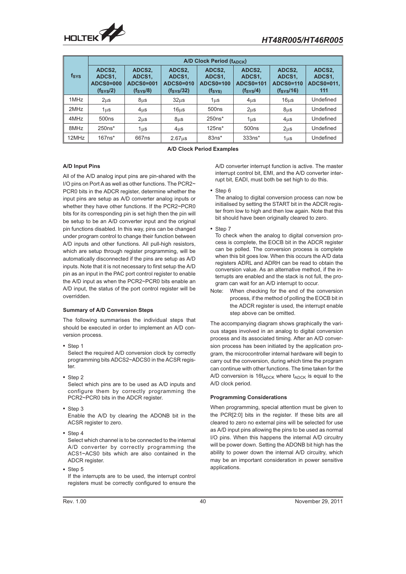

|       | A/D Clock Period (tADCK)                                                                                                       |                  |                                                         |                                                            |                                                               |                                                                |                                       |  |  |  |
|-------|--------------------------------------------------------------------------------------------------------------------------------|------------------|---------------------------------------------------------|------------------------------------------------------------|---------------------------------------------------------------|----------------------------------------------------------------|---------------------------------------|--|--|--|
| fsys  | ADCS2,<br>ADCS2,<br>ADCS1,<br>ADCS1,<br><b>ADCS0=000</b><br><b>ADCS0=001</b><br>(f <sub>SYS</sub> /2)<br>(f <sub>SYS</sub> /8) |                  | ADCS2.<br>ADCS1,<br>ADCS0=010<br>(f <sub>SYS</sub> /32) | ADCS2.<br>ADCS1,<br><b>ADCS0=100</b><br>$(f_{\text{SYS}})$ | ADCS2.<br>ADCS1,<br><b>ADCS0=101</b><br>(f <sub>SYS</sub> /4) | ADCS2.<br>ADCS1,<br><b>ADCS0=110</b><br>(f <sub>SYS</sub> /16) | ADCS2,<br>ADCS1,<br>ADCS0=011.<br>111 |  |  |  |
| 1MHz  | 2 <sub>µ</sub> s                                                                                                               | $8µ$ s           | 32 <sub>µ</sub> s                                       | 1µs                                                        | $4µ$ s                                                        | $16\mu s$                                                      | Undefined                             |  |  |  |
| 2MHz  | 1 <sub>u</sub> s                                                                                                               | 4 <sub>µ</sub> s | 16 <sub>µ</sub>                                         | 500 <sub>ns</sub>                                          | 2 <sub>µ</sub> s                                              | $8µ$ s                                                         | Undefined                             |  |  |  |
| 4MHz  | 500 <sub>ns</sub>                                                                                                              | 2 <sub>µ</sub> s | $8µ$ s                                                  | $250ns*$                                                   | 1us                                                           | $4µ$ s                                                         | Undefined                             |  |  |  |
| 8MHz  | $250ns*$                                                                                                                       | 1us              | $4µ$ s                                                  | $125ns*$                                                   | 500 <sub>ns</sub>                                             | $2\mu s$                                                       | Undefined                             |  |  |  |
| 12MHz | $167$ ns*                                                                                                                      | 667ns            | 2.67 <sub>µ</sub>                                       | $83ns*$                                                    | $333ns*$                                                      | $1\mus$                                                        | Undefined                             |  |  |  |

**A/D Clock Period Examples**

#### **A/D Input Pins**

All of the A/D analog input pins are pin-shared with the I/O pins on Port A as well as other functions. The PCR2~ PCR0 bits in the ADCR register, determine whether the input pins are setup as A/D converter analog inputs or whether they have other functions. If the PCR2~PCR0 bits for its corresponding pin is set high then the pin will be setup to be an A/D converter input and the original pin functions disabled. In this way, pins can be changed under program control to change their function between A/D inputs and other functions. All pull-high resistors, which are setup through register programming, will be automatically disconnected if the pins are setup as A/D inputs. Note that it is not necessary to first setup the A/D pin as an input in the PAC port control register to enable the A/D input as when the PCR2~PCR0 bits enable an A/D input, the status of the port control register will be overridden.

#### **Summary of A/D Conversion Steps**

The following summarises the individual steps that should be executed in order to implement an A/D conversion process.

• Step 1

Select the required A/D conversion clock by correctly programming bits ADCS2~ADCS0 in the ACSR register.

- Step 2 Select which pins are to be used as A/D inputs and configure them by correctly programming the
- PCR2~PCR0 bits in the ADCR register. • Step 3 Enable the A/D by clearing the ADONB bit in the
- ACSR register to zero.
- Step 4

Select which channel is to be connected to the internal A/D converter by correctly programming the ACS1~ACS0 bits which are also contained in the ADCR register.

 $\cdot$  Step 5 If the interrupts are to be used, the interrupt control registers must be correctly configured to ensure the

A/D converter interrupt function is active. The master interrupt control bit. EMI, and the A/D converter interrupt bit, EADI, must both be set high to do this.

#### • Step 6

The analog to digital conversion process can now be initialised by setting the START bit in the ADCR register from low to high and then low again. Note that this bit should have been originally cleared to zero.

- Step 7
- To check when the analog to digital conversion process is complete, the EOCB bit in the ADCR register can be polled. The conversion process is complete when this bit goes low. When this occurs the A/D data registers ADRL and ADRH can be read to obtain the conversion value. As an alternative method, if the interrupts are enabled and the stack is not full, the program can wait for an A/D interrupt to occur.
- Note: When checking for the end of the conversion process, if the method of polling the EOCB bit in the ADCR register is used, the interrupt enable step above can be omitted.

The accompanying diagram shows graphically the various stages involved in an analog to digital conversion process and its associated timing. After an A/D conversion process has been initiated by the application program, the microcontroller internal hardware will begin to carry out the conversion, during which time the program can continue with other functions. The time taken for the A/D conversion is  $16t_{ADC}$  where  $t_{ADC}$  is equal to the A/D clock period.

#### **Programming Considerations**

When programming, special attention must be given to the PCR[2:0] bits in the register. If these bits are all cleared to zero no external pins will be selected for use as A/D input pins allowing the pins to be used as normal I/O pins. When this happens the internal A/D circuitry will be power down. Setting the ADONB bit high has the ability to power down the internal A/D circuitry, which may be an important consideration in power sensitive applications.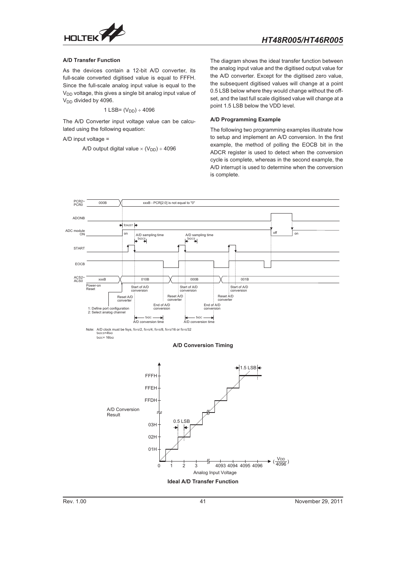

#### **A/D Transfer Function**

As the devices contain a 12-bit A/D converter, its full-scale converted digitised value is equal to FFFH. Since the full-scale analog input value is equal to the V<sub>DD</sub> voltage, this gives a single bit analog input value of  $V_{DD}$  divided by 4096.

$$
1 \text{ LSB} = (V_{DD}) \div 4096
$$

The A/D Converter input voltage value can be calculated using the following equation:

A/D input voltage =

A/D output digital value  $\times$  (V<sub>DD</sub>) ÷ 4096

The diagram shows the ideal transfer function between the analog input value and the digitised output value for the A/D converter. Except for the digitised zero value, the subsequent digitised values will change at a point 0.5 LSB below where they would change without the offset, and the last full scale digitised value will change at a point 1.5 LSB below the VDD level.

#### **A/D Programming Example**

The following two programming examples illustrate how to setup and implement an A/D conversion. In the first example, the method of polling the EOCB bit in the ADCR register is used to detect when the conversion cycle is complete, whereas in the second example, the A/D interrupt is used to determine when the conversion is complete.

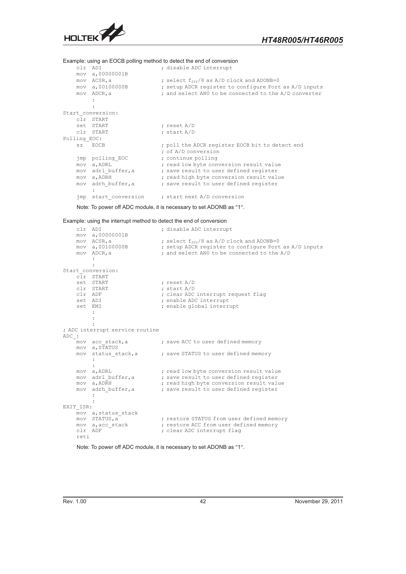

Example: using an EOCB polling method to detect the end of conversion

```
clr ADI ; disable ADC interrupt
   mov a,00000001B<br>mov ACSR,a
    mov ACSR, a \longrightarrow ; select f_{SYS}/8 as A/D clock and ADONB=0mov a,00100000B ; setup ADCR register to configure Port as A/D inputs
    mov ADCR, a \qquad \qquad ; and select AN0 to be connected to the A/D converter
        :
        :
Start_conversion:
   clr START<br>set START
                            ; reset A/D
   clr START ; start A/D
Polling_EOC:
   sz<sup>-</sup>EOCB ; poll the ADCR register EOCB bit to detect end
                            ; of A/D conversion
   jmp polling_EOC ; continue polling
    mov a, ADRL inclube in the set of the conversion result value
    mov adrl buffer,a \qquad \qquad ; save result to user defined register
    mov a,ADRH ; read high byte conversion result value
                           ; save result to user defined register
   mov adrh_buffer, a
   jmp start_conversion ; start next A/D conversion
```
Note: To power off ADC module, it is necessary to set ADONB as "1".

Example: using the interrupt method to detect the end of conversion

|       | clr ADI   |                                      | ; disable ADC interrupt                               |
|-------|-----------|--------------------------------------|-------------------------------------------------------|
|       |           | mov a, 00000001B<br>mov ACSR, a      | ; select $f_{\text{sys}}/8$ as A/D clock and ADONB=0  |
|       |           | mov a, 00100000B                     | ; setup ADCR register to configure Port as A/D inputs |
|       |           | mov ADCR, a                          | ; and select ANO to be connected to the A/D           |
|       |           |                                      |                                                       |
|       |           | Start conversion:                    |                                                       |
|       |           | clr START                            |                                                       |
|       |           | set START                            | ; reset $A/D$                                         |
|       |           | clr START                            | ; start A/D                                           |
|       | clr ADF   |                                      | ; clear ADC interrupt request flag                    |
|       |           | set ADI                              | ; enable ADC interrupt                                |
|       |           | set EMI                              | ; enable global interrupt                             |
|       |           |                                      |                                                       |
|       |           |                                      |                                                       |
|       |           |                                      |                                                       |
|       |           | ; ADC interrupt service routine      |                                                       |
| ADC : |           | mov acc stack, a                     | ; save ACC to user defined memory                     |
|       |           | mov a, STATUS                        |                                                       |
|       |           | mov status stack, a                  | ; save STATUS to user defined memory                  |
|       |           |                                      |                                                       |
|       |           |                                      |                                                       |
|       |           | mov a, ADRL                          | ; read low byte conversion result value               |
|       |           | mov adrl buffer, a                   | ; save result to user defined register                |
|       | mov       | a, ADRH                              | ; read high byte conversion result value              |
|       | mov       | adrh buffer, a                       | ; save result to user defined register                |
|       |           |                                      |                                                       |
|       |           |                                      |                                                       |
|       | EXIT ISR: |                                      |                                                       |
|       |           | mov a, status stack<br>mov STATUS, a | ; restore STATUS from user defined memory             |
|       |           | mov a, acc stack                     | ; restore ACC from user defined memory                |
|       | clr ADF   |                                      | ; clear ADC interrupt flag                            |
|       | reti      |                                      |                                                       |
|       |           |                                      |                                                       |

Note: To power off ADC module, it is necessary to set ADONB as "1".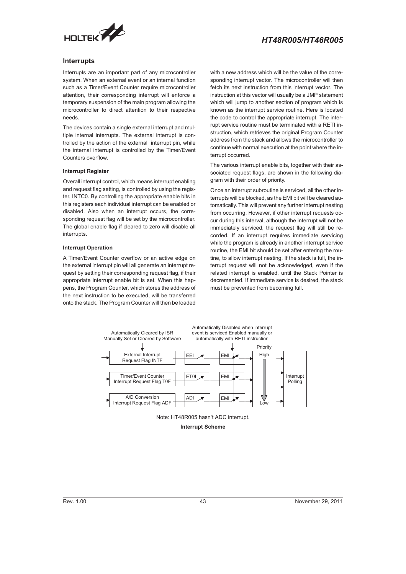<span id="page-42-0"></span>

#### **Interrupts**

Interrupts are an important part of any microcontroller system. When an external event or an internal function such as a Timer/Event Counter require microcontroller attention, their corresponding interrupt will enforce a temporary suspension of the main program allowing the microcontroller to direct attention to their respective needs.

The devices contain a single external interrupt and multiple internal interrupts. The external interrupt is controlled by the action of the external interrupt pin, while the internal interrupt is controlled by the Timer/Event Counters overflow.

#### **Interrupt Register**

Overall interrupt control, which means interrupt enabling and request flag setting, is controlled by using the register, INTC0. By controlling the appropriate enable bits in this registers each individual interrupt can be enabled or disabled. Also when an interrupt occurs, the corresponding request flag will be set by the microcontroller. The global enable flag if cleared to zero will disable all interrupts.

#### **Interrupt Operation**

A Timer/Event Counter overflow or an active edge on the external interrupt pin will all generate an interrupt request by setting their corresponding request flag, if their appropriate interrupt enable bit is set. When this happens, the Program Counter, which stores the address of the next instruction to be executed, will be transferred onto the stack. The Program Counter will then be loaded

with a new address which will be the value of the corresponding interrupt vector. The microcontroller will then fetch its next instruction from this interrupt vector. The instruction at this vector will usually be a JMP statement which will jump to another section of program which is known as the interrupt service routine. Here is located the code to control the appropriate interrupt. The interrupt service routine must be terminated with a RETI instruction, which retrieves the original Program Counter address from the stack and allows the microcontroller to continue with normal execution at the point where the interrupt occurred.

The various interrupt enable bits, together with their associated request flags, are shown in the following diagram with their order of priority.

Once an interrupt subroutine is serviced, all the other interrupts will be blocked, as the EMI bit will be cleared automatically. This will prevent any further interrupt nesting from occurring. However, if other interrupt requests occur during this interval, although the interrupt will not be immediately serviced, the request flag will still be recorded. If an interrupt requires immediate servicing while the program is already in another interrupt service routine, the EMI bit should be set after entering the routine, to allow interrupt nesting. If the stack is full, the interrupt request will not be acknowledged, even if the related interrupt is enabled, until the Stack Pointer is decremented. If immediate service is desired, the stack must be prevented from becoming full.





**Interrupt Scheme**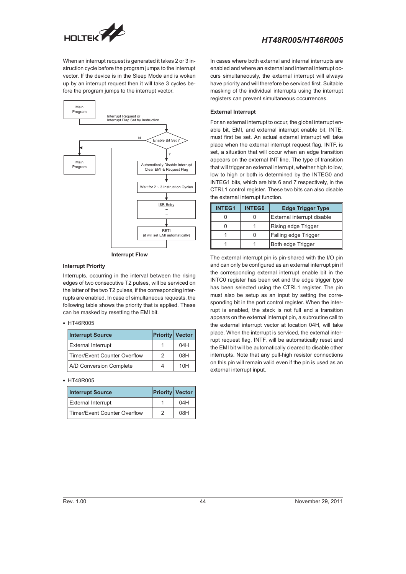

When an interrupt request is generated it takes 2 or 3 instruction cycle before the program jumps to the interrupt vector. If the device is in the Sleep Mode and is woken up by an interrupt request then it will take 3 cycles before the program jumps to the interrupt vector.



**Interrupt Flow**

#### **Interrupt Priority**

Interrupts, occurring in the interval between the rising edges of two consecutive T2 pulses, will be serviced on the latter of the two T2 pulses, if the corresponding interrupts are enabled. In case of simultaneous requests, the following table shows the priority that is applied. These can be masked by resetting the EMI bit.

#### • HT46R005

| <b>Interrupt Source</b>      |   | <b>Priority Vector</b> |
|------------------------------|---|------------------------|
| <b>External Interrupt</b>    |   | 04H                    |
| Timer/Event Counter Overflow | 2 | 08H                    |
| A/D Conversion Complete      |   | 10H                    |

#### • HT48R005

| <b>Interrupt Source</b>      | <b>Priority Vector</b> |
|------------------------------|------------------------|
| External Interrupt           | 04H                    |
| Timer/Event Counter Overflow | 08H                    |

In cases where both external and internal interrupts are enabled and where an external and internal interrupt occurs simultaneously, the external interrupt will always have priority and will therefore be serviced first. Suitable masking of the individual interrupts using the interrupt registers can prevent simultaneous occurrences.

#### **External Interrupt**

For an external interrupt to occur, the global interrupt enable bit, EMI, and external interrupt enable bit, INTE, must first be set. An actual external interrupt will take place when the external interrupt request flag, INTF, is set, a situation that will occur when an edge transition appears on the external INT line. The type of transition that will trigger an external interrupt, whether high to low, low to high or both is determined by the INTEG0 and INTEG1 bits, which are bits 6 and 7 respectively, in the CTRL1 control register. These two bits can also disable the external interrupt function.

| <b>INTEG1</b> | <b>Edge Trigger Type</b><br><b>INTEG0</b> |                            |  |  |  |
|---------------|-------------------------------------------|----------------------------|--|--|--|
|               | Ω                                         | External interrupt disable |  |  |  |
|               |                                           | Rising edge Trigger        |  |  |  |
|               | ი                                         | Falling edge Trigger       |  |  |  |
|               |                                           | Both edge Trigger          |  |  |  |

The external interrupt pin is pin-shared with the I/O pin and can only be configured as an external interrupt pin if the corresponding external interrupt enable bit in the INTC0 register has been set and the edge trigger type has been selected using the CTRL1 register. The pin must also be setup as an input by setting the corresponding bit in the port control register. When the interrupt is enabled, the stack is not full and a transition appears on the external interrupt pin, a subroutine call to the external interrupt vector at location 04H, will take place. When the interrupt is serviced, the external interrupt request flag, INTF, will be automatically reset and the EMI bit will be automatically cleared to disable other interrupts. Note that any pull-high resistor connections on this pin will remain valid even if the pin is used as an external interrupt input.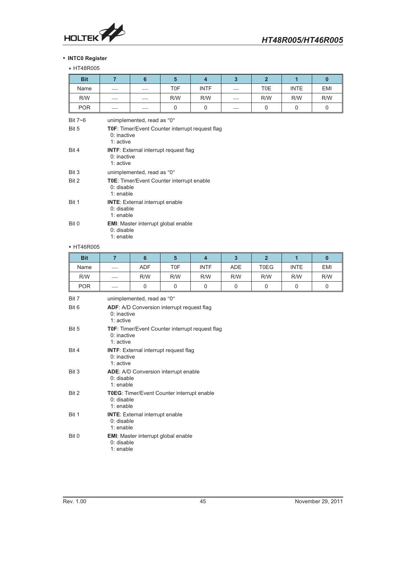

#### - **INTC0 Register**

# + HT48R005

| <b>Bit</b> | $\overline{7}$             | 6                                                                             | $5\phantom{1}$                             | $\overline{\mathbf{4}}$ | $\overline{3}$ | 2 <sup>1</sup> | $\overline{1}$ | $\mathbf{0}$ |  |  |
|------------|----------------------------|-------------------------------------------------------------------------------|--------------------------------------------|-------------------------|----------------|----------------|----------------|--------------|--|--|
| Name       |                            |                                                                               | T0F                                        | <b>INTF</b>             |                | T0E            | <b>INTE</b>    | <b>EMI</b>   |  |  |
| R/W        |                            |                                                                               | R/W                                        | R/W                     |                | R/W            | R/W            | R/W          |  |  |
| <b>POR</b> |                            |                                                                               | $\Omega$                                   | $\mathbf 0$             |                | $\mathbf 0$    | $\mathbf 0$    | $\mathbf 0$  |  |  |
| Bit $7-6$  | unimplemented, read as "0" |                                                                               |                                            |                         |                |                |                |              |  |  |
| Bit 5      |                            | TOF: Timer/Event Counter interrupt request flag<br>$0:$ inactive<br>1: active |                                            |                         |                |                |                |              |  |  |
| Bit 4      |                            | <b>INTF:</b> External interrupt request flag<br>$0:$ inactive<br>1: active    |                                            |                         |                |                |                |              |  |  |
| Bit 3      |                            | unimplemented, read as "0"                                                    |                                            |                         |                |                |                |              |  |  |
| Bit 2      |                            | TOE: Timer/Event Counter interrupt enable<br>$0:$ disable<br>1: enable        |                                            |                         |                |                |                |              |  |  |
| Bit 1      | 0: disable<br>1: enable    | <b>INTE:</b> External interrupt enable                                        |                                            |                         |                |                |                |              |  |  |
| Bit 0      | 0: disable<br>1: enable    |                                                                               | <b>EMI:</b> Master interrupt global enable |                         |                |                |                |              |  |  |
| + HT46R005 |                            |                                                                               |                                            |                         |                |                |                |              |  |  |
| <b>Bit</b> | $\overline{7}$             | $6\phantom{1}$                                                                | $5\phantom{1}$                             | $\overline{\mathbf{4}}$ | $\overline{3}$ | 2 <sup>2</sup> | $\overline{1}$ | $\mathbf{0}$ |  |  |
| Name       |                            | <b>ADF</b>                                                                    | T0F                                        | <b>INTF</b>             | <b>ADE</b>     | <b>T0EG</b>    | <b>INTE</b>    | EMI          |  |  |
| R/W        |                            | R/W                                                                           | R/W                                        | R/W                     | R/W            | R/W            | R/W            | R/W          |  |  |
| <b>POR</b> |                            | 0                                                                             | $\mathbf 0$                                | 0                       | 0              | 0              | 0              | $\mathbf 0$  |  |  |
| Bit 7      | unimplemented, read as "0" |                                                                               |                                            |                         |                |                |                |              |  |  |
|            |                            |                                                                               |                                            |                         |                |                |                |              |  |  |

| <b>Bit 6</b> | <b>ADF:</b> A/D Conversion interrupt request flag<br>$0:$ inactive<br>$1:$ active      |
|--------------|----------------------------------------------------------------------------------------|
| Bit 5        | <b>T0F:</b> Timer/Event Counter interrupt request flag<br>$0:$ inactive<br>1: $active$ |
| Rit 4        | <b>INTF:</b> External interrupt request flag<br>$0:$ inactive<br>$1:$ active           |
| Bit 3        | <b>ADE:</b> A/D Conversion interrupt enable<br>$0:$ disable<br>$1:$ enable             |
| Rit 2        | <b>T0EG:</b> Timer/Event Counter interrupt enable<br>$0:$ disable<br>1: enable         |
| Bit 1        | <b>INTE:</b> External interrupt enable<br>$0:$ disable<br>$1:$ enable                  |
| Bit 0        | <b>EMI:</b> Master interrupt global enable<br>$0:$ disable<br>1: enable                |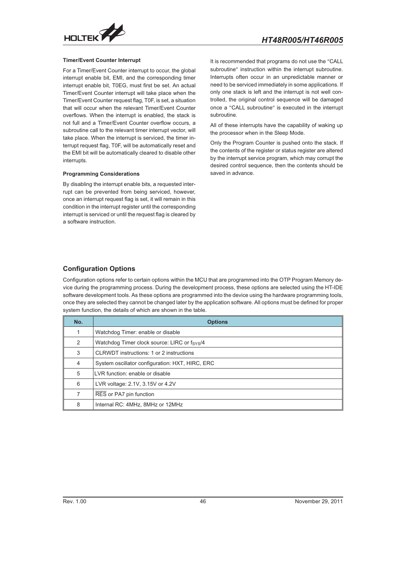<span id="page-45-0"></span>

#### **Timer/Event Counter Interrupt**

For a Timer/Event Counter interrupt to occur, the global interrupt enable bit, EMI, and the corresponding timer interrupt enable bit, T0EG, must first be set. An actual Timer/Event Counter interrupt will take place when the Timer/Event Counter request flag, T0F, is set, a situation that will occur when the relevant Timer/Event Counter overflows. When the interrupt is enabled, the stack is not full and a Timer/Event Counter overflow occurs, a subroutine call to the relevant timer interrupt vector, will take place. When the interrupt is serviced, the timer interrupt request flag, T0F, will be automatically reset and the EMI bit will be automatically cleared to disable other interrupts.

#### **Programming Considerations**

By disabling the interrupt enable bits, a requested interrupt can be prevented from being serviced, however, once an interrupt request flag is set, it will remain in this condition in the interrupt register until the corresponding interrupt is serviced or until the request flag is cleared by a software instruction.

It is recommended that programs do not use the "CALL subroutine" instruction within the interrupt subroutine. Interrupts often occur in an unpredictable manner or need to be serviced immediately in some applications. If only one stack is left and the interrupt is not well controlled, the original control sequence will be damaged once a "CALL subroutine" is executed in the interrupt subroutine.

All of these interrupts have the capability of waking up the processor when in the Sleep Mode.

Only the Program Counter is pushed onto the stack. If the contents of the register or status register are altered by the interrupt service program, which may corrupt the desired control sequence, then the contents should be saved in advance.

#### **Configuration Options**

Configuration options refer to certain options within the MCU that are programmed into the OTP Program Memory device during the programming process. During the development process, these options are selected using the HT-IDE software development tools. As these options are programmed into the device using the hardware programming tools, once they are selected they cannot be changed later by the application software. All options must be defined for proper system function, the details of which are shown in the table.

| No. | <b>Options</b>                                        |
|-----|-------------------------------------------------------|
| 1   | Watchdog Timer: enable or disable                     |
| 2   | Watchdog Timer clock source: LIRC or $f_{\rm{SYS}}/4$ |
| 3   | CLRWDT instructions: 1 or 2 instructions              |
| 4   | System oscillator configuration: HXT, HIRC, ERC       |
| 5   | LVR function: enable or disable                       |
| 6   | LVR voltage: 2.1V, 3.15V or 4.2V                      |
| 7   | RES or PA7 pin function                               |
| 8   | Internal RC: 4MHz, 8MHz or 12MHz                      |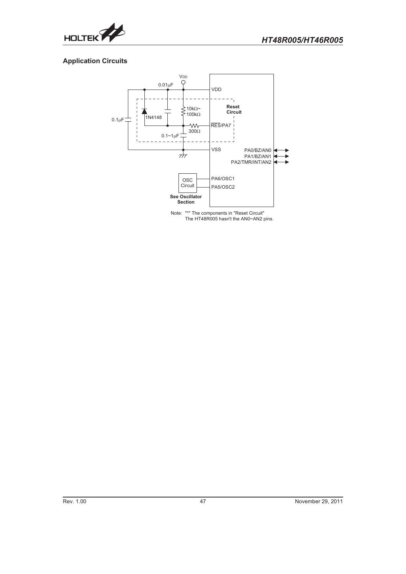

<span id="page-46-0"></span>

## **Application Circuits**



Note: "\*" The components in "Reset Circuit" The HT48R005 hasn't the AN0~AN2 pins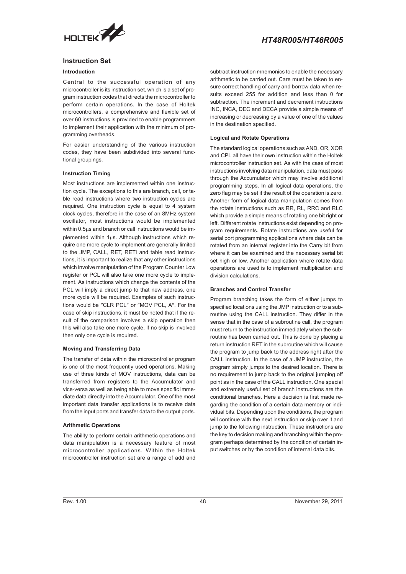<span id="page-47-0"></span>

#### **Instruction Set**

#### **Introduction**

Central to the successful operation of any microcontroller is its instruction set, which is a set of program instruction codes that directs the microcontroller to perform certain operations. In the case of Holtek microcontrollers, a comprehensive and flexible set of over 60 instructions is provided to enable programmers to implement their application with the minimum of programming overheads.

For easier understanding of the various instruction codes, they have been subdivided into several functional groupings.

#### **Instruction Timing**

Most instructions are implemented within one instruction cycle. The exceptions to this are branch, call, or table read instructions where two instruction cycles are required. One instruction cycle is equal to 4 system clock cycles, therefore in the case of an 8MHz system oscillator, most instructions would be implemented within 0.5 $\mu$ s and branch or call instructions would be implemented within  $1\mu s$ . Although instructions which require one more cycle to implement are generally limited to the JMP, CALL, RET, RETI and table read instructions, it is important to realize that any other instructions which involve manipulation of the Program Counter Low register or PCL will also take one more cycle to implement. As instructions which change the contents of the PCL will imply a direct jump to that new address, one more cycle will be required. Examples of such instructions would be "CLR PCL" or "MOV PCL, A". For the case of skip instructions, it must be noted that if the result of the comparison involves a skip operation then this will also take one more cycle, if no skip is involved then only one cycle is required.

#### **Moving and Transferring Data**

The transfer of data within the microcontroller program is one of the most frequently used operations. Making use of three kinds of MOV instructions, data can be transferred from registers to the Accumulator and vice-versa as well as being able to move specific immediate data directly into the Accumulator. One of the most important data transfer applications is to receive data from the input ports and transfer data to the output ports.

#### **Arithmetic Operations**

The ability to perform certain arithmetic operations and data manipulation is a necessary feature of most microcontroller applications. Within the Holtek microcontroller instruction set are a range of add and

subtract instruction mnemonics to enable the necessary arithmetic to be carried out. Care must be taken to ensure correct handling of carry and borrow data when results exceed 255 for addition and less than 0 for subtraction. The increment and decrement instructions INC, INCA, DEC and DECA provide a simple means of increasing or decreasing by a value of one of the values in the destination specified.

#### **Logical and Rotate Operations**

The standard logical operations such as AND, OR, XOR and CPL all have their own instruction within the Holtek microcontroller instruction set. As with the case of most instructions involving data manipulation, data must pass through the Accumulator which may involve additional programming steps. In all logical data operations, the zero flag may be set if the result of the operation is zero. Another form of logical data manipulation comes from the rotate instructions such as RR, RL, RRC and RLC which provide a simple means of rotating one bit right or left. Different rotate instructions exist depending on program requirements. Rotate instructions are useful for serial port programming applications where data can be rotated from an internal register into the Carry bit from where it can be examined and the necessary serial bit set high or low. Another application where rotate data operations are used is to implement multiplication and division calculations.

#### **Branches and Control Transfer**

Program branching takes the form of either jumps to specified locations using the JMP instruction or to a subroutine using the CALL instruction. They differ in the sense that in the case of a subroutine call, the program must return to the instruction immediately when the subroutine has been carried out. This is done by placing a return instruction RET in the subroutine which will cause the program to jump back to the address right after the CALL instruction. In the case of a JMP instruction, the program simply jumps to the desired location. There is no requirement to jump back to the original jumping off point as in the case of the CALL instruction. One special and extremely useful set of branch instructions are the conditional branches. Here a decision is first made regarding the condition of a certain data memory or individual bits. Depending upon the conditions, the program will continue with the next instruction or skip over it and jump to the following instruction. These instructions are the key to decision making and branching within the program perhaps determined by the condition of certain input switches or by the condition of internal data bits.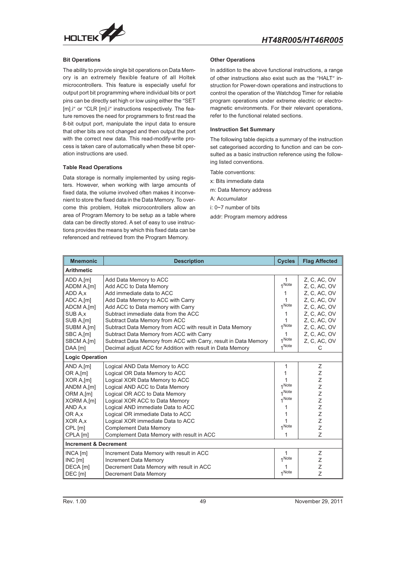

#### **Bit Operations**

The ability to provide single bit operations on Data Memory is an extremely flexible feature of all Holtek microcontrollers. This feature is especially useful for output port bit programming where individual bits or port pins can be directly set high or low using either the "SET [m].i" or "CLR [m].i" instructions respectively. The feature removes the need for programmers to first read the 8-bit output port, manipulate the input data to ensure that other bits are not changed and then output the port with the correct new data. This read-modify-write process is taken care of automatically when these bit operation instructions are used.

#### **Table Read Operations**

Data storage is normally implemented by using registers. However, when working with large amounts of fixed data, the volume involved often makes it inconvenient to store the fixed data in the Data Memory. To overcome this problem, Holtek microcontrollers allow an area of Program Memory to be setup as a table where data can be directly stored. A set of easy to use instructions provides the means by which this fixed data can be referenced and retrieved from the Program Memory.

#### **Other Operations**

In addition to the above functional instructions, a range of other instructions also exist such as the "HALT" instruction for Power-down operations and instructions to control the operation of the Watchdog Timer for reliable program operations under extreme electric or electromagnetic environments. For their relevant operations, refer to the functional related sections.

#### **Instruction Set Summary**

The following table depicts a summary of the instruction set categorised according to function and can be consulted as a basic instruction reference using the following listed conventions.

Table conventions:

- x: Bits immediate data
- m: Data Memory address
- A: Accumulator
- i: 0~7 number of bits
- addr: Program memory address

| <b>Mnemonic</b>                  | <b>Description</b>                                              | <b>Cycles</b> | <b>Flag Affected</b> |
|----------------------------------|-----------------------------------------------------------------|---------------|----------------------|
| <b>Arithmetic</b>                |                                                                 |               |                      |
| ADD A, [m]                       | Add Data Memory to ACC                                          | $\mathbf{1}$  | Z, C, AC, OV         |
| ADDM A,[m]                       | Add ACC to Data Memory                                          | 1 Note        | Z. C. AC. OV         |
| ADD A.x                          | Add immediate data to ACC                                       | 1             | Z. C. AC. OV         |
| ADC A,[m]                        | Add Data Memory to ACC with Carry                               | 1             | Z. C. AC. OV         |
| ADCM A,[m]                       | Add ACC to Data memory with Carry                               | 1 Note        | Z. C. AC. OV         |
| SUB A,x                          | Subtract immediate data from the ACC                            | 1             | Z, C, AC, OV         |
| SUB A,[m]                        | Subtract Data Memory from ACC                                   |               | Z, C, AC, OV         |
| SUBM A,[m]                       | Subtract Data Memory from ACC with result in Data Memory        | 1 Note        | Z, C, AC, OV         |
| SBC A,[m]                        | Subtract Data Memory from ACC with Carry                        | 1             | Z, C, AC, OV         |
| SBCM A,[m]                       | Subtract Data Memory from ACC with Carry, result in Data Memory | 1 Note        | Z, C, AC, OV         |
| DAA [m]                          | Decimal adjust ACC for Addition with result in Data Memory      | 1 Note        | C                    |
| <b>Logic Operation</b>           |                                                                 |               |                      |
| AND A, [m]                       | Logical AND Data Memory to ACC                                  | 1             | Ζ                    |
| OR A, [m]                        | Logical OR Data Memory to ACC                                   | 1             | Z                    |
| XOR A,[m]                        | Logical XOR Data Memory to ACC                                  |               | Ζ                    |
| ANDM A,[m]                       | Logical AND ACC to Data Memory                                  | 1 Note        | Ζ                    |
| ORM A.[m]                        | Logical OR ACC to Data Memory                                   | 1 Note        | Z                    |
| XORM A,[m]                       | Logical XOR ACC to Data Memory                                  | 1 Note        | Z                    |
| AND A.x                          | Logical AND immediate Data to ACC                               | 1             | Z                    |
| OR A.x                           | Logical OR immediate Data to ACC                                |               | Z                    |
| XOR A.x                          | Logical XOR immediate Data to ACC                               |               | Z                    |
| CPL [m]                          | <b>Complement Data Memory</b>                                   | 1 Note        | Z                    |
| CPLA [m]                         | Complement Data Memory with result in ACC                       | 1             | Z                    |
| <b>Increment &amp; Decrement</b> |                                                                 |               |                      |
| $INCA$ $[m]$                     | Increment Data Memory with result in ACC                        | 1             | Z                    |
| INC[m]                           | <b>Increment Data Memory</b>                                    | 1 Note        | Ζ                    |
| DECA [m]                         | Decrement Data Memory with result in ACC                        |               | Z                    |
| DEC [m]                          | Decrement Data Memory                                           | 1 Note        | $\overline{z}$       |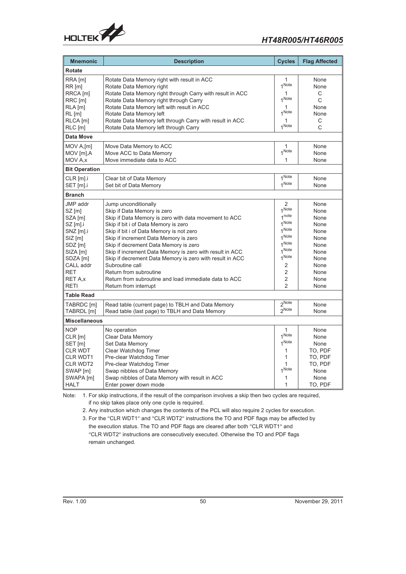

| <b>Mnemonic</b>                                                                                                                                                               | <b>Description</b>                                                                                                                                                                                                                                                                                                                                                                                                                                                                                                                        | <b>Cycles</b>                                                                                                                                           | <b>Flag Affected</b>                                                                                 |
|-------------------------------------------------------------------------------------------------------------------------------------------------------------------------------|-------------------------------------------------------------------------------------------------------------------------------------------------------------------------------------------------------------------------------------------------------------------------------------------------------------------------------------------------------------------------------------------------------------------------------------------------------------------------------------------------------------------------------------------|---------------------------------------------------------------------------------------------------------------------------------------------------------|------------------------------------------------------------------------------------------------------|
| <b>Rotate</b>                                                                                                                                                                 |                                                                                                                                                                                                                                                                                                                                                                                                                                                                                                                                           |                                                                                                                                                         |                                                                                                      |
| RRA [m]<br>$RR$ [m]<br>RRCA [m]<br>RRC [m]<br>$RLA$ [m]<br>$RL$ [m]<br>RLCA [m]<br>$RLC$ [m]                                                                                  | Rotate Data Memory right with result in ACC<br>Rotate Data Memory right<br>Rotate Data Memory right through Carry with result in ACC<br>Rotate Data Memory right through Carry<br>Rotate Data Memory left with result in ACC<br>Rotate Data Memory left<br>Rotate Data Memory left through Carry with result in ACC<br>Rotate Data Memory left through Carry                                                                                                                                                                              | 1<br>1 Note<br>1 Note<br>1Note<br>1 Note                                                                                                                | None<br>None<br>C<br>C<br>None<br>None<br>C<br>C                                                     |
| <b>Data Move</b>                                                                                                                                                              |                                                                                                                                                                                                                                                                                                                                                                                                                                                                                                                                           |                                                                                                                                                         |                                                                                                      |
| MOV A,[m]<br>MOV [m], A<br>MOV A, x                                                                                                                                           | Move Data Memory to ACC<br>Move ACC to Data Memory<br>Move immediate data to ACC                                                                                                                                                                                                                                                                                                                                                                                                                                                          | 1<br>1 Note<br>1                                                                                                                                        | None<br>None<br>None                                                                                 |
| <b>Bit Operation</b>                                                                                                                                                          |                                                                                                                                                                                                                                                                                                                                                                                                                                                                                                                                           |                                                                                                                                                         |                                                                                                      |
| $CLR$ [m].i<br>SET [m].i                                                                                                                                                      | Clear bit of Data Memory<br>Set bit of Data Memory                                                                                                                                                                                                                                                                                                                                                                                                                                                                                        | 1 Note<br>1 Note                                                                                                                                        | None<br>None                                                                                         |
| <b>Branch</b>                                                                                                                                                                 |                                                                                                                                                                                                                                                                                                                                                                                                                                                                                                                                           |                                                                                                                                                         |                                                                                                      |
| <b>JMP</b> addr<br>$SZ$ [m]<br>SZA [m]<br>$SZ$ [m].i<br>SNZ [m].i<br>$SIZ$ [m]<br>SDZ [m]<br>SIZA [m]<br>SDZA [m]<br>CALL addr<br><b>RET</b><br><b>RET A.x</b><br><b>RETI</b> | Jump unconditionally<br>Skip if Data Memory is zero<br>Skip if Data Memory is zero with data movement to ACC<br>Skip if bit i of Data Memory is zero<br>Skip if bit i of Data Memory is not zero<br>Skip if increment Data Memory is zero<br>Skip if decrement Data Memory is zero<br>Skip if increment Data Memory is zero with result in ACC<br>Skip if decrement Data Memory is zero with result in ACC<br>Subroutine call<br>Return from subroutine<br>Return from subroutine and load immediate data to ACC<br>Return from interrupt | 2<br>1 Note<br>1 <sup>note</sup><br>1 Note<br>1 Note<br>1 Note<br>1 Note<br>1 Note<br>1 Note<br>2<br>$\overline{2}$<br>$\overline{2}$<br>$\overline{2}$ | None<br>None<br>None<br>None<br>None<br>None<br>None<br>None<br>None<br>None<br>None<br>None<br>None |
| <b>Table Read</b>                                                                                                                                                             |                                                                                                                                                                                                                                                                                                                                                                                                                                                                                                                                           |                                                                                                                                                         |                                                                                                      |
| TABRDC [m]<br>TABRDL [m]                                                                                                                                                      | Read table (current page) to TBLH and Data Memory<br>Read table (last page) to TBLH and Data Memory                                                                                                                                                                                                                                                                                                                                                                                                                                       | 2Note<br>2Note                                                                                                                                          | None<br>None                                                                                         |
| <b>Miscellaneous</b>                                                                                                                                                          |                                                                                                                                                                                                                                                                                                                                                                                                                                                                                                                                           |                                                                                                                                                         |                                                                                                      |
| <b>NOP</b><br>$CLR$ [m]<br>SET [m]<br><b>CLR WDT</b><br><b>CLR WDT1</b><br><b>CLR WDT2</b><br>SWAP [m]<br>SWAPA [m]<br><b>HALT</b>                                            | No operation<br>Clear Data Memory<br>Set Data Memory<br>Clear Watchdog Timer<br>Pre-clear Watchdog Timer<br>Pre-clear Watchdog Timer<br>Swap nibbles of Data Memory<br>Swap nibbles of Data Memory with result in ACC<br>Enter power down mode                                                                                                                                                                                                                                                                                            | 1<br>1 Note<br>1Note<br>1<br>1<br>1<br>1 Note<br>1<br>1                                                                                                 | None<br>None<br>None<br>TO, PDF<br>TO, PDF<br>TO. PDF<br>None<br>None<br>TO, PDF                     |

Note: 1. For skip instructions, if the result of the comparison involves a skip then two cycles are required, if no skip takes place only one cycle is required.

2. Any instruction which changes the contents of the PCL will also require 2 cycles for execution.

3. For the "CLR WDT1" and "CLR WDT2" instructions the TO and PDF flags may be affected by the execution status. The TO and PDF flags are cleared after both "CLR WDT1" and

"CLR WDT2" instructions are consecutively executed. Otherwise the TO and PDF flags remain unchanged.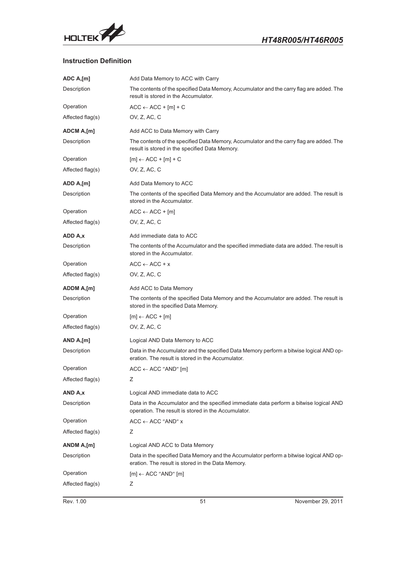<span id="page-50-0"></span>

## **Instruction Definition**

| ADC A,[m]         | Add Data Memory to ACC with Carry                                                                                                             |
|-------------------|-----------------------------------------------------------------------------------------------------------------------------------------------|
| Description       | The contents of the specified Data Memory, Accumulator and the carry flag are added. The<br>result is stored in the Accumulator.              |
| Operation         | $ACC \leftarrow ACC + [m] + C$                                                                                                                |
| Affected flag(s)  | OV, Z, AC, C                                                                                                                                  |
| <b>ADCM A,[m]</b> | Add ACC to Data Memory with Carry                                                                                                             |
| Description       | The contents of the specified Data Memory, Accumulator and the carry flag are added. The<br>result is stored in the specified Data Memory.    |
| Operation         | $[m] \leftarrow ACC + [m] + C$                                                                                                                |
| Affected flag(s)  | OV, Z, AC, C                                                                                                                                  |
| ADD A,[m]         | Add Data Memory to ACC                                                                                                                        |
| Description       | The contents of the specified Data Memory and the Accumulator are added. The result is<br>stored in the Accumulator.                          |
| Operation         | $ACC \leftarrow ACC + [m]$                                                                                                                    |
| Affected flag(s)  | OV, Z, AC, C                                                                                                                                  |
| ADD A,x           | Add immediate data to ACC                                                                                                                     |
| Description       | The contents of the Accumulator and the specified immediate data are added. The result is<br>stored in the Accumulator.                       |
| Operation         | $ACC \leftarrow ACC + x$                                                                                                                      |
| Affected flag(s)  | OV, Z, AC, C                                                                                                                                  |
| ADDM A,[m]        | Add ACC to Data Memory                                                                                                                        |
| Description       | The contents of the specified Data Memory and the Accumulator are added. The result is<br>stored in the specified Data Memory.                |
| Operation         | $[m] \leftarrow ACC + [m]$                                                                                                                    |
| Affected flag(s)  | OV, Z, AC, C                                                                                                                                  |
| AND A,[m]         | Logical AND Data Memory to ACC                                                                                                                |
| Description       | Data in the Accumulator and the specified Data Memory perform a bitwise logical AND op-<br>eration. The result is stored in the Accumulator.  |
| Operation         | $ACC \leftarrow ACC$ "AND" [m]                                                                                                                |
| Affected flag(s)  | Ζ                                                                                                                                             |
| AND A,x           | Logical AND immediate data to ACC                                                                                                             |
| Description       | Data in the Accumulator and the specified immediate data perform a bitwise logical AND<br>operation. The result is stored in the Accumulator. |
| Operation         | $ACC \leftarrow ACC$ "AND" x                                                                                                                  |
| Affected flag(s)  | Ζ                                                                                                                                             |
| ANDM A,[m]        | Logical AND ACC to Data Memory                                                                                                                |
| Description       | Data in the specified Data Memory and the Accumulator perform a bitwise logical AND op-<br>eration. The result is stored in the Data Memory.  |
| Operation         | $[m] \leftarrow ACC$ "AND" $[m]$                                                                                                              |
| Affected flag(s)  | Ζ                                                                                                                                             |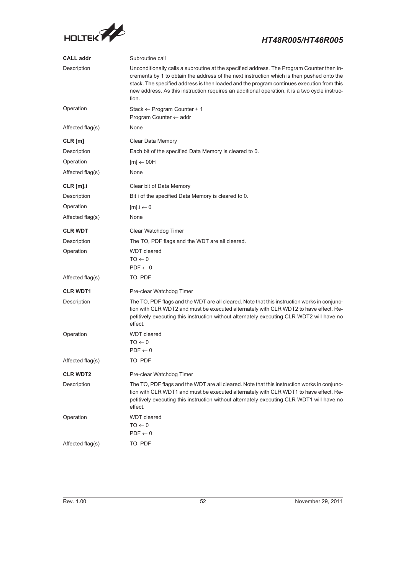

| <b>CALL addr</b> | Subroutine call                                                                                                                                                                                                                                                                                                                                                                               |
|------------------|-----------------------------------------------------------------------------------------------------------------------------------------------------------------------------------------------------------------------------------------------------------------------------------------------------------------------------------------------------------------------------------------------|
| Description      | Unconditionally calls a subroutine at the specified address. The Program Counter then in-<br>crements by 1 to obtain the address of the next instruction which is then pushed onto the<br>stack. The specified address is then loaded and the program continues execution from this<br>new address. As this instruction requires an additional operation, it is a two cycle instruc-<br>tion. |
| Operation        | Stack $\leftarrow$ Program Counter + 1<br>Program Counter $\leftarrow$ addr                                                                                                                                                                                                                                                                                                                   |
| Affected flag(s) | None                                                                                                                                                                                                                                                                                                                                                                                          |
| $CLR$ [m]        | Clear Data Memory                                                                                                                                                                                                                                                                                                                                                                             |
| Description      | Each bit of the specified Data Memory is cleared to 0.                                                                                                                                                                                                                                                                                                                                        |
| Operation        | $[m] \leftarrow 00H$                                                                                                                                                                                                                                                                                                                                                                          |
| Affected flag(s) | None                                                                                                                                                                                                                                                                                                                                                                                          |
| $CLR$ [m].i      | Clear bit of Data Memory                                                                                                                                                                                                                                                                                                                                                                      |
| Description      | Bit i of the specified Data Memory is cleared to 0.                                                                                                                                                                                                                                                                                                                                           |
| Operation        | $[m].i \leftarrow 0$                                                                                                                                                                                                                                                                                                                                                                          |
| Affected flag(s) | None                                                                                                                                                                                                                                                                                                                                                                                          |
| <b>CLR WDT</b>   | Clear Watchdog Timer                                                                                                                                                                                                                                                                                                                                                                          |
| Description      | The TO, PDF flags and the WDT are all cleared.                                                                                                                                                                                                                                                                                                                                                |
| Operation        | <b>WDT</b> cleared<br>$0 \rightarrow$ OT<br>$PDF \leftarrow 0$                                                                                                                                                                                                                                                                                                                                |
| Affected flag(s) | TO, PDF                                                                                                                                                                                                                                                                                                                                                                                       |
| <b>CLR WDT1</b>  | Pre-clear Watchdog Timer                                                                                                                                                                                                                                                                                                                                                                      |
| Description      | The TO, PDF flags and the WDT are all cleared. Note that this instruction works in conjunc-<br>tion with CLR WDT2 and must be executed alternately with CLR WDT2 to have effect. Re-<br>petitively executing this instruction without alternately executing CLR WDT2 will have no<br>effect.                                                                                                  |
| Operation        | <b>WDT</b> cleared<br>$TO \leftarrow 0$<br>$PDF \leftarrow 0$                                                                                                                                                                                                                                                                                                                                 |
| Affected flag(s) | TO, PDF                                                                                                                                                                                                                                                                                                                                                                                       |
| <b>CLR WDT2</b>  | Pre-clear Watchdog Timer                                                                                                                                                                                                                                                                                                                                                                      |
| Description      | The TO, PDF flags and the WDT are all cleared. Note that this instruction works in conjunc-<br>tion with CLR WDT1 and must be executed alternately with CLR WDT1 to have effect. Re-<br>petitively executing this instruction without alternately executing CLR WDT1 will have no<br>effect.                                                                                                  |
| Operation        | <b>WDT</b> cleared<br>$0 \rightarrow$ OT<br>$PDF \leftarrow 0$                                                                                                                                                                                                                                                                                                                                |
| Affected flag(s) | TO, PDF                                                                                                                                                                                                                                                                                                                                                                                       |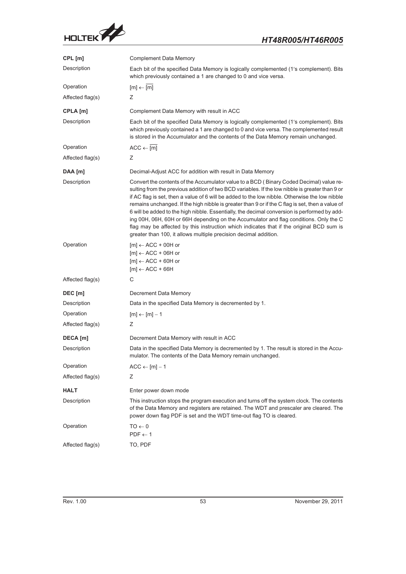

| CPL [m]          | <b>Complement Data Memory</b>                                                                                                                                                                                                                                                                                                                                                                                                                                                                                                                                                                                                                                                                                                                             |
|------------------|-----------------------------------------------------------------------------------------------------------------------------------------------------------------------------------------------------------------------------------------------------------------------------------------------------------------------------------------------------------------------------------------------------------------------------------------------------------------------------------------------------------------------------------------------------------------------------------------------------------------------------------------------------------------------------------------------------------------------------------------------------------|
| Description      | Each bit of the specified Data Memory is logically complemented (1's complement). Bits<br>which previously contained a 1 are changed to 0 and vice versa.                                                                                                                                                                                                                                                                                                                                                                                                                                                                                                                                                                                                 |
| Operation        | $[m] \leftarrow [m]$                                                                                                                                                                                                                                                                                                                                                                                                                                                                                                                                                                                                                                                                                                                                      |
| Affected flag(s) | Ζ                                                                                                                                                                                                                                                                                                                                                                                                                                                                                                                                                                                                                                                                                                                                                         |
| CPLA [m]         | Complement Data Memory with result in ACC                                                                                                                                                                                                                                                                                                                                                                                                                                                                                                                                                                                                                                                                                                                 |
| Description      | Each bit of the specified Data Memory is logically complemented (1's complement). Bits<br>which previously contained a 1 are changed to 0 and vice versa. The complemented result<br>is stored in the Accumulator and the contents of the Data Memory remain unchanged.                                                                                                                                                                                                                                                                                                                                                                                                                                                                                   |
| Operation        | $ACC \leftarrow \overline{[m]}$                                                                                                                                                                                                                                                                                                                                                                                                                                                                                                                                                                                                                                                                                                                           |
| Affected flag(s) | Ζ                                                                                                                                                                                                                                                                                                                                                                                                                                                                                                                                                                                                                                                                                                                                                         |
| DAA [m]          | Decimal-Adjust ACC for addition with result in Data Memory                                                                                                                                                                                                                                                                                                                                                                                                                                                                                                                                                                                                                                                                                                |
| Description      | Convert the contents of the Accumulator value to a BCD (Binary Coded Decimal) value re-<br>sulting from the previous addition of two BCD variables. If the low nibble is greater than 9 or<br>if AC flag is set, then a value of 6 will be added to the low nibble. Otherwise the low nibble<br>remains unchanged. If the high nibble is greater than 9 or if the C flag is set, then a value of<br>6 will be added to the high nibble. Essentially, the decimal conversion is performed by add-<br>ing 00H, 06H, 60H or 66H depending on the Accumulator and flag conditions. Only the C<br>flag may be affected by this instruction which indicates that if the original BCD sum is<br>greater than 100, it allows multiple precision decimal addition. |
| Operation        | $[m] \leftarrow ACC + 00H$ or<br>$[m] \leftarrow ACC + 06H$ or<br>$[m] \leftarrow ACC + 60H$ or<br>$[m] \leftarrow ACC + 66H$                                                                                                                                                                                                                                                                                                                                                                                                                                                                                                                                                                                                                             |
| Affected flag(s) | С                                                                                                                                                                                                                                                                                                                                                                                                                                                                                                                                                                                                                                                                                                                                                         |
| DEC [m]          | Decrement Data Memory                                                                                                                                                                                                                                                                                                                                                                                                                                                                                                                                                                                                                                                                                                                                     |
| Description      | Data in the specified Data Memory is decremented by 1.                                                                                                                                                                                                                                                                                                                                                                                                                                                                                                                                                                                                                                                                                                    |
| Operation        | $[m] \leftarrow [m] - 1$                                                                                                                                                                                                                                                                                                                                                                                                                                                                                                                                                                                                                                                                                                                                  |
| Affected flag(s) | Ζ                                                                                                                                                                                                                                                                                                                                                                                                                                                                                                                                                                                                                                                                                                                                                         |
| DECA [m]         | Decrement Data Memory with result in ACC                                                                                                                                                                                                                                                                                                                                                                                                                                                                                                                                                                                                                                                                                                                  |
| Description      | Data in the specified Data Memory is decremented by 1. The result is stored in the Accu-<br>mulator. The contents of the Data Memory remain unchanged.                                                                                                                                                                                                                                                                                                                                                                                                                                                                                                                                                                                                    |
| Operation        | $ACC \leftarrow [m] - 1$                                                                                                                                                                                                                                                                                                                                                                                                                                                                                                                                                                                                                                                                                                                                  |
| Affected flag(s) | Ζ                                                                                                                                                                                                                                                                                                                                                                                                                                                                                                                                                                                                                                                                                                                                                         |
| HALT             | Enter power down mode                                                                                                                                                                                                                                                                                                                                                                                                                                                                                                                                                                                                                                                                                                                                     |
| Description      | This instruction stops the program execution and turns off the system clock. The contents<br>of the Data Memory and registers are retained. The WDT and prescaler are cleared. The<br>power down flag PDF is set and the WDT time-out flag TO is cleared.                                                                                                                                                                                                                                                                                                                                                                                                                                                                                                 |
| Operation        | $0 \rightarrow$ OT<br>$PDF \leftarrow 1$                                                                                                                                                                                                                                                                                                                                                                                                                                                                                                                                                                                                                                                                                                                  |
| Affected flag(s) | TO, PDF                                                                                                                                                                                                                                                                                                                                                                                                                                                                                                                                                                                                                                                                                                                                                   |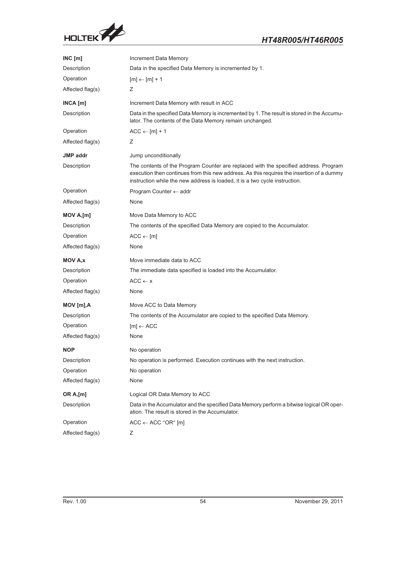

| INC[m]           | Increment Data Memory                                                                                                                                                                                                                                            |
|------------------|------------------------------------------------------------------------------------------------------------------------------------------------------------------------------------------------------------------------------------------------------------------|
| Description      | Data in the specified Data Memory is incremented by 1.                                                                                                                                                                                                           |
| Operation        | $[m] \leftarrow [m] + 1$                                                                                                                                                                                                                                         |
| Affected flag(s) | Ζ                                                                                                                                                                                                                                                                |
| INCA [m]         | Increment Data Memory with result in ACC                                                                                                                                                                                                                         |
| Description      | Data in the specified Data Memory is incremented by 1. The result is stored in the Accumu-<br>lator. The contents of the Data Memory remain unchanged.                                                                                                           |
| Operation        | $ACC \leftarrow [m] + 1$                                                                                                                                                                                                                                         |
| Affected flag(s) | Ζ                                                                                                                                                                                                                                                                |
| JMP addr         | Jump unconditionally                                                                                                                                                                                                                                             |
| Description      | The contents of the Program Counter are replaced with the specified address. Program<br>execution then continues from this new address. As this requires the insertion of a dummy<br>instruction while the new address is loaded, it is a two cycle instruction. |
| Operation        | Program Counter $\leftarrow$ addr                                                                                                                                                                                                                                |
| Affected flag(s) | None                                                                                                                                                                                                                                                             |
| MOV A,[m]        | Move Data Memory to ACC                                                                                                                                                                                                                                          |
| Description      | The contents of the specified Data Memory are copied to the Accumulator.                                                                                                                                                                                         |
| Operation        | $ACC \leftarrow [m]$                                                                                                                                                                                                                                             |
| Affected flag(s) | None                                                                                                                                                                                                                                                             |
| MOV A,x          | Move immediate data to ACC                                                                                                                                                                                                                                       |
| Description      | The immediate data specified is loaded into the Accumulator.                                                                                                                                                                                                     |
| Operation        | $ACC \leftarrow x$                                                                                                                                                                                                                                               |
| Affected flag(s) | None                                                                                                                                                                                                                                                             |
| MOV [m],A        | Move ACC to Data Memory                                                                                                                                                                                                                                          |
| Description      | The contents of the Accumulator are copied to the specified Data Memory.                                                                                                                                                                                         |
| Operation        | $[m] \leftarrow ACC$                                                                                                                                                                                                                                             |
| Affected flag(s) | None                                                                                                                                                                                                                                                             |
| <b>NOP</b>       | No operation                                                                                                                                                                                                                                                     |
| Description      | No operation is performed. Execution continues with the next instruction.                                                                                                                                                                                        |
| Operation        | No operation                                                                                                                                                                                                                                                     |
| Affected flag(s) | None                                                                                                                                                                                                                                                             |
| OR A,[m]         | Logical OR Data Memory to ACC                                                                                                                                                                                                                                    |
| Description      | Data in the Accumulator and the specified Data Memory perform a bitwise logical OR oper-<br>ation. The result is stored in the Accumulator.                                                                                                                      |
| Operation        | $ACC \leftarrow ACC$ "OR" [m]                                                                                                                                                                                                                                    |
| Affected flag(s) | Ζ                                                                                                                                                                                                                                                                |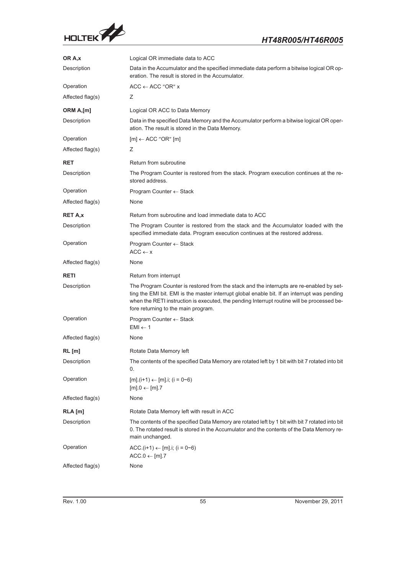

| OR A,x           | Logical OR immediate data to ACC                                                                                                                                                                                                                                                                                              |
|------------------|-------------------------------------------------------------------------------------------------------------------------------------------------------------------------------------------------------------------------------------------------------------------------------------------------------------------------------|
| Description      | Data in the Accumulator and the specified immediate data perform a bitwise logical OR op-<br>eration. The result is stored in the Accumulator.                                                                                                                                                                                |
| Operation        | $ACC \leftarrow ACC$ "OR" x                                                                                                                                                                                                                                                                                                   |
| Affected flag(s) | Ζ                                                                                                                                                                                                                                                                                                                             |
| ORM A,[m]        | Logical OR ACC to Data Memory                                                                                                                                                                                                                                                                                                 |
| Description      | Data in the specified Data Memory and the Accumulator perform a bitwise logical OR oper-<br>ation. The result is stored in the Data Memory.                                                                                                                                                                                   |
| Operation        | $[m] \leftarrow ACC$ "OR" $[m]$                                                                                                                                                                                                                                                                                               |
| Affected flag(s) | Z.                                                                                                                                                                                                                                                                                                                            |
| <b>RET</b>       | Return from subroutine                                                                                                                                                                                                                                                                                                        |
| Description      | The Program Counter is restored from the stack. Program execution continues at the re-<br>stored address.                                                                                                                                                                                                                     |
| Operation        | Program Counter $\leftarrow$ Stack                                                                                                                                                                                                                                                                                            |
| Affected flag(s) | None                                                                                                                                                                                                                                                                                                                          |
| RET A,x          | Return from subroutine and load immediate data to ACC                                                                                                                                                                                                                                                                         |
| Description      | The Program Counter is restored from the stack and the Accumulator loaded with the<br>specified immediate data. Program execution continues at the restored address.                                                                                                                                                          |
| Operation        | Program Counter $\leftarrow$ Stack<br>$ACC \leftarrow x$                                                                                                                                                                                                                                                                      |
| Affected flag(s) | None                                                                                                                                                                                                                                                                                                                          |
| <b>RETI</b>      | Return from interrupt                                                                                                                                                                                                                                                                                                         |
| Description      | The Program Counter is restored from the stack and the interrupts are re-enabled by set-<br>ting the EMI bit. EMI is the master interrupt global enable bit. If an interrupt was pending<br>when the RETI instruction is executed, the pending Interrupt routine will be processed be-<br>fore returning to the main program. |
| Operation        | Program Counter $\leftarrow$ Stack<br>$EMI \leftarrow 1$                                                                                                                                                                                                                                                                      |
| Affected flag(s) | None                                                                                                                                                                                                                                                                                                                          |
| RL [m]           | Rotate Data Memory left                                                                                                                                                                                                                                                                                                       |
| Description      | The contents of the specified Data Memory are rotated left by 1 bit with bit 7 rotated into bit<br>0.                                                                                                                                                                                                                         |
| Operation        | $[m].(i+1) \leftarrow [m] .i; (i = 0~6)$<br>$[m]$ .0 $\leftarrow$ [m].7                                                                                                                                                                                                                                                       |
| Affected flag(s) | None                                                                                                                                                                                                                                                                                                                          |
| $RLA$ [m]        | Rotate Data Memory left with result in ACC                                                                                                                                                                                                                                                                                    |
| Description      | The contents of the specified Data Memory are rotated left by 1 bit with bit 7 rotated into bit<br>0. The rotated result is stored in the Accumulator and the contents of the Data Memory re-<br>main unchanged.                                                                                                              |
| Operation        | ACC.(i+1) $\leftarrow$ [m].i; (i = 0~6)<br>$ACC.0 \leftarrow [m].7$                                                                                                                                                                                                                                                           |
| Affected flag(s) | None                                                                                                                                                                                                                                                                                                                          |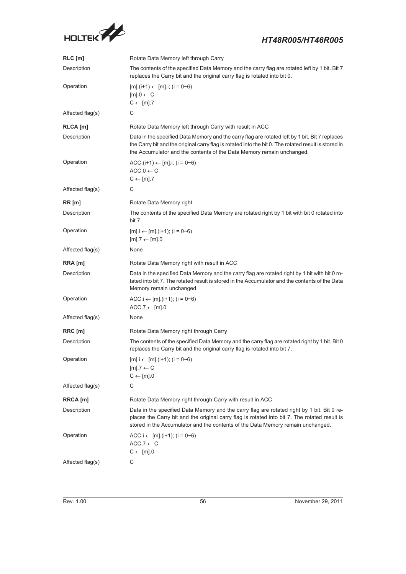

| RLC [m]          | Rotate Data Memory left through Carry                                                                                                                                                                                                                                           |
|------------------|---------------------------------------------------------------------------------------------------------------------------------------------------------------------------------------------------------------------------------------------------------------------------------|
| Description      | The contents of the specified Data Memory and the carry flag are rotated left by 1 bit. Bit 7<br>replaces the Carry bit and the original carry flag is rotated into bit 0.                                                                                                      |
| Operation        | $[m]$ .(i+1) $\leftarrow$ [m].i; (i = 0~6)<br>$[m]$ .0 $\leftarrow$ C<br>$C \leftarrow [m].7$                                                                                                                                                                                   |
| Affected flag(s) | С                                                                                                                                                                                                                                                                               |
| RLCA [m]         | Rotate Data Memory left through Carry with result in ACC                                                                                                                                                                                                                        |
| Description      | Data in the specified Data Memory and the carry flag are rotated left by 1 bit. Bit 7 replaces<br>the Carry bit and the original carry flag is rotated into the bit 0. The rotated result is stored in<br>the Accumulator and the contents of the Data Memory remain unchanged. |
| Operation        | ACC.(i+1) $\leftarrow$ [m].i; (i = 0~6)<br>$ACC.0 \leftarrow C$<br>$C \leftarrow [m].7$                                                                                                                                                                                         |
| Affected flag(s) | C                                                                                                                                                                                                                                                                               |
| RR[m]            | Rotate Data Memory right                                                                                                                                                                                                                                                        |
| Description      | The contents of the specified Data Memory are rotated right by 1 bit with bit 0 rotated into<br>bit 7.                                                                                                                                                                          |
| Operation        | $[m]$ . $i \leftarrow [m]$ . ( $i+1$ ); ( $i = 0$ ~6)<br>$[m].7 \leftarrow [m].0$                                                                                                                                                                                               |
| Affected flag(s) | None                                                                                                                                                                                                                                                                            |
| RRA [m]          | Rotate Data Memory right with result in ACC                                                                                                                                                                                                                                     |
| Description      | Data in the specified Data Memory and the carry flag are rotated right by 1 bit with bit 0 ro-<br>tated into bit 7. The rotated result is stored in the Accumulator and the contents of the Data<br>Memory remain unchanged.                                                    |
| Operation        | ACC.i $\leftarrow$ [m].(i+1); (i = 0~6)<br>$ACC.7 \leftarrow [m].0$                                                                                                                                                                                                             |
| Affected flag(s) | None                                                                                                                                                                                                                                                                            |
| RRC [m]          | Rotate Data Memory right through Carry                                                                                                                                                                                                                                          |
| Description      | The contents of the specified Data Memory and the carry flag are rotated right by 1 bit. Bit 0<br>replaces the Carry bit and the original carry flag is rotated into bit 7.                                                                                                     |
| Operation        | $[m]$ . $i \leftarrow [m]$ . ( $i+1$ ); ( $i = 0$ ~6)<br>$[m].7 \leftarrow C$<br>$C \leftarrow [m] . 0$                                                                                                                                                                         |
| Affected flag(s) | С                                                                                                                                                                                                                                                                               |
| RRCA [m]         | Rotate Data Memory right through Carry with result in ACC                                                                                                                                                                                                                       |
| Description      | Data in the specified Data Memory and the carry flag are rotated right by 1 bit. Bit 0 re-<br>places the Carry bit and the original carry flag is rotated into bit 7. The rotated result is<br>stored in the Accumulator and the contents of the Data Memory remain unchanged.  |
| Operation        | ACC.i $\leftarrow$ [m].(i+1); (i = 0~6)<br>$ACC.7 \leftarrow C$<br>$C \leftarrow [m].0$                                                                                                                                                                                         |
| Affected flag(s) | С                                                                                                                                                                                                                                                                               |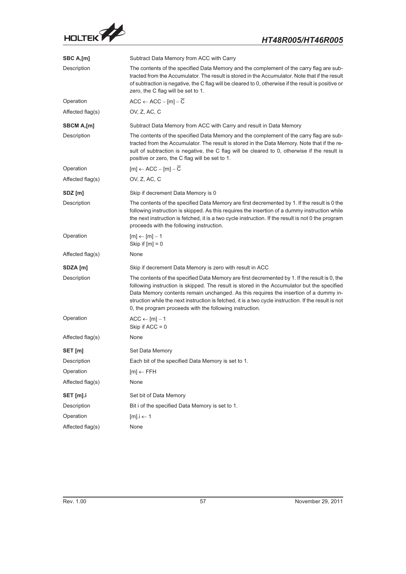

| SBC A,[m]        | Subtract Data Memory from ACC with Carry                                                                                                                                                                                                                                                                                                                                                                                                                |  |
|------------------|---------------------------------------------------------------------------------------------------------------------------------------------------------------------------------------------------------------------------------------------------------------------------------------------------------------------------------------------------------------------------------------------------------------------------------------------------------|--|
| Description      | The contents of the specified Data Memory and the complement of the carry flag are sub-<br>tracted from the Accumulator. The result is stored in the Accumulator. Note that if the result<br>of subtraction is negative, the C flag will be cleared to 0, otherwise if the result is positive or<br>zero, the C flag will be set to 1.                                                                                                                  |  |
| Operation        | $ACC \leftarrow ACC - [m] - \overline{C}$                                                                                                                                                                                                                                                                                                                                                                                                               |  |
| Affected flag(s) | OV, Z, AC, C                                                                                                                                                                                                                                                                                                                                                                                                                                            |  |
| SBCM A,[m]       | Subtract Data Memory from ACC with Carry and result in Data Memory                                                                                                                                                                                                                                                                                                                                                                                      |  |
| Description      | The contents of the specified Data Memory and the complement of the carry flag are sub-<br>tracted from the Accumulator. The result is stored in the Data Memory. Note that if the re-<br>sult of subtraction is negative, the C flag will be cleared to 0, otherwise if the result is<br>positive or zero, the C flag will be set to 1.                                                                                                                |  |
| Operation        | $[m] \leftarrow ACC - [m] - C$                                                                                                                                                                                                                                                                                                                                                                                                                          |  |
| Affected flag(s) | OV, Z, AC, C                                                                                                                                                                                                                                                                                                                                                                                                                                            |  |
| SDZ [m]          | Skip if decrement Data Memory is 0                                                                                                                                                                                                                                                                                                                                                                                                                      |  |
| Description      | The contents of the specified Data Memory are first decremented by 1. If the result is 0 the<br>following instruction is skipped. As this requires the insertion of a dummy instruction while<br>the next instruction is fetched, it is a two cycle instruction. If the result is not 0 the program<br>proceeds with the following instruction.                                                                                                         |  |
| Operation        | $[m] \leftarrow [m] - 1$<br>Skip if $[m] = 0$                                                                                                                                                                                                                                                                                                                                                                                                           |  |
| Affected flag(s) | None                                                                                                                                                                                                                                                                                                                                                                                                                                                    |  |
| SDZA [m]         | Skip if decrement Data Memory is zero with result in ACC                                                                                                                                                                                                                                                                                                                                                                                                |  |
| Description      | The contents of the specified Data Memory are first decremented by 1. If the result is 0, the<br>following instruction is skipped. The result is stored in the Accumulator but the specified<br>Data Memory contents remain unchanged. As this requires the insertion of a dummy in-<br>struction while the next instruction is fetched, it is a two cycle instruction. If the result is not<br>0, the program proceeds with the following instruction. |  |
| Operation        | $ACC \leftarrow [m] - 1$<br>Skip if $ACC = 0$                                                                                                                                                                                                                                                                                                                                                                                                           |  |
| Affected flag(s) | None                                                                                                                                                                                                                                                                                                                                                                                                                                                    |  |
| SET [m]          | Set Data Memory                                                                                                                                                                                                                                                                                                                                                                                                                                         |  |
| Description      | Each bit of the specified Data Memory is set to 1.                                                                                                                                                                                                                                                                                                                                                                                                      |  |
| Operation        | $[m] \leftarrow$ FFH                                                                                                                                                                                                                                                                                                                                                                                                                                    |  |
| Affected flag(s) | None                                                                                                                                                                                                                                                                                                                                                                                                                                                    |  |
| SET [m].i        | Set bit of Data Memory                                                                                                                                                                                                                                                                                                                                                                                                                                  |  |
| Description      | Bit i of the specified Data Memory is set to 1.                                                                                                                                                                                                                                                                                                                                                                                                         |  |
| Operation        | $[m]$ .i $\leftarrow$ 1                                                                                                                                                                                                                                                                                                                                                                                                                                 |  |
| Affected flag(s) | None                                                                                                                                                                                                                                                                                                                                                                                                                                                    |  |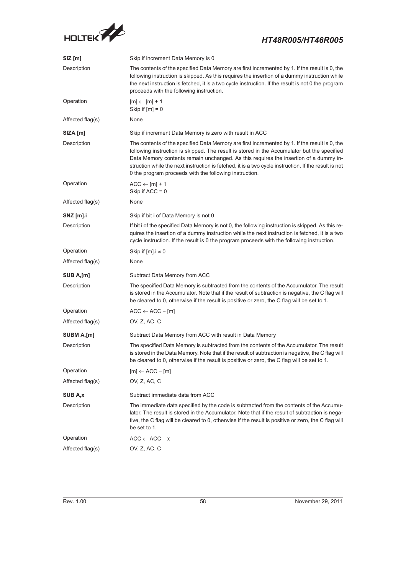

| $SIZ$ [m]        | Skip if increment Data Memory is 0                                                                                                                                                                                                                                                                                                                                                                                                                     |
|------------------|--------------------------------------------------------------------------------------------------------------------------------------------------------------------------------------------------------------------------------------------------------------------------------------------------------------------------------------------------------------------------------------------------------------------------------------------------------|
| Description      | The contents of the specified Data Memory are first incremented by 1. If the result is 0, the<br>following instruction is skipped. As this requires the insertion of a dummy instruction while<br>the next instruction is fetched, it is a two cycle instruction. If the result is not 0 the program<br>proceeds with the following instruction.                                                                                                       |
| Operation        | $[m] \leftarrow [m] + 1$<br>Skip if $[m] = 0$                                                                                                                                                                                                                                                                                                                                                                                                          |
| Affected flag(s) | None                                                                                                                                                                                                                                                                                                                                                                                                                                                   |
| SIZA [m]         | Skip if increment Data Memory is zero with result in ACC                                                                                                                                                                                                                                                                                                                                                                                               |
| Description      | The contents of the specified Data Memory are first incremented by 1. If the result is 0, the<br>following instruction is skipped. The result is stored in the Accumulator but the specified<br>Data Memory contents remain unchanged. As this requires the insertion of a dummy in-<br>struction while the next instruction is fetched, it is a two cycle instruction. If the result is not<br>0 the program proceeds with the following instruction. |
| Operation        | $ACC \leftarrow [m] + 1$<br>Skip if $ACC = 0$                                                                                                                                                                                                                                                                                                                                                                                                          |
| Affected flag(s) | None                                                                                                                                                                                                                                                                                                                                                                                                                                                   |
| SNZ [m].i        | Skip if bit i of Data Memory is not 0                                                                                                                                                                                                                                                                                                                                                                                                                  |
| Description      | If bit i of the specified Data Memory is not 0, the following instruction is skipped. As this re-<br>quires the insertion of a dummy instruction while the next instruction is fetched, it is a two<br>cycle instruction. If the result is 0 the program proceeds with the following instruction.                                                                                                                                                      |
| Operation        | Skip if $[m]$ . $i \neq 0$                                                                                                                                                                                                                                                                                                                                                                                                                             |
| Affected flag(s) | None                                                                                                                                                                                                                                                                                                                                                                                                                                                   |
| SUB A,[m]        | Subtract Data Memory from ACC                                                                                                                                                                                                                                                                                                                                                                                                                          |
| Description      | The specified Data Memory is subtracted from the contents of the Accumulator. The result<br>is stored in the Accumulator. Note that if the result of subtraction is negative, the C flag will<br>be cleared to 0, otherwise if the result is positive or zero, the C flag will be set to 1.                                                                                                                                                            |
| Operation        | $ACC \leftarrow ACC - [m]$                                                                                                                                                                                                                                                                                                                                                                                                                             |
| Affected flag(s) | OV, Z, AC, C                                                                                                                                                                                                                                                                                                                                                                                                                                           |
| SUBM A,[m]       | Subtract Data Memory from ACC with result in Data Memory                                                                                                                                                                                                                                                                                                                                                                                               |
| Description      | The specified Data Memory is subtracted from the contents of the Accumulator. The result<br>is stored in the Data Memory. Note that if the result of subtraction is negative, the C flag will<br>be cleared to 0, otherwise if the result is positive or zero, the C flag will be set to 1.                                                                                                                                                            |
| Operation        | $[m] \leftarrow ACC - [m]$                                                                                                                                                                                                                                                                                                                                                                                                                             |
| Affected flag(s) | OV, Z, AC, C                                                                                                                                                                                                                                                                                                                                                                                                                                           |
| <b>SUB A.x</b>   | Subtract immediate data from ACC                                                                                                                                                                                                                                                                                                                                                                                                                       |
| Description      | The immediate data specified by the code is subtracted from the contents of the Accumu-<br>lator. The result is stored in the Accumulator. Note that if the result of subtraction is nega-<br>tive, the C flag will be cleared to 0, otherwise if the result is positive or zero, the C flag will<br>be set to 1.                                                                                                                                      |
| Operation        | $ACC \leftarrow ACC - x$                                                                                                                                                                                                                                                                                                                                                                                                                               |
| Affected flag(s) | OV, Z, AC, C                                                                                                                                                                                                                                                                                                                                                                                                                                           |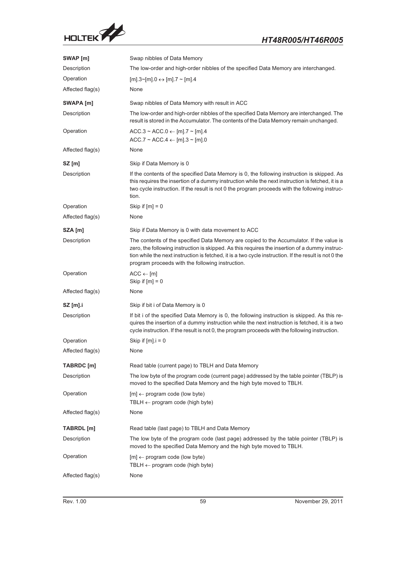

| SWAP [m]         | Swap nibbles of Data Memory                                                                                                                                                                                                                                                                                                                             |
|------------------|---------------------------------------------------------------------------------------------------------------------------------------------------------------------------------------------------------------------------------------------------------------------------------------------------------------------------------------------------------|
| Description      | The low-order and high-order nibbles of the specified Data Memory are interchanged.                                                                                                                                                                                                                                                                     |
| Operation        | $[m].3~[m].0 \leftrightarrow [m].7~[m].4$                                                                                                                                                                                                                                                                                                               |
| Affected flag(s) | None                                                                                                                                                                                                                                                                                                                                                    |
| SWAPA [m]        | Swap nibbles of Data Memory with result in ACC                                                                                                                                                                                                                                                                                                          |
| Description      | The low-order and high-order nibbles of the specified Data Memory are interchanged. The<br>result is stored in the Accumulator. The contents of the Data Memory remain unchanged.                                                                                                                                                                       |
| Operation        | $ACC.3 \sim ACC.0 \leftarrow [m]$ .7 ~ [m].4<br>$ACC.7 \sim ACC.4 \leftarrow [m].3 \sim [m].0$                                                                                                                                                                                                                                                          |
| Affected flag(s) | None                                                                                                                                                                                                                                                                                                                                                    |
| $SZ$ [m]         | Skip if Data Memory is 0                                                                                                                                                                                                                                                                                                                                |
| Description      | If the contents of the specified Data Memory is 0, the following instruction is skipped. As<br>this requires the insertion of a dummy instruction while the next instruction is fetched, it is a<br>two cycle instruction. If the result is not 0 the program proceeds with the following instruc-<br>tion.                                             |
| Operation        | Skip if $[m] = 0$                                                                                                                                                                                                                                                                                                                                       |
| Affected flag(s) | None                                                                                                                                                                                                                                                                                                                                                    |
| SZA [m]          | Skip if Data Memory is 0 with data movement to ACC                                                                                                                                                                                                                                                                                                      |
| Description      | The contents of the specified Data Memory are copied to the Accumulator. If the value is<br>zero, the following instruction is skipped. As this requires the insertion of a dummy instruc-<br>tion while the next instruction is fetched, it is a two cycle instruction. If the result is not 0 the<br>program proceeds with the following instruction. |
| Operation        | $ACC \leftarrow [m]$<br>Skip if $[m] = 0$                                                                                                                                                                                                                                                                                                               |
| Affected flag(s) | None                                                                                                                                                                                                                                                                                                                                                    |
| <b>SZ</b> [m].i  | Skip if bit i of Data Memory is 0                                                                                                                                                                                                                                                                                                                       |
| Description      | If bit i of the specified Data Memory is 0, the following instruction is skipped. As this re-<br>quires the insertion of a dummy instruction while the next instruction is fetched, it is a two<br>cycle instruction. If the result is not 0, the program proceeds with the following instruction.                                                      |
| Operation        | Skip if $[m]$ . $i = 0$                                                                                                                                                                                                                                                                                                                                 |
| Affected flag(s) | None                                                                                                                                                                                                                                                                                                                                                    |
| TABRDC [m]       | Read table (current page) to TBLH and Data Memory                                                                                                                                                                                                                                                                                                       |
| Description      | The low byte of the program code (current page) addressed by the table pointer (TBLP) is<br>moved to the specified Data Memory and the high byte moved to TBLH.                                                                                                                                                                                         |
| Operation        | $[m] \leftarrow$ program code (low byte)<br>TBLH $\leftarrow$ program code (high byte)                                                                                                                                                                                                                                                                  |
| Affected flag(s) | None                                                                                                                                                                                                                                                                                                                                                    |
| TABRDL [m]       | Read table (last page) to TBLH and Data Memory                                                                                                                                                                                                                                                                                                          |
| Description      | The low byte of the program code (last page) addressed by the table pointer (TBLP) is<br>moved to the specified Data Memory and the high byte moved to TBLH.                                                                                                                                                                                            |
| Operation        | $[m] \leftarrow$ program code (low byte)<br>TBLH $\leftarrow$ program code (high byte)                                                                                                                                                                                                                                                                  |
| Affected flag(s) | None                                                                                                                                                                                                                                                                                                                                                    |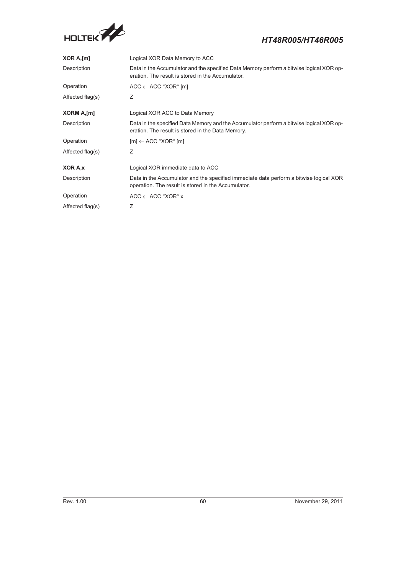

| XOR A,[m]        | Logical XOR Data Memory to ACC                                                                                                                |
|------------------|-----------------------------------------------------------------------------------------------------------------------------------------------|
| Description      | Data in the Accumulator and the specified Data Memory perform a bitwise logical XOR op-<br>eration. The result is stored in the Accumulator.  |
| Operation        | $ACC \leftarrow ACC$ "XOR" [m]                                                                                                                |
| Affected flag(s) | Ζ                                                                                                                                             |
| XORM A, [m]      | Logical XOR ACC to Data Memory                                                                                                                |
| Description      | Data in the specified Data Memory and the Accumulator perform a bitwise logical XOR op-<br>eration. The result is stored in the Data Memory.  |
| Operation        | $[m] \leftarrow ACC$ "XOR" $[m]$                                                                                                              |
| Affected flag(s) | Ζ                                                                                                                                             |
| XOR A.x          | Logical XOR immediate data to ACC                                                                                                             |
| Description      | Data in the Accumulator and the specified immediate data perform a bitwise logical XOR<br>operation. The result is stored in the Accumulator. |
| Operation        | $ACC \leftarrow ACC$ "XOR" x                                                                                                                  |
| Affected flag(s) | Ζ                                                                                                                                             |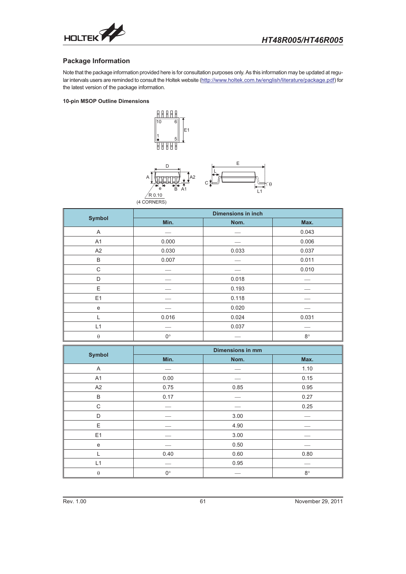<span id="page-60-0"></span>

#### **Package Information**

Note that the package information provided here is for consultation purposes only. As this information may be updated at regular intervals users are reminded to consult the Holtek website (http://www.holtek.com.tw/english/literature/package.pdf) for the latest version of the package information.

#### **10-pin MSOP Outline Dimensions**

ı

(4 CORNERS



| <b>Symbol</b>  | <b>Dimensions in inch</b> |       |             |  |
|----------------|---------------------------|-------|-------------|--|
|                | Min.                      | Nom.  | Max.        |  |
| A              |                           |       | 0.043       |  |
| A1             | 0.000                     |       | 0.006       |  |
| A2             | 0.030                     | 0.033 | 0.037       |  |
| B              | 0.007                     |       | 0.011       |  |
| C              |                           |       | 0.010       |  |
| D              |                           | 0.018 |             |  |
| Ε              |                           | 0.193 |             |  |
| E <sub>1</sub> |                           | 0.118 |             |  |
| ${\bf e}$      |                           | 0.020 |             |  |
|                | 0.016                     | 0.024 | 0.031       |  |
| L1             |                           | 0.037 |             |  |
| $\theta$       | $0^{\circ}$               |       | $8^{\circ}$ |  |

| <b>Symbol</b>  | <b>Dimensions in mm</b> |      |             |  |
|----------------|-------------------------|------|-------------|--|
|                | Min.                    | Nom. | Max.        |  |
| A              |                         |      | 1.10        |  |
| A <sub>1</sub> | 0.00                    |      | 0.15        |  |
| A <sub>2</sub> | 0.75                    | 0.85 | 0.95        |  |
| B              | 0.17                    |      | 0.27        |  |
| C              |                         |      | 0.25        |  |
| D              |                         | 3.00 |             |  |
| E              |                         | 4.90 |             |  |
| E1             |                         | 3.00 |             |  |
| $\mathbf e$    |                         | 0.50 |             |  |
|                | 0.40                    | 0.60 | 0.80        |  |
| L1             |                         | 0.95 |             |  |
| $\theta$       | $0^{\circ}$             |      | $8^{\circ}$ |  |